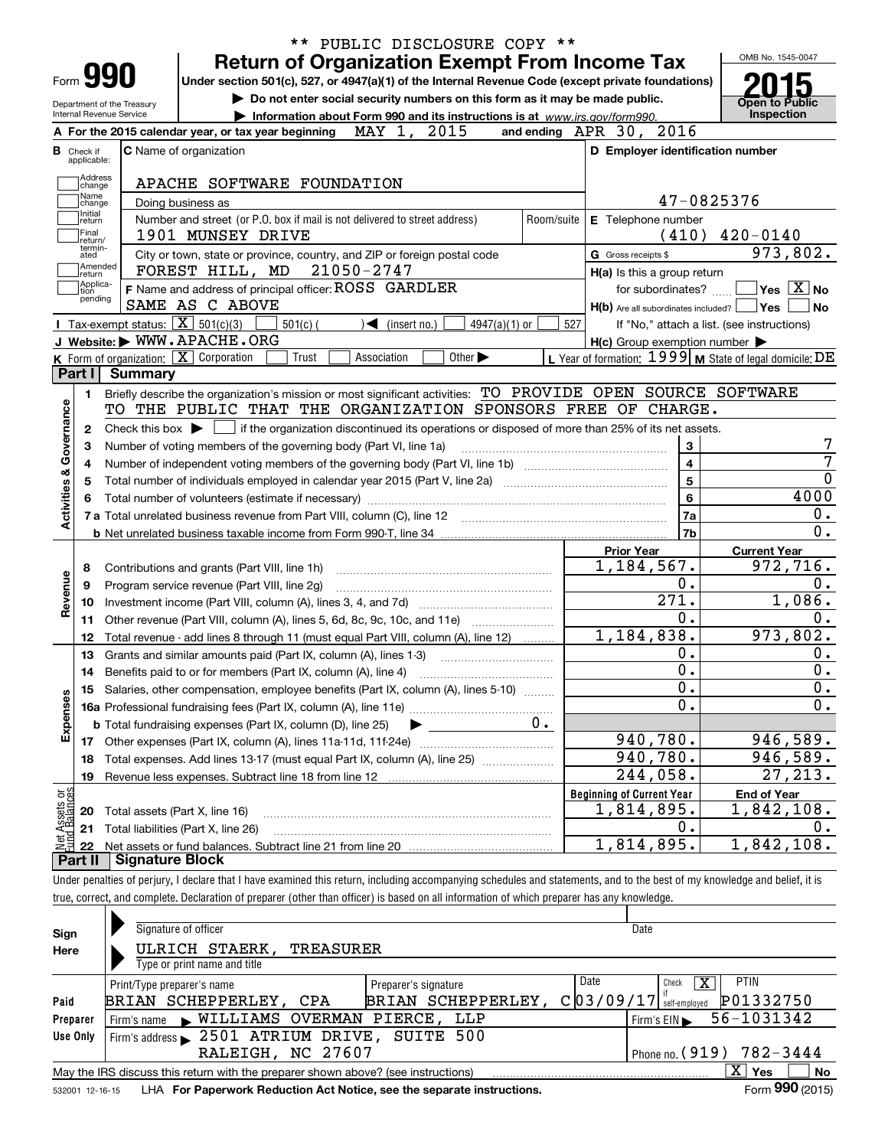|                                  |                        |                                                                                                                                            |            | PUBLIC DISCLOSURE COPY **                                                  |                             |                 |            |                                                                                                                                                                            |                                                                     |
|----------------------------------|------------------------|--------------------------------------------------------------------------------------------------------------------------------------------|------------|----------------------------------------------------------------------------|-----------------------------|-----------------|------------|----------------------------------------------------------------------------------------------------------------------------------------------------------------------------|---------------------------------------------------------------------|
|                                  |                        |                                                                                                                                            |            |                                                                            |                             |                 |            | <b>Return of Organization Exempt From Income Tax</b>                                                                                                                       | OMB No. 1545-0047                                                   |
| Form 990                         |                        |                                                                                                                                            |            |                                                                            |                             |                 |            | Under section 501(c), 527, or 4947(a)(1) of the Internal Revenue Code (except private foundations)                                                                         |                                                                     |
| Department of the Treasury       |                        |                                                                                                                                            |            |                                                                            |                             |                 |            | Do not enter social security numbers on this form as it may be made public.                                                                                                | <b>Open to Public</b>                                               |
| Internal Revenue Service         |                        |                                                                                                                                            |            | Information about Form 990 and its instructions is at www.irs.gov/form990. |                             |                 |            |                                                                                                                                                                            | Inspection                                                          |
|                                  |                        | A For the 2015 calendar year, or tax year beginning                                                                                        |            | MAY 1, 2015                                                                |                             |                 |            | and ending APR 30, 2016                                                                                                                                                    |                                                                     |
| <b>B</b> Check if<br>applicable: |                        | <b>C</b> Name of organization                                                                                                              |            |                                                                            |                             |                 |            | D Employer identification number                                                                                                                                           |                                                                     |
| Address                          |                        | APACHE SOFTWARE FOUNDATION                                                                                                                 |            |                                                                            |                             |                 |            |                                                                                                                                                                            |                                                                     |
| change<br>Name                   |                        | Doing business as                                                                                                                          |            |                                                                            |                             |                 |            |                                                                                                                                                                            | 47-0825376                                                          |
| change<br>Initial<br>return      |                        | Number and street (or P.O. box if mail is not delivered to street address)                                                                 |            |                                                                            |                             |                 | Room/suite | E Telephone number                                                                                                                                                         |                                                                     |
| Final                            |                        | 1901 MUNSEY DRIVE                                                                                                                          |            |                                                                            |                             |                 |            |                                                                                                                                                                            | $(410)$ $420-0140$                                                  |
| return/<br>termin-<br>ated       |                        | City or town, state or province, country, and ZIP or foreign postal code                                                                   |            |                                                                            |                             |                 |            | G Gross receipts \$                                                                                                                                                        | 973,802.                                                            |
| Amended<br>return                |                        | FOREST HILL, MD 21050-2747                                                                                                                 |            |                                                                            |                             |                 |            | H(a) Is this a group return                                                                                                                                                |                                                                     |
| Applica-<br>tion                 |                        | F Name and address of principal officer: ROSS GARDLER                                                                                      |            |                                                                            |                             |                 |            |                                                                                                                                                                            | for subordinates? $\boxed{\phantom{a}}$ Yes $\boxed{\textbf{X}}$ No |
| pending                          |                        | SAME AS C ABOVE                                                                                                                            |            |                                                                            |                             |                 |            | H(b) Are all subordinates included?   Yes                                                                                                                                  | No                                                                  |
|                                  |                        | <b>I</b> Tax-exempt status: $\overline{X}$ 501(c)(3)                                                                                       | $501(c)$ ( | $\sqrt{\frac{1}{1}}$ (insert no.)                                          |                             | $4947(a)(1)$ or | 527        |                                                                                                                                                                            | If "No," attach a list. (see instructions)                          |
|                                  |                        | J Website: WWW.APACHE.ORG                                                                                                                  |            |                                                                            |                             |                 |            | $H(c)$ Group exemption number $\blacktriangleright$                                                                                                                        |                                                                     |
|                                  |                        | K Form of organization: X Corporation                                                                                                      | Trust      | Association                                                                | Other $\blacktriangleright$ |                 |            | L Year of formation: $1999 \vert$ M State of legal domicile: DE                                                                                                            |                                                                     |
| Part I                           | <b>Summary</b>         |                                                                                                                                            |            |                                                                            |                             |                 |            |                                                                                                                                                                            |                                                                     |
| 1.                               |                        |                                                                                                                                            |            |                                                                            |                             |                 |            | Briefly describe the organization's mission or most significant activities: TO PROVIDE OPEN SOURCE SOFTWARE                                                                |                                                                     |
| Governance                       |                        |                                                                                                                                            |            |                                                                            |                             |                 |            | TO THE PUBLIC THAT THE ORGANIZATION SPONSORS FREE OF CHARGE.                                                                                                               |                                                                     |
| 2                                |                        |                                                                                                                                            |            |                                                                            |                             |                 |            | Check this box $\blacktriangleright$ $\blacksquare$ if the organization discontinued its operations or disposed of more than 25% of its net assets.                        |                                                                     |
| з                                |                        | Number of voting members of the governing body (Part VI, line 1a)                                                                          |            |                                                                            |                             |                 |            | 3                                                                                                                                                                          |                                                                     |
| 4                                |                        |                                                                                                                                            |            |                                                                            |                             |                 |            | $\overline{\mathbf{4}}$                                                                                                                                                    |                                                                     |
| 5                                |                        |                                                                                                                                            |            |                                                                            |                             |                 |            | $\overline{5}$                                                                                                                                                             |                                                                     |
| <b>Activities &amp;</b><br>6     |                        |                                                                                                                                            |            |                                                                            |                             |                 |            | $6\phantom{a}$                                                                                                                                                             | 4000                                                                |
|                                  |                        |                                                                                                                                            |            |                                                                            |                             |                 |            | 7a                                                                                                                                                                         | 0.                                                                  |
|                                  |                        |                                                                                                                                            |            |                                                                            |                             |                 |            | 7b                                                                                                                                                                         | $\overline{0}$ .                                                    |
|                                  |                        |                                                                                                                                            |            |                                                                            |                             |                 |            | <b>Prior Year</b>                                                                                                                                                          | <b>Current Year</b>                                                 |
| 8                                |                        | Contributions and grants (Part VIII, line 1h)                                                                                              |            |                                                                            |                             |                 |            | 1,184,567.                                                                                                                                                                 | 972,716.                                                            |
| evenue<br>9                      |                        | Program service revenue (Part VIII, line 2g)                                                                                               |            |                                                                            |                             |                 |            | 0.                                                                                                                                                                         | 0.                                                                  |
| 10                               |                        |                                                                                                                                            |            |                                                                            |                             |                 |            | $\overline{271}$ .                                                                                                                                                         | 1,086.                                                              |
| ∝<br>11                          |                        | Other revenue (Part VIII, column (A), lines 5, 6d, 8c, 9c, 10c, and 11e)                                                                   |            |                                                                            |                             |                 |            | $\overline{0}$ .                                                                                                                                                           | 0.                                                                  |
| 12                               |                        | Total revenue - add lines 8 through 11 (must equal Part VIII, column (A), line 12)                                                         |            |                                                                            |                             |                 |            | 1,184,838.                                                                                                                                                                 | 973, 802.                                                           |
| 13                               |                        | Grants and similar amounts paid (Part IX, column (A), lines 1-3)                                                                           |            |                                                                            |                             |                 |            | 0.                                                                                                                                                                         | $0$ .                                                               |
| 14                               |                        | Benefits paid to or for members (Part IX, column (A), line 4)                                                                              |            |                                                                            |                             |                 |            | $\overline{0}$ .                                                                                                                                                           | $\overline{0}$ .                                                    |
|                                  |                        | 15 Salaries, other compensation, employee benefits (Part IX, column (A), lines 5-10)                                                       |            |                                                                            |                             |                 |            | $\overline{\mathbf{0}}$ .                                                                                                                                                  | $0$ .                                                               |
| Expenses                         |                        |                                                                                                                                            |            |                                                                            |                             |                 |            | $\overline{0}$ .                                                                                                                                                           | $\overline{0}$ .                                                    |
|                                  |                        | <b>b</b> Total fundraising expenses (Part IX, column (D), line 25)                                                                         |            |                                                                            |                             |                 |            |                                                                                                                                                                            |                                                                     |
|                                  |                        |                                                                                                                                            |            |                                                                            |                             |                 |            | 940,780.                                                                                                                                                                   | 946,589.                                                            |
| 18                               |                        | Total expenses. Add lines 13-17 (must equal Part IX, column (A), line 25)                                                                  |            |                                                                            |                             |                 |            | 940,780.                                                                                                                                                                   | 946,589.                                                            |
| 19                               |                        |                                                                                                                                            |            |                                                                            |                             |                 |            | 244,058.                                                                                                                                                                   | $\overline{27}$ , 213.                                              |
| : Assets or<br>d Balances        |                        |                                                                                                                                            |            |                                                                            |                             |                 |            | <b>Beginning of Current Year</b>                                                                                                                                           | <b>End of Year</b>                                                  |
| 20                               |                        | Total assets (Part X, line 16)                                                                                                             |            |                                                                            |                             |                 |            | 1,814,895.                                                                                                                                                                 | 1,842,108.                                                          |
| 21                               |                        | Total liabilities (Part X, line 26)                                                                                                        |            |                                                                            |                             |                 |            | 0.                                                                                                                                                                         | υ.                                                                  |
| 22                               |                        |                                                                                                                                            |            |                                                                            |                             |                 |            | 1,814,895.                                                                                                                                                                 | 1,842,108.                                                          |
| Part II                          | <b>Signature Block</b> |                                                                                                                                            |            |                                                                            |                             |                 |            |                                                                                                                                                                            |                                                                     |
|                                  |                        |                                                                                                                                            |            |                                                                            |                             |                 |            | Under penalties of perjury, I declare that I have examined this return, including accompanying schedules and statements, and to the best of my knowledge and belief, it is |                                                                     |
|                                  |                        | true, correct, and complete. Declaration of preparer (other than officer) is based on all information of which preparer has any knowledge. |            |                                                                            |                             |                 |            |                                                                                                                                                                            |                                                                     |
|                                  |                        |                                                                                                                                            |            |                                                                            |                             |                 |            |                                                                                                                                                                            |                                                                     |
| Sian                             |                        | Signature of officer                                                                                                                       |            |                                                                            |                             |                 |            | Date                                                                                                                                                                       |                                                                     |

| Sign     | <b>Signature Of Officer</b>                                                                                    |                              | Dale                                           |  |  |  |  |  |  |  |  |
|----------|----------------------------------------------------------------------------------------------------------------|------------------------------|------------------------------------------------|--|--|--|--|--|--|--|--|
| Here     | ULRICH STAERK,<br>TREASURER                                                                                    |                              |                                                |  |  |  |  |  |  |  |  |
|          | Type or print name and title                                                                                   |                              |                                                |  |  |  |  |  |  |  |  |
|          | Print/Type preparer's name                                                                                     | Date<br>Preparer's signature | <b>PTIN</b><br>ΙX.<br>Check                    |  |  |  |  |  |  |  |  |
| Paid     | BRIAN SCHEPPERLEY,<br>CPA                                                                                      | BRIAN SCHEPPERLEY,           | P01332750<br>$C$ 0 3 / 0 9 / 1 7 self-employed |  |  |  |  |  |  |  |  |
| Preparer | $\blacktriangleright$ WILLIAMS OVERMAN PIERCE,<br>Firm's name                                                  | LLP                          | 56-1031342<br>Firm's EIN                       |  |  |  |  |  |  |  |  |
| Use Only | Firm's address > 2501 ATRIUM DRIVE, SUITE 500                                                                  |                              |                                                |  |  |  |  |  |  |  |  |
|          | RALEIGH, NC 27607                                                                                              |                              | Phone no. (919) 782-3444                       |  |  |  |  |  |  |  |  |
|          | $\mathbf{X}$<br>No<br>Yes<br>May the IRS discuss this return with the preparer shown above? (see instructions) |                              |                                                |  |  |  |  |  |  |  |  |
|          | $F_{\text{c}}$ 990 (2015)<br>coose the state of the Department Deduction Act Notice are the concurte included  |                              |                                                |  |  |  |  |  |  |  |  |

532001 12-16-15 **For Paperwork Reduction Act Notice, see the separate instructions.** LHA Form (2015)

**990**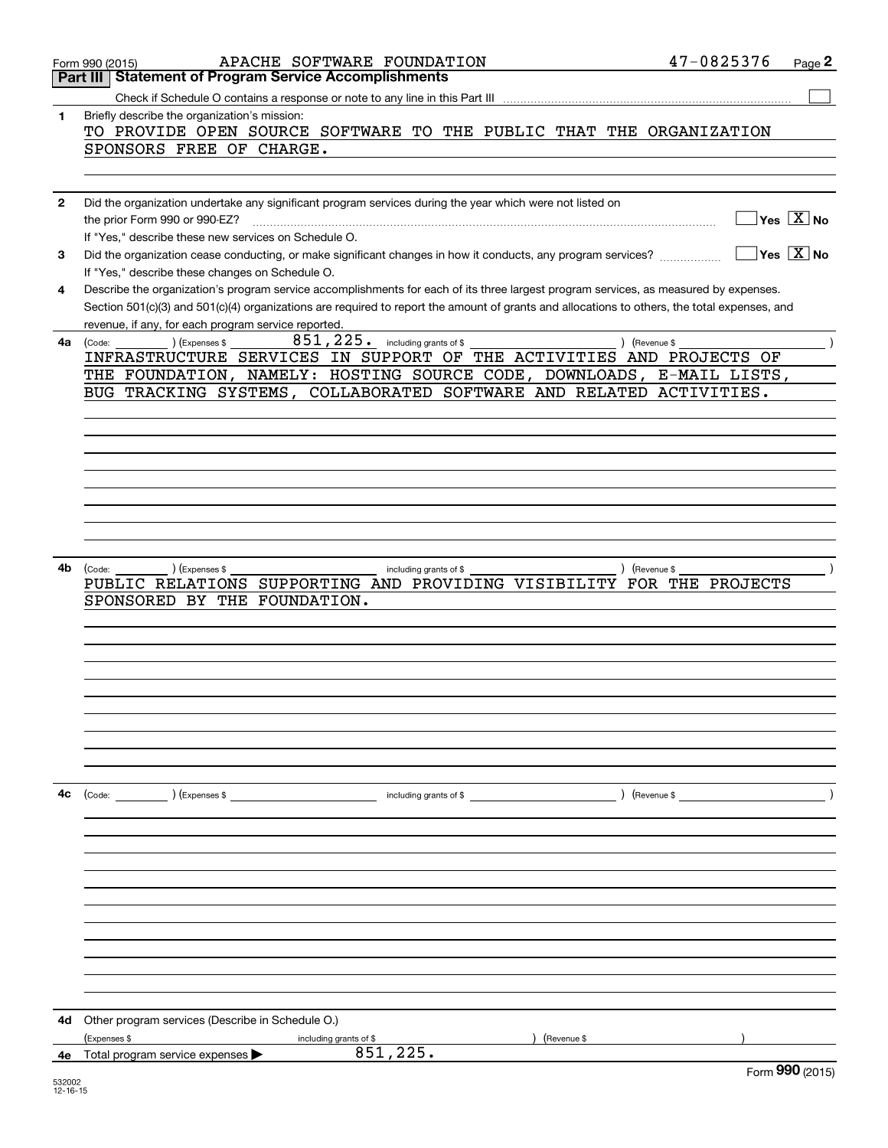|              | APACHE SOFTWARE FOUNDATION<br>Form 990 (2015)                                                                                                                                           | 47-0825376    | Page 2                    |
|--------------|-----------------------------------------------------------------------------------------------------------------------------------------------------------------------------------------|---------------|---------------------------|
|              | <b>Statement of Program Service Accomplishments</b><br>Part III                                                                                                                         |               |                           |
|              | Check if Schedule O contains a response or note to any line in this Part III                                                                                                            |               |                           |
| 1            | Briefly describe the organization's mission:<br>TO PROVIDE OPEN SOURCE SOFTWARE TO THE PUBLIC THAT THE ORGANIZATION                                                                     |               |                           |
|              | SPONSORS FREE OF CHARGE.                                                                                                                                                                |               |                           |
|              |                                                                                                                                                                                         |               |                           |
|              |                                                                                                                                                                                         |               |                           |
| $\mathbf{2}$ | Did the organization undertake any significant program services during the year which were not listed on                                                                                |               |                           |
|              | the prior Form 990 or 990-EZ?                                                                                                                                                           |               | $Yes \quad X$ No          |
|              | If "Yes," describe these new services on Schedule O.                                                                                                                                    |               |                           |
| 3            | Did the organization cease conducting, or make significant changes in how it conducts, any program services?                                                                            |               | $Yes \quad X \quad No$    |
|              | If "Yes," describe these changes on Schedule O.<br>Describe the organization's program service accomplishments for each of its three largest program services, as measured by expenses. |               |                           |
| 4            | Section 501(c)(3) and 501(c)(4) organizations are required to report the amount of grants and allocations to others, the total expenses, and                                            |               |                           |
|              | revenue, if any, for each program service reported.                                                                                                                                     |               |                           |
| 4a           | 851,225.<br>including grants of \$<br>(Expenses \$<br>(Code:                                                                                                                            | ) (Revenue \$ |                           |
|              | INFRASTRUCTURE SERVICES IN SUPPORT OF THE ACTIVITIES AND PROJECTS OF                                                                                                                    |               |                           |
|              | THE FOUNDATION, NAMELY: HOSTING SOURCE CODE, DOWNLOADS, E-MAIL LISTS,                                                                                                                   |               |                           |
|              | BUG TRACKING SYSTEMS, COLLABORATED SOFTWARE AND RELATED ACTIVITIES.                                                                                                                     |               |                           |
|              |                                                                                                                                                                                         |               |                           |
|              |                                                                                                                                                                                         |               |                           |
|              |                                                                                                                                                                                         |               |                           |
|              |                                                                                                                                                                                         |               |                           |
|              |                                                                                                                                                                                         |               |                           |
|              |                                                                                                                                                                                         |               |                           |
|              |                                                                                                                                                                                         |               |                           |
|              |                                                                                                                                                                                         |               |                           |
| 4b           | (Expenses \$<br>(Code:<br>including grants of \$                                                                                                                                        | ) (Revenue \$ |                           |
|              | SUPPORTING AND PROVIDING VISIBILITY FOR THE PROJECTS<br>PUBLIC RELATIONS                                                                                                                |               |                           |
|              | SPONSORED BY THE FOUNDATION.                                                                                                                                                            |               |                           |
|              |                                                                                                                                                                                         |               |                           |
|              |                                                                                                                                                                                         |               |                           |
|              |                                                                                                                                                                                         |               |                           |
|              |                                                                                                                                                                                         |               |                           |
|              |                                                                                                                                                                                         |               |                           |
|              |                                                                                                                                                                                         |               |                           |
|              |                                                                                                                                                                                         |               |                           |
|              |                                                                                                                                                                                         |               |                           |
|              |                                                                                                                                                                                         |               |                           |
| 4c           | (Code: ) (Expenses \$                                                                                                                                                                   |               |                           |
|              |                                                                                                                                                                                         |               |                           |
|              |                                                                                                                                                                                         |               |                           |
|              |                                                                                                                                                                                         |               |                           |
|              |                                                                                                                                                                                         |               |                           |
|              |                                                                                                                                                                                         |               |                           |
|              |                                                                                                                                                                                         |               |                           |
|              |                                                                                                                                                                                         |               |                           |
|              |                                                                                                                                                                                         |               |                           |
|              |                                                                                                                                                                                         |               |                           |
|              |                                                                                                                                                                                         |               |                           |
|              |                                                                                                                                                                                         |               |                           |
| 4d           | Other program services (Describe in Schedule O.)                                                                                                                                        |               |                           |
|              | (Expenses \$<br>) (Revenue \$<br>including grants of \$                                                                                                                                 |               |                           |
| 4e.          | 851,225.<br>Total program service expenses                                                                                                                                              |               |                           |
|              |                                                                                                                                                                                         |               | $F_{\text{c}}$ 990 (2015) |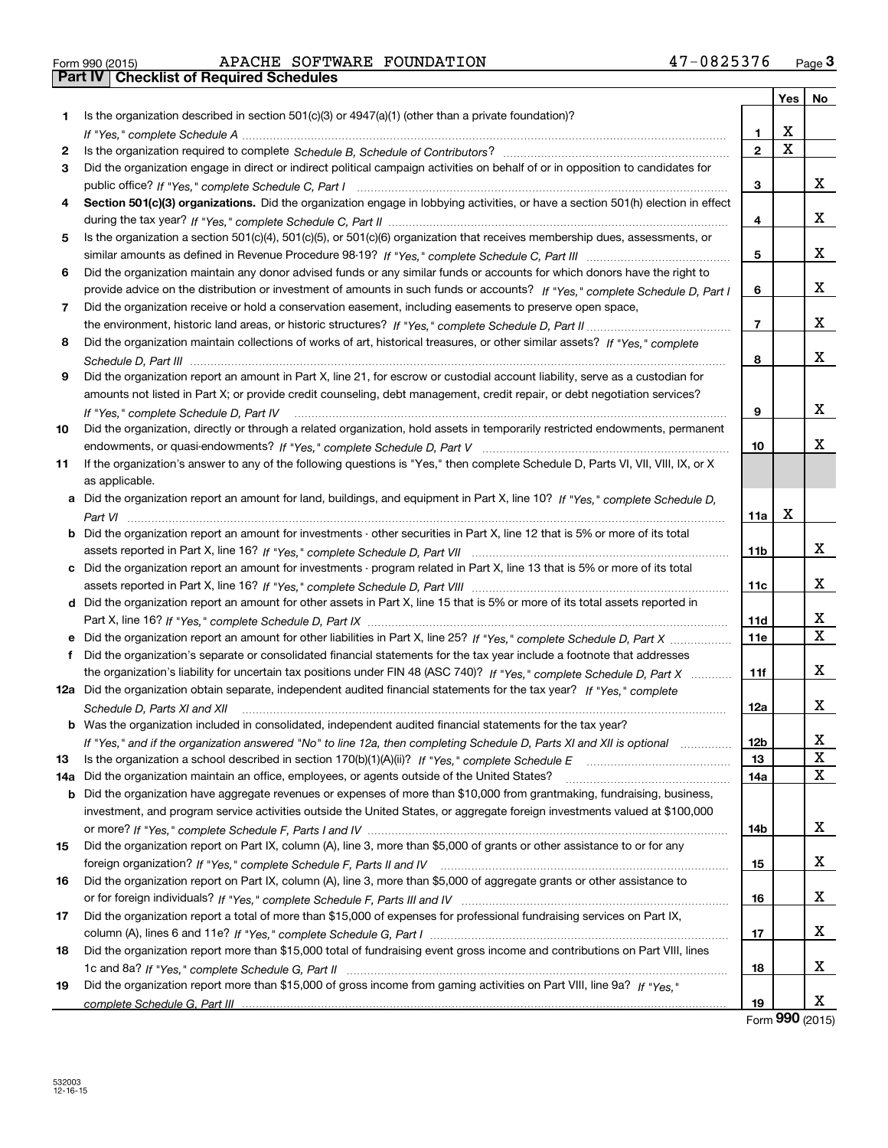| Form 990 (2015) |  |  |
|-----------------|--|--|

# Form 990 (2015) APACHE SOFTWARE FOUNDATION 47-0825376 <sub>Page</sub> 3<br>**Part IV | Checklist of Required Schedules**

|     |                                                                                                                                      |                | Yes | No |
|-----|--------------------------------------------------------------------------------------------------------------------------------------|----------------|-----|----|
| 1.  | Is the organization described in section 501(c)(3) or 4947(a)(1) (other than a private foundation)?                                  |                |     |    |
|     |                                                                                                                                      | 1              | X   |    |
| 2   |                                                                                                                                      | $\overline{2}$ | X   |    |
| 3   | Did the organization engage in direct or indirect political campaign activities on behalf of or in opposition to candidates for      |                |     |    |
|     |                                                                                                                                      | з              |     | х  |
| 4   | Section 501(c)(3) organizations. Did the organization engage in lobbying activities, or have a section 501(h) election in effect     |                |     |    |
|     |                                                                                                                                      | 4              |     | x  |
| 5   | Is the organization a section 501(c)(4), 501(c)(5), or 501(c)(6) organization that receives membership dues, assessments, or         |                |     |    |
|     |                                                                                                                                      | 5              |     | x  |
| 6   | Did the organization maintain any donor advised funds or any similar funds or accounts for which donors have the right to            |                |     |    |
|     | provide advice on the distribution or investment of amounts in such funds or accounts? If "Yes," complete Schedule D, Part I         | 6              |     | x  |
| 7   | Did the organization receive or hold a conservation easement, including easements to preserve open space,                            |                |     |    |
|     |                                                                                                                                      | 7              |     | x  |
| 8   | Did the organization maintain collections of works of art, historical treasures, or other similar assets? If "Yes," complete         |                |     |    |
|     |                                                                                                                                      | 8              |     | x  |
| 9   | Did the organization report an amount in Part X, line 21, for escrow or custodial account liability, serve as a custodian for        |                |     |    |
|     | amounts not listed in Part X; or provide credit counseling, debt management, credit repair, or debt negotiation services?            |                |     |    |
|     | If "Yes," complete Schedule D, Part IV                                                                                               | 9              |     | х  |
| 10  | Did the organization, directly or through a related organization, hold assets in temporarily restricted endowments, permanent        |                |     |    |
|     |                                                                                                                                      | 10             |     | x  |
| 11  | If the organization's answer to any of the following questions is "Yes," then complete Schedule D, Parts VI, VII, VIII, IX, or X     |                |     |    |
|     | as applicable.                                                                                                                       |                |     |    |
|     | a Did the organization report an amount for land, buildings, and equipment in Part X, line 10? If "Yes," complete Schedule D,        |                |     |    |
|     |                                                                                                                                      | 11a            | х   |    |
|     | <b>b</b> Did the organization report an amount for investments - other securities in Part X, line 12 that is 5% or more of its total |                |     |    |
|     |                                                                                                                                      | 11b            |     | x  |
|     | c Did the organization report an amount for investments - program related in Part X, line 13 that is 5% or more of its total         |                |     | х  |
|     |                                                                                                                                      | 11c            |     |    |
|     | d Did the organization report an amount for other assets in Part X, line 15 that is 5% or more of its total assets reported in       | 11d            |     | х  |
|     |                                                                                                                                      | 11e            |     | X  |
| f   | Did the organization's separate or consolidated financial statements for the tax year include a footnote that addresses              |                |     |    |
|     | the organization's liability for uncertain tax positions under FIN 48 (ASC 740)? If "Yes," complete Schedule D, Part X               | 11f            |     | x  |
|     | 12a Did the organization obtain separate, independent audited financial statements for the tax year? If "Yes," complete              |                |     |    |
|     | Schedule D, Parts XI and XII                                                                                                         | 12a            |     | х  |
|     | <b>b</b> Was the organization included in consolidated, independent audited financial statements for the tax year?                   |                |     |    |
|     | If "Yes," and if the organization answered "No" to line 12a, then completing Schedule D, Parts XI and XII is optional manum          | 12b            |     | X  |
| 13  |                                                                                                                                      | 13             |     | X  |
| 14a | Did the organization maintain an office, employees, or agents outside of the United States?                                          | 14a            |     | X  |
|     | <b>b</b> Did the organization have aggregate revenues or expenses of more than \$10,000 from grantmaking, fundraising, business,     |                |     |    |
|     | investment, and program service activities outside the United States, or aggregate foreign investments valued at \$100,000           |                |     |    |
|     |                                                                                                                                      | 14b            |     | x  |
| 15  | Did the organization report on Part IX, column (A), line 3, more than \$5,000 of grants or other assistance to or for any            |                |     |    |
|     |                                                                                                                                      | 15             |     | х  |
| 16  | Did the organization report on Part IX, column (A), line 3, more than \$5,000 of aggregate grants or other assistance to             |                |     |    |
|     |                                                                                                                                      | 16             |     | x  |
| 17  | Did the organization report a total of more than \$15,000 of expenses for professional fundraising services on Part IX,              |                |     |    |
|     |                                                                                                                                      | 17             |     | x  |
| 18  | Did the organization report more than \$15,000 total of fundraising event gross income and contributions on Part VIII, lines         |                |     |    |
|     |                                                                                                                                      | 18             |     | x  |
| 19  | Did the organization report more than \$15,000 of gross income from gaming activities on Part VIII, line 9a? If "Yes."               |                |     |    |
|     |                                                                                                                                      | 19             |     | x  |

Form (2015) **990**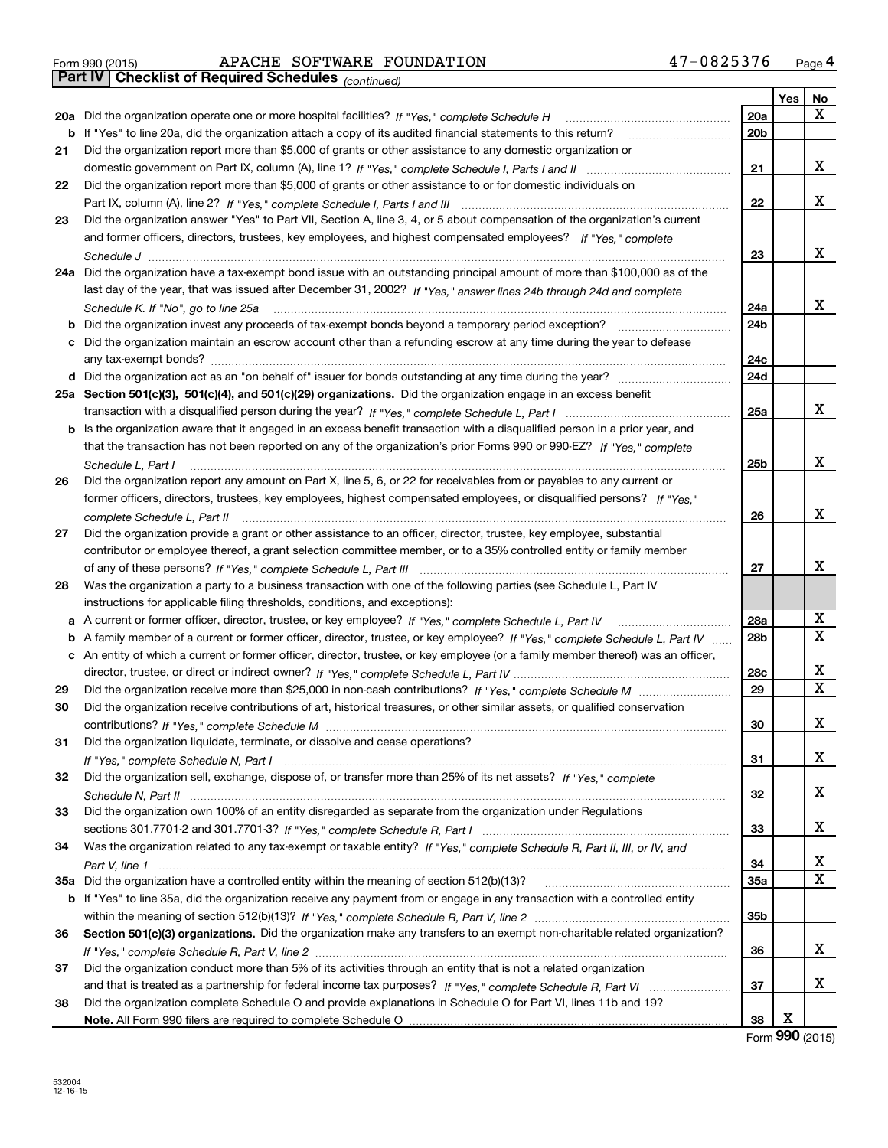|  | Form 990 (2015) |  |
|--|-----------------|--|

*(continued)*

|          |                                                                                                                                   |                 | Yes | No     |
|----------|-----------------------------------------------------------------------------------------------------------------------------------|-----------------|-----|--------|
|          | 20a Did the organization operate one or more hospital facilities? If "Yes," complete Schedule H                                   | 20a             |     | х      |
| b        | If "Yes" to line 20a, did the organization attach a copy of its audited financial statements to this return?                      | 20 <sub>b</sub> |     |        |
| 21       | Did the organization report more than \$5,000 of grants or other assistance to any domestic organization or                       |                 |     |        |
|          |                                                                                                                                   | 21              |     | х      |
| 22       | Did the organization report more than \$5,000 of grants or other assistance to or for domestic individuals on                     |                 |     |        |
|          |                                                                                                                                   | 22              |     | x      |
| 23       | Did the organization answer "Yes" to Part VII, Section A, line 3, 4, or 5 about compensation of the organization's current        |                 |     |        |
|          | and former officers, directors, trustees, key employees, and highest compensated employees? If "Yes," complete                    |                 |     |        |
|          |                                                                                                                                   | 23              |     | х      |
| 24a      | Did the organization have a tax-exempt bond issue with an outstanding principal amount of more than \$100,000 as of the           |                 |     |        |
|          | last day of the year, that was issued after December 31, 2002? If "Yes," answer lines 24b through 24d and complete                |                 |     |        |
|          | Schedule K. If "No", go to line 25a                                                                                               | 24a             |     | х      |
| b        |                                                                                                                                   | 24b             |     |        |
|          | c Did the organization maintain an escrow account other than a refunding escrow at any time during the year to defease            |                 |     |        |
|          |                                                                                                                                   | 24c             |     |        |
|          |                                                                                                                                   | 24d             |     |        |
|          | 25a Section 501(c)(3), 501(c)(4), and 501(c)(29) organizations. Did the organization engage in an excess benefit                  |                 |     |        |
|          |                                                                                                                                   | 25a             |     | х      |
| b        | Is the organization aware that it engaged in an excess benefit transaction with a disqualified person in a prior year, and        |                 |     |        |
|          | that the transaction has not been reported on any of the organization's prior Forms 990 or 990-EZ? If "Yes," complete             |                 |     |        |
|          | Schedule L. Part I                                                                                                                | 25b             |     | х      |
| 26       | Did the organization report any amount on Part X, line 5, 6, or 22 for receivables from or payables to any current or             |                 |     |        |
|          | former officers, directors, trustees, key employees, highest compensated employees, or disqualified persons? If "Yes."            |                 |     |        |
|          | complete Schedule L, Part II                                                                                                      | 26              |     | х      |
| 27       | Did the organization provide a grant or other assistance to an officer, director, trustee, key employee, substantial              |                 |     |        |
|          | contributor or employee thereof, a grant selection committee member, or to a 35% controlled entity or family member               |                 |     |        |
|          |                                                                                                                                   | 27              |     | х      |
| 28       | Was the organization a party to a business transaction with one of the following parties (see Schedule L, Part IV                 |                 |     |        |
|          | instructions for applicable filing thresholds, conditions, and exceptions):                                                       |                 |     |        |
| а        | A current or former officer, director, trustee, or key employee? If "Yes," complete Schedule L, Part IV                           | 28a             |     | x<br>х |
| b        | A family member of a current or former officer, director, trustee, or key employee? If "Yes," complete Schedule L, Part IV        | 28 <sub>b</sub> |     |        |
|          | c An entity of which a current or former officer, director, trustee, or key employee (or a family member thereof) was an officer, |                 |     | х      |
|          |                                                                                                                                   | 28c<br>29       |     | х      |
| 29<br>30 | Did the organization receive contributions of art, historical treasures, or other similar assets, or qualified conservation       |                 |     |        |
|          |                                                                                                                                   | 30              |     | х      |
|          |                                                                                                                                   |                 |     |        |
| 31       | Did the organization liquidate, terminate, or dissolve and cease operations?                                                      | 31              |     | x      |
| 32       | Did the organization sell, exchange, dispose of, or transfer more than 25% of its net assets? If "Yes," complete                  |                 |     |        |
|          |                                                                                                                                   | 32              |     | X.     |
| 33       | Did the organization own 100% of an entity disregarded as separate from the organization under Regulations                        |                 |     |        |
|          |                                                                                                                                   | 33              |     | х      |
| 34       | Was the organization related to any tax-exempt or taxable entity? If "Yes," complete Schedule R, Part II, III, or IV, and         |                 |     |        |
|          |                                                                                                                                   | 34              |     | x      |
| 35a      | Did the organization have a controlled entity within the meaning of section 512(b)(13)?                                           | <b>35a</b>      |     | х      |
|          | b If "Yes" to line 35a, did the organization receive any payment from or engage in any transaction with a controlled entity       |                 |     |        |
|          |                                                                                                                                   | 35b             |     |        |
| 36       | Section 501(c)(3) organizations. Did the organization make any transfers to an exempt non-charitable related organization?        |                 |     |        |
|          |                                                                                                                                   | 36              |     | x      |
| 37       | Did the organization conduct more than 5% of its activities through an entity that is not a related organization                  |                 |     |        |
|          |                                                                                                                                   | 37              |     | x      |
| 38       | Did the organization complete Schedule O and provide explanations in Schedule O for Part VI, lines 11b and 19?                    |                 |     |        |
|          |                                                                                                                                   | 38              | х   |        |

Form (2015) **990**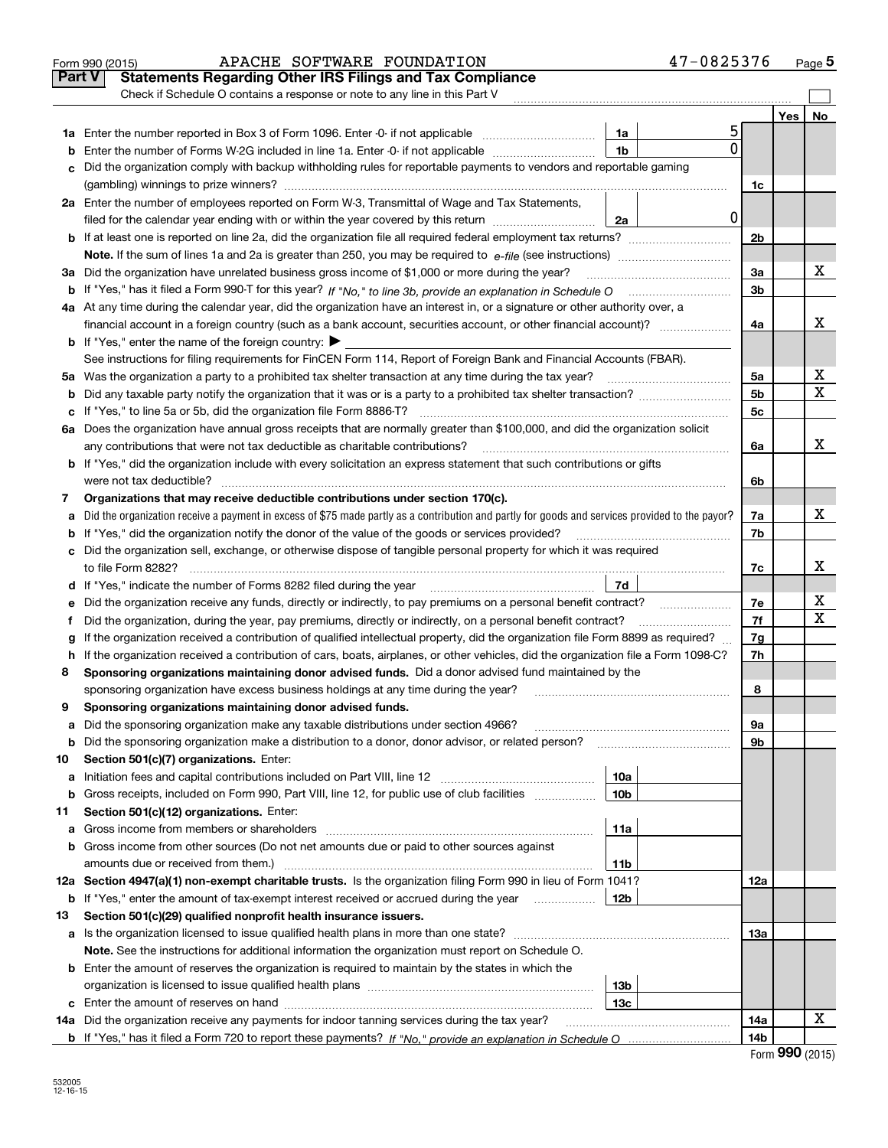|               | APACHE SOFTWARE FOUNDATION<br>Form 990 (2015)                                                                                                   |                 | 47-0825376  |                |     | Page 5 |
|---------------|-------------------------------------------------------------------------------------------------------------------------------------------------|-----------------|-------------|----------------|-----|--------|
| <b>Part V</b> | <b>Statements Regarding Other IRS Filings and Tax Compliance</b>                                                                                |                 |             |                |     |        |
|               | Check if Schedule O contains a response or note to any line in this Part V                                                                      |                 |             |                |     |        |
|               |                                                                                                                                                 |                 |             |                | Yes | No     |
|               |                                                                                                                                                 | 1a              | 5           |                |     |        |
| b             | Enter the number of Forms W-2G included in line 1a. Enter -0- if not applicable                                                                 | 1 <sub>b</sub>  | 0           |                |     |        |
| с             | Did the organization comply with backup withholding rules for reportable payments to vendors and reportable gaming                              |                 |             |                |     |        |
|               |                                                                                                                                                 |                 |             | 1c             |     |        |
|               | 2a Enter the number of employees reported on Form W-3, Transmittal of Wage and Tax Statements,                                                  |                 |             |                |     |        |
|               | filed for the calendar year ending with or within the year covered by this return                                                               | 2a              | $\mathbf 0$ |                |     |        |
|               |                                                                                                                                                 |                 |             | 2 <sub>b</sub> |     |        |
|               |                                                                                                                                                 |                 |             |                |     |        |
| За            | Did the organization have unrelated business gross income of \$1,000 or more during the year?                                                   |                 |             | 3a             |     | x      |
|               |                                                                                                                                                 |                 |             | 3b             |     |        |
|               | 4a At any time during the calendar year, did the organization have an interest in, or a signature or other authority over, a                    |                 |             |                |     |        |
|               |                                                                                                                                                 |                 |             | 4a             |     | x      |
|               | <b>b</b> If "Yes," enter the name of the foreign country: $\blacktriangleright$                                                                 |                 |             |                |     |        |
|               | See instructions for filing requirements for FinCEN Form 114, Report of Foreign Bank and Financial Accounts (FBAR).                             |                 |             |                |     |        |
|               |                                                                                                                                                 |                 |             | 5а             |     | х      |
| b             |                                                                                                                                                 |                 |             | 5b             |     | х      |
| с             |                                                                                                                                                 |                 |             | 5c             |     |        |
|               | 6a Does the organization have annual gross receipts that are normally greater than \$100,000, and did the organization solicit                  |                 |             |                |     |        |
|               | any contributions that were not tax deductible as charitable contributions?                                                                     |                 |             | 6a             |     | х      |
|               | <b>b</b> If "Yes," did the organization include with every solicitation an express statement that such contributions or gifts                   |                 |             |                |     |        |
|               | were not tax deductible?                                                                                                                        |                 |             | 6b             |     |        |
| 7             | Organizations that may receive deductible contributions under section 170(c).                                                                   |                 |             |                |     |        |
| a             | Did the organization receive a payment in excess of \$75 made partly as a contribution and partly for goods and services provided to the payor? |                 |             | 7a             |     | х      |
| b             | If "Yes," did the organization notify the donor of the value of the goods or services provided?                                                 |                 |             | 7b             |     |        |
|               | c Did the organization sell, exchange, or otherwise dispose of tangible personal property for which it was required                             |                 |             |                |     |        |
|               |                                                                                                                                                 |                 |             | 7c             |     | х      |
|               |                                                                                                                                                 |                 |             |                |     |        |
| е             |                                                                                                                                                 |                 |             | 7е             |     | х      |
| f             | Did the organization, during the year, pay premiums, directly or indirectly, on a personal benefit contract?                                    |                 |             | 7f             |     | х      |
| g             | If the organization received a contribution of qualified intellectual property, did the organization file Form 8899 as required?                |                 |             | 7g             |     |        |
| h             | If the organization received a contribution of cars, boats, airplanes, or other vehicles, did the organization file a Form 1098-C?              |                 |             | 7h             |     |        |
| 8             | Sponsoring organizations maintaining donor advised funds. Did a donor advised fund maintained by the                                            |                 |             |                |     |        |
|               | sponsoring organization have excess business holdings at any time during the year?                                                              |                 |             | 8              |     |        |
|               | Sponsoring organizations maintaining donor advised funds.                                                                                       |                 |             |                |     |        |
| а             | Did the sponsoring organization make any taxable distributions under section 4966?                                                              |                 |             | 9а             |     |        |
| b             | Did the sponsoring organization make a distribution to a donor, donor advisor, or related person?                                               |                 |             | 9b             |     |        |
| 10            | Section 501(c)(7) organizations. Enter:                                                                                                         |                 |             |                |     |        |
| а             | Initiation fees and capital contributions included on Part VIII, line 12 <i>manuarrouus</i> manuations of the lates                             | 10a             |             |                |     |        |
| b             | Gross receipts, included on Form 990, Part VIII, line 12, for public use of club facilities                                                     | 10 <sub>b</sub> |             |                |     |        |
| 11            | Section 501(c)(12) organizations. Enter:                                                                                                        |                 |             |                |     |        |
| а             | Gross income from members or shareholders                                                                                                       | 11a             |             |                |     |        |
| b             | Gross income from other sources (Do not net amounts due or paid to other sources against                                                        |                 |             |                |     |        |
|               | amounts due or received from them.)                                                                                                             | <b>11b</b>      |             |                |     |        |
|               | 12a Section 4947(a)(1) non-exempt charitable trusts. Is the organization filing Form 990 in lieu of Form 1041?                                  |                 |             | 12a            |     |        |
| b             | If "Yes," enter the amount of tax-exempt interest received or accrued during the year <i>manuming</i>                                           | 12b             |             |                |     |        |
| 13            | Section 501(c)(29) qualified nonprofit health insurance issuers.                                                                                |                 |             |                |     |        |
| а             | Is the organization licensed to issue qualified health plans in more than one state?                                                            |                 |             | 13a            |     |        |
|               | Note. See the instructions for additional information the organization must report on Schedule O.                                               |                 |             |                |     |        |
|               | <b>b</b> Enter the amount of reserves the organization is required to maintain by the states in which the                                       |                 |             |                |     |        |
|               |                                                                                                                                                 | 13b             |             |                |     |        |
|               |                                                                                                                                                 | 13с             |             |                |     |        |
|               | 14a Did the organization receive any payments for indoor tanning services during the tax year?                                                  |                 |             | 14a            |     | х      |
|               |                                                                                                                                                 |                 |             | 14b            |     |        |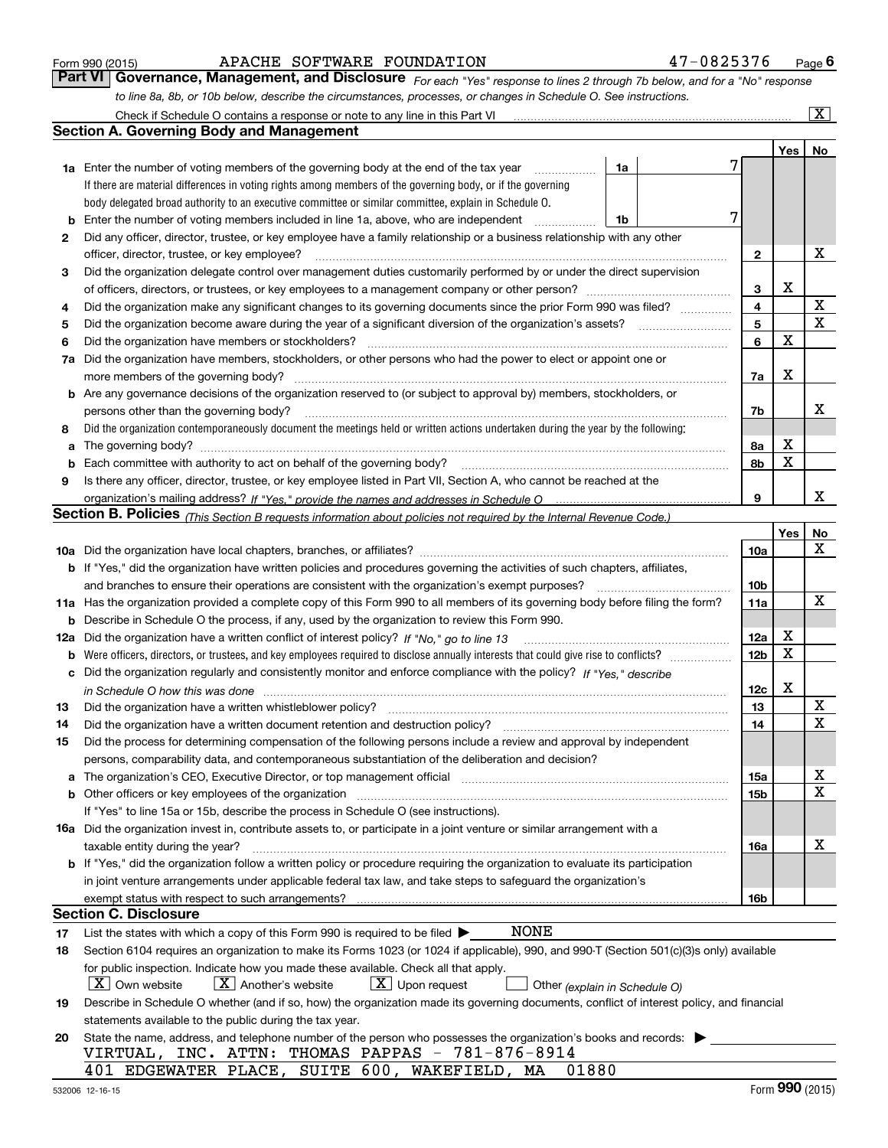| Form 990 (2015) |  |  |
|-----------------|--|--|
|                 |  |  |

| Form 990 (2015) | APACHE SOFTWARE FOUNDATION |                                                                                                                               | 47-0825376 | $P_{\text{aqe}}$ 6 |
|-----------------|----------------------------|-------------------------------------------------------------------------------------------------------------------------------|------------|--------------------|
|                 |                            | Part VI   Governance, Management, and Disclosure For each "Yes" response to lines 2 through 7b below, and for a "No" response |            |                    |
|                 |                            | to line 8a, 8b, or 10b below, describe the circumstances, processes, or changes in Schedule O. See instructions.              |            |                    |

|    |                                                                                                                                                                       |                 |     | $\overline{\mathbf{X}}$ |
|----|-----------------------------------------------------------------------------------------------------------------------------------------------------------------------|-----------------|-----|-------------------------|
|    | <b>Section A. Governing Body and Management</b>                                                                                                                       |                 |     |                         |
|    |                                                                                                                                                                       |                 | Yes | No                      |
|    | <b>1a</b> Enter the number of voting members of the governing body at the end of the tax year<br>1a                                                                   |                 |     |                         |
|    | If there are material differences in voting rights among members of the governing body, or if the governing                                                           |                 |     |                         |
|    | body delegated broad authority to an executive committee or similar committee, explain in Schedule O.                                                                 |                 |     |                         |
| b  | Enter the number of voting members included in line 1a, above, who are independent<br>1b                                                                              |                 |     |                         |
| 2  | Did any officer, director, trustee, or key employee have a family relationship or a business relationship with any other                                              |                 |     |                         |
|    | officer, director, trustee, or key employee?                                                                                                                          | $\mathbf{2}$    |     | Х                       |
| З  | Did the organization delegate control over management duties customarily performed by or under the direct supervision                                                 |                 |     |                         |
|    |                                                                                                                                                                       | 3               | X   |                         |
| 4  | Did the organization make any significant changes to its governing documents since the prior Form 990 was filed?                                                      | 4               |     | X                       |
| 5  |                                                                                                                                                                       | 5               |     | $\mathbf x$             |
| 6  | Did the organization have members or stockholders?                                                                                                                    | 6               | X   |                         |
| 7a | Did the organization have members, stockholders, or other persons who had the power to elect or appoint one or                                                        |                 |     |                         |
|    | more members of the governing body?                                                                                                                                   | 7a              | X   |                         |
|    | b Are any governance decisions of the organization reserved to (or subject to approval by) members, stockholders, or                                                  |                 |     |                         |
|    | persons other than the governing body?                                                                                                                                | 7b              |     | х                       |
| 8  | Did the organization contemporaneously document the meetings held or written actions undertaken during the year by the following:                                     |                 |     |                         |
| а  |                                                                                                                                                                       | 8a              | X   |                         |
| b  | Each committee with authority to act on behalf of the governing body?                                                                                                 | 8b              | X   |                         |
| 9  | Is there any officer, director, trustee, or key employee listed in Part VII, Section A, who cannot be reached at the                                                  |                 |     |                         |
|    |                                                                                                                                                                       | 9               |     | x                       |
|    | Section B. Policies <sub>(This</sub> Section B requests information about policies not required by the Internal Revenue Code.)                                        |                 |     |                         |
|    |                                                                                                                                                                       |                 | Yes | No                      |
|    |                                                                                                                                                                       | 10a             |     | x                       |
|    | <b>b</b> If "Yes," did the organization have written policies and procedures governing the activities of such chapters, affiliates,                                   |                 |     |                         |
|    | and branches to ensure their operations are consistent with the organization's exempt purposes?                                                                       | 10b             |     |                         |
|    | 11a Has the organization provided a complete copy of this Form 990 to all members of its governing body before filing the form?                                       | 11a             |     | х                       |
| b  | Describe in Schedule O the process, if any, used by the organization to review this Form 990.                                                                         |                 |     |                         |
|    | 12a Did the organization have a written conflict of interest policy? If "No," go to line 13                                                                           | 12a             | X   |                         |
| b  |                                                                                                                                                                       | 12 <sub>b</sub> | X   |                         |
| с  | Did the organization regularly and consistently monitor and enforce compliance with the policy? If "Yes," describe                                                    |                 |     |                         |
|    |                                                                                                                                                                       | 12c             | X   |                         |
| 13 | Did the organization have a written whistleblower policy?                                                                                                             | 13              |     | х                       |
| 14 | Did the organization have a written document retention and destruction policy?                                                                                        | 14              |     | $\overline{\mathbf{x}}$ |
| 15 | Did the process for determining compensation of the following persons include a review and approval by independent                                                    |                 |     |                         |
|    | persons, comparability data, and contemporaneous substantiation of the deliberation and decision?                                                                     |                 |     |                         |
| а  | The organization's CEO, Executive Director, or top management official manufactured content of the organization's CEO, Executive Director, or top management official | 15a             |     | х                       |
|    | <b>b</b> Other officers or key employees of the organization                                                                                                          | 15b             |     | $\mathbf X$             |
|    | If "Yes" to line 15a or 15b, describe the process in Schedule O (see instructions).                                                                                   |                 |     |                         |
|    | <b>16a</b> Did the organization invest in, contribute assets to, or participate in a joint venture or similar arrangement with a                                      |                 |     |                         |
|    | taxable entity during the year?                                                                                                                                       | 16a             |     | х                       |
|    | <b>b</b> If "Yes," did the organization follow a written policy or procedure requiring the organization to evaluate its participation                                 |                 |     |                         |
|    | in joint venture arrangements under applicable federal tax law, and take steps to safeguard the organization's                                                        |                 |     |                         |
|    |                                                                                                                                                                       | 16b             |     |                         |
|    | <b>Section C. Disclosure</b>                                                                                                                                          |                 |     |                         |
| 17 | <b>NONE</b><br>List the states with which a copy of this Form 990 is required to be filed $\blacktriangleright$                                                       |                 |     |                         |
| 18 | Section 6104 requires an organization to make its Forms 1023 (or 1024 if applicable), 990, and 990-T (Section 501(c)(3)s only) available                              |                 |     |                         |
|    | for public inspection. Indicate how you made these available. Check all that apply.                                                                                   |                 |     |                         |
|    | $X$ Own website<br>$X$ Another's website<br>$X$ Upon request<br>Other (explain in Schedule O)                                                                         |                 |     |                         |
| 19 | Describe in Schedule O whether (and if so, how) the organization made its governing documents, conflict of interest policy, and financial                             |                 |     |                         |
|    | statements available to the public during the tax year.                                                                                                               |                 |     |                         |
| 20 | State the name, address, and telephone number of the person who possesses the organization's books and records:                                                       |                 |     |                         |
|    | INC. ATTN: THOMAS PAPPAS - $781-876-8914$<br>VIRTUAL,                                                                                                                 |                 |     |                         |
|    | EDGEWATER PLACE, SUITE 600, WAKEFIELD, MA<br>401<br>01880                                                                                                             |                 |     |                         |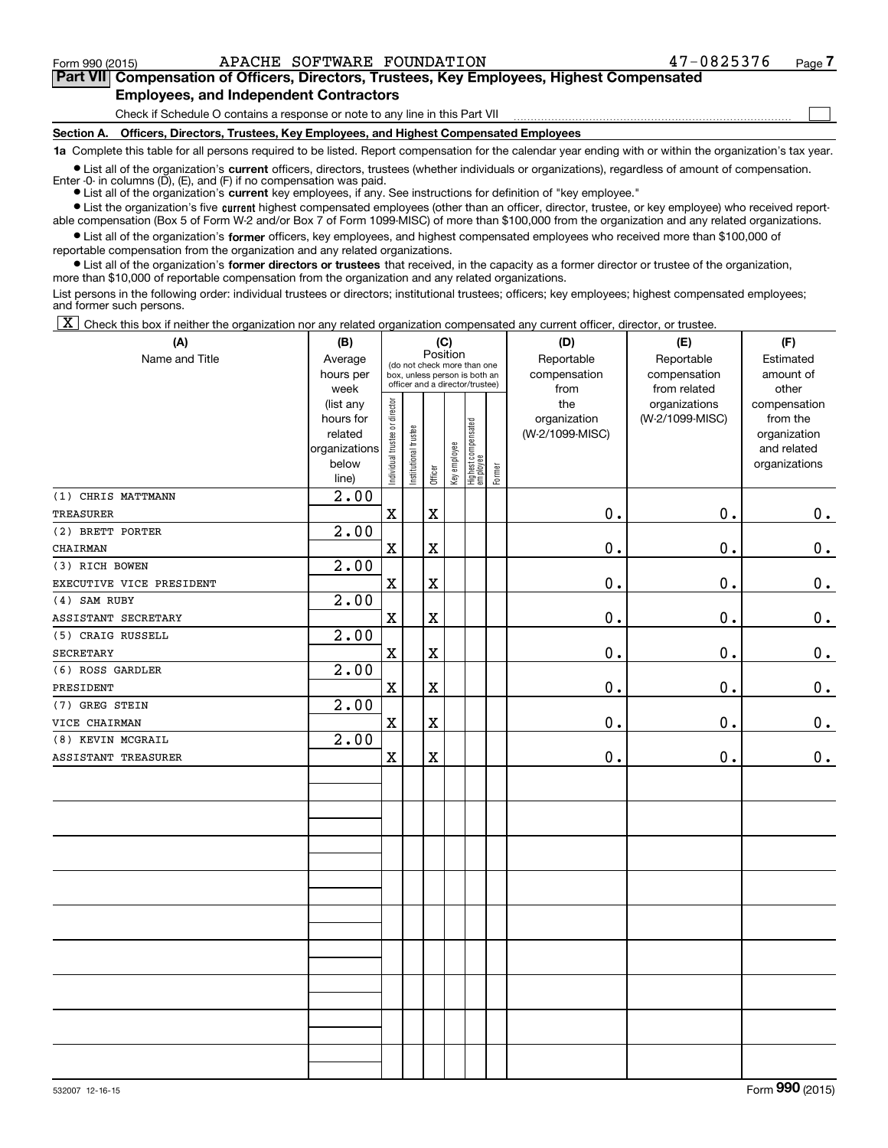**(A)**

 $\mathcal{L}^{\text{max}}$ 

## **7Part VII Compensation of Officers, Directors, Trustees, Key Employees, Highest Compensated Employees, and Independent Contractors**

Check if Schedule O contains a response or note to any line in this Part VII

**Section A. Officers, Directors, Trustees, Key Employees, and Highest Compensated Employees**

**1a**  Complete this table for all persons required to be listed. Report compensation for the calendar year ending with or within the organization's tax year.

**•** List all of the organization's current officers, directors, trustees (whether individuals or organizations), regardless of amount of compensation. Enter  $-0$ - in columns  $(D)$ ,  $(E)$ , and  $(F)$  if no compensation was paid.

● List all of the organization's **current** key employees, if any. See instructions for definition of "key employee."

**•** List the organization's five current highest compensated employees (other than an officer, director, trustee, or key employee) who received reportable compensation (Box 5 of Form W-2 and/or Box 7 of Form 1099-MISC) of more than \$100,000 from the organization and any related organizations.

 $\bullet$  List all of the organization's **former** officers, key employees, and highest compensated employees who received more than \$100,000 of reportable compensation from the organization and any related organizations.

**•** List all of the organization's former directors or trustees that received, in the capacity as a former director or trustee of the organization, more than \$10,000 of reportable compensation from the organization and any related organizations.

List persons in the following order: individual trustees or directors; institutional trustees; officers; key employees; highest compensated employees; and former such persons.

 $\boxed{\textbf{X}}$  Check this box if neither the organization nor any related organization compensated any current officer, director, or trustee.

| (A)                      | (B)               | (C)                                     |                                                                  |             |              |                                 |        | (D)             | (E)             | (F)           |
|--------------------------|-------------------|-----------------------------------------|------------------------------------------------------------------|-------------|--------------|---------------------------------|--------|-----------------|-----------------|---------------|
| Name and Title           | Average           | Position<br>(do not check more than one |                                                                  |             |              |                                 |        | Reportable      | Reportable      | Estimated     |
|                          | hours per         |                                         | box, unless person is both an<br>officer and a director/trustee) |             |              |                                 |        | compensation    | compensation    | amount of     |
|                          | week              |                                         |                                                                  |             |              |                                 |        | from            | from related    | other         |
|                          | (list any         |                                         |                                                                  |             |              |                                 |        | the             | organizations   | compensation  |
|                          | hours for         |                                         |                                                                  |             |              |                                 |        | organization    | (W-2/1099-MISC) | from the      |
|                          | related           |                                         |                                                                  |             |              |                                 |        | (W-2/1099-MISC) |                 | organization  |
|                          | organizations     |                                         |                                                                  |             |              |                                 |        |                 |                 | and related   |
|                          | below<br>line)    | Individual trustee or director          | Institutional trustee                                            | Officer     | Key employee | Highest compensated<br>employee | Former |                 |                 | organizations |
| (1) CHRIS MATTMANN       | 2.00              |                                         |                                                                  |             |              |                                 |        |                 |                 |               |
| <b>TREASURER</b>         |                   | $\mathbf x$                             |                                                                  | $\mathbf X$ |              |                                 |        | $\mathbf 0$ .   | 0.              | 0.            |
| (2) BRETT PORTER         | 2.00              |                                         |                                                                  |             |              |                                 |        |                 |                 |               |
| CHAIRMAN                 |                   | $\mathbf X$                             |                                                                  | $\mathbf X$ |              |                                 |        | $\mathbf 0$ .   | 0.              | 0.            |
| (3) RICH BOWEN           | 2.00              |                                         |                                                                  |             |              |                                 |        |                 |                 |               |
| EXECUTIVE VICE PRESIDENT |                   | $\mathbf x$                             |                                                                  | $\mathbf X$ |              |                                 |        | $\mathbf 0$ .   | 0.              | $0_{.}$       |
| (4) SAM RUBY             | 2.00              |                                         |                                                                  |             |              |                                 |        |                 |                 |               |
| ASSISTANT SECRETARY      |                   | $\mathbf x$                             |                                                                  | $\mathbf X$ |              |                                 |        | $\mathbf 0$ .   | 0.              | 0.            |
| (5) CRAIG RUSSELL        | $\overline{2.00}$ |                                         |                                                                  |             |              |                                 |        |                 |                 |               |
| <b>SECRETARY</b>         |                   | $\mathbf X$                             |                                                                  | $\mathbf X$ |              |                                 |        | $\mathbf 0$ .   | 0.              | 0.            |
| (6) ROSS GARDLER         | 2.00              |                                         |                                                                  |             |              |                                 |        |                 |                 |               |
| PRESIDENT                |                   | $\mathbf X$                             |                                                                  | $\mathbf X$ |              |                                 |        | $\mathbf 0$ .   | 0.              | 0.            |
| (7) GREG STEIN           | 2.00              |                                         |                                                                  |             |              |                                 |        |                 |                 |               |
| VICE CHAIRMAN            |                   | $\mathbf X$                             |                                                                  | $\mathbf X$ |              |                                 |        | $\mathbf 0$ .   | $\mathbf 0$ .   | 0.            |
| (8) KEVIN MCGRAIL        | $\overline{2.00}$ |                                         |                                                                  |             |              |                                 |        |                 |                 |               |
| ASSISTANT TREASURER      |                   | $\mathbf X$                             |                                                                  | $\mathbf X$ |              |                                 |        | $\mathbf 0$ .   | $\mathbf 0$ .   | 0.            |
|                          |                   |                                         |                                                                  |             |              |                                 |        |                 |                 |               |
|                          |                   |                                         |                                                                  |             |              |                                 |        |                 |                 |               |
|                          |                   |                                         |                                                                  |             |              |                                 |        |                 |                 |               |
|                          |                   |                                         |                                                                  |             |              |                                 |        |                 |                 |               |
|                          |                   |                                         |                                                                  |             |              |                                 |        |                 |                 |               |
|                          |                   |                                         |                                                                  |             |              |                                 |        |                 |                 |               |
|                          |                   |                                         |                                                                  |             |              |                                 |        |                 |                 |               |
|                          |                   |                                         |                                                                  |             |              |                                 |        |                 |                 |               |
|                          |                   |                                         |                                                                  |             |              |                                 |        |                 |                 |               |
|                          |                   |                                         |                                                                  |             |              |                                 |        |                 |                 |               |
|                          |                   |                                         |                                                                  |             |              |                                 |        |                 |                 |               |
|                          |                   |                                         |                                                                  |             |              |                                 |        |                 |                 |               |
|                          |                   |                                         |                                                                  |             |              |                                 |        |                 |                 |               |
|                          |                   |                                         |                                                                  |             |              |                                 |        |                 |                 |               |
|                          |                   |                                         |                                                                  |             |              |                                 |        |                 |                 |               |
|                          |                   |                                         |                                                                  |             |              |                                 |        |                 |                 |               |
|                          |                   |                                         |                                                                  |             |              |                                 |        |                 |                 |               |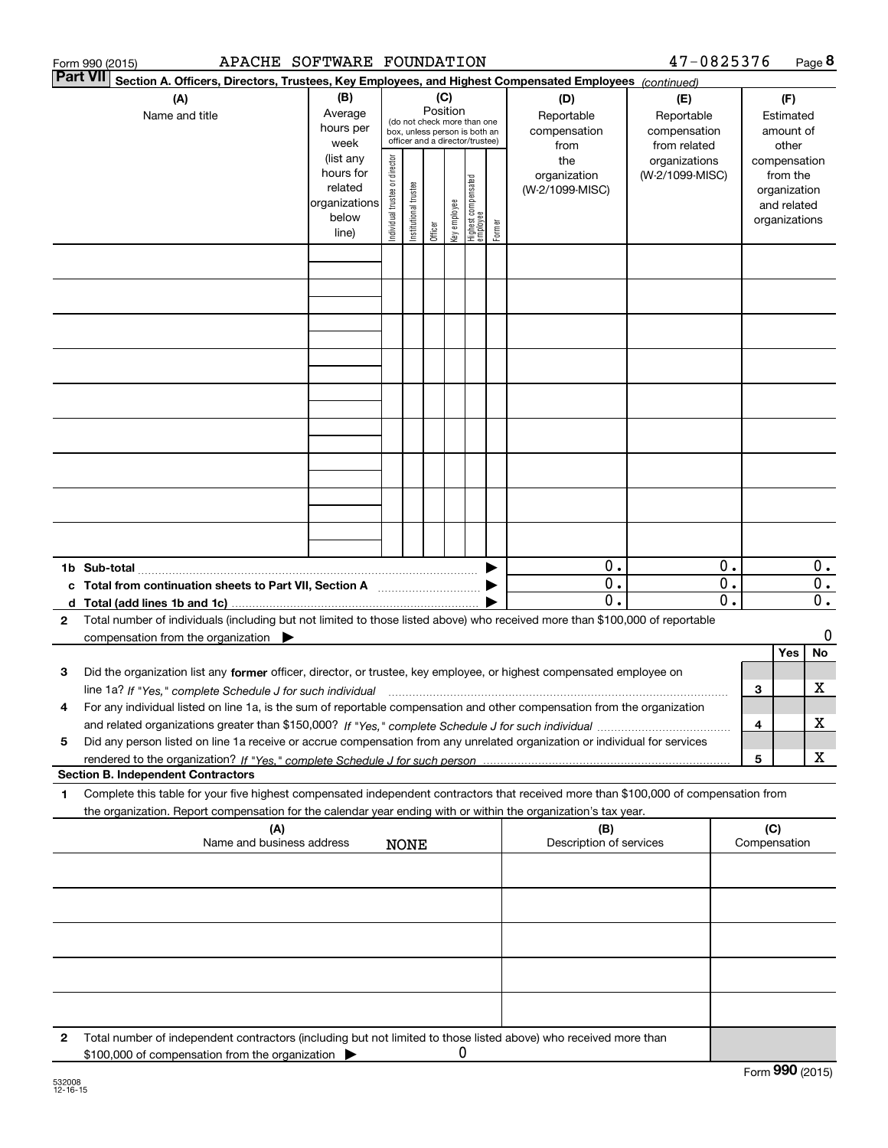|   | APACHE SOFTWARE FOUNDATION<br>Form 990 (2015)                                                                                                                                                                                                          |                                                                      |                                                                                                                    |                       |         |              |                                           |                                                   |                                        | 47-0825376                       |                                        |     |                                                                          | Page 8                    |
|---|--------------------------------------------------------------------------------------------------------------------------------------------------------------------------------------------------------------------------------------------------------|----------------------------------------------------------------------|--------------------------------------------------------------------------------------------------------------------|-----------------------|---------|--------------|-------------------------------------------|---------------------------------------------------|----------------------------------------|----------------------------------|----------------------------------------|-----|--------------------------------------------------------------------------|---------------------------|
|   | <b>Part VII</b><br>Section A. Officers, Directors, Trustees, Key Employees, and Highest Compensated Employees (continued)                                                                                                                              |                                                                      |                                                                                                                    |                       |         |              |                                           |                                                   |                                        |                                  |                                        |     |                                                                          |                           |
|   | (A)<br>Name and title                                                                                                                                                                                                                                  | (B)<br>Average<br>hours per<br>week                                  | (C)<br>Position<br>(do not check more than one<br>box, unless person is both an<br>officer and a director/trustee) |                       |         |              | (D)<br>Reportable<br>compensation<br>from | (E)<br>Reportable<br>compensation<br>from related |                                        |                                  | (F)<br>Estimated<br>amount of<br>other |     |                                                                          |                           |
|   |                                                                                                                                                                                                                                                        | (list any<br>hours for<br>related<br>organizations<br>below<br>line) | Individual trustee or director                                                                                     | Institutional trustee | Officer | key employee | Highest compensated<br>employee           | Former                                            | the<br>organization<br>(W-2/1099-MISC) | organizations<br>(W-2/1099-MISC) |                                        |     | compensation<br>from the<br>organization<br>and related<br>organizations |                           |
|   |                                                                                                                                                                                                                                                        |                                                                      |                                                                                                                    |                       |         |              |                                           |                                                   |                                        |                                  |                                        |     |                                                                          |                           |
|   |                                                                                                                                                                                                                                                        |                                                                      |                                                                                                                    |                       |         |              |                                           |                                                   |                                        |                                  |                                        |     |                                                                          |                           |
|   |                                                                                                                                                                                                                                                        |                                                                      |                                                                                                                    |                       |         |              |                                           |                                                   |                                        |                                  |                                        |     |                                                                          |                           |
|   |                                                                                                                                                                                                                                                        |                                                                      |                                                                                                                    |                       |         |              |                                           |                                                   |                                        |                                  |                                        |     |                                                                          |                           |
|   |                                                                                                                                                                                                                                                        |                                                                      |                                                                                                                    |                       |         |              |                                           |                                                   |                                        |                                  |                                        |     |                                                                          |                           |
|   |                                                                                                                                                                                                                                                        |                                                                      |                                                                                                                    |                       |         |              |                                           |                                                   |                                        |                                  |                                        |     |                                                                          |                           |
|   |                                                                                                                                                                                                                                                        |                                                                      |                                                                                                                    |                       |         |              |                                           |                                                   |                                        |                                  |                                        |     |                                                                          |                           |
|   |                                                                                                                                                                                                                                                        |                                                                      |                                                                                                                    |                       |         |              |                                           |                                                   |                                        |                                  |                                        |     |                                                                          |                           |
|   |                                                                                                                                                                                                                                                        |                                                                      |                                                                                                                    |                       |         |              |                                           |                                                   |                                        |                                  |                                        |     |                                                                          |                           |
|   |                                                                                                                                                                                                                                                        |                                                                      |                                                                                                                    |                       |         |              |                                           |                                                   |                                        |                                  |                                        |     |                                                                          |                           |
|   | c Total from continuation sheets to Part VII, Section A                                                                                                                                                                                                |                                                                      |                                                                                                                    |                       |         |              |                                           |                                                   | $0$ .<br>$\overline{0}$ .              |                                  | 0.<br>$\overline{0}$ .                 |     |                                                                          | $0$ .<br>$\overline{0}$ . |
|   |                                                                                                                                                                                                                                                        |                                                                      |                                                                                                                    |                       |         |              |                                           |                                                   | $\overline{0}$ .                       |                                  | $\overline{0}$ .                       |     |                                                                          | $\overline{0}$ .          |
| 2 | Total number of individuals (including but not limited to those listed above) who received more than \$100,000 of reportable<br>compensation from the organization $\blacktriangleright$                                                               |                                                                      |                                                                                                                    |                       |         |              |                                           |                                                   |                                        |                                  |                                        |     |                                                                          | 0                         |
|   |                                                                                                                                                                                                                                                        |                                                                      |                                                                                                                    |                       |         |              |                                           |                                                   |                                        |                                  |                                        |     | Yes                                                                      | No                        |
| з | Did the organization list any former officer, director, or trustee, key employee, or highest compensated employee on                                                                                                                                   |                                                                      |                                                                                                                    |                       |         |              |                                           |                                                   |                                        |                                  |                                        |     |                                                                          |                           |
|   | line 1a? If "Yes," complete Schedule J for such individual material content content to the complete Schedule J                                                                                                                                         |                                                                      |                                                                                                                    |                       |         |              |                                           |                                                   |                                        |                                  |                                        | 3   |                                                                          | х                         |
| 4 | For any individual listed on line 1a, is the sum of reportable compensation and other compensation from the organization                                                                                                                               |                                                                      |                                                                                                                    |                       |         |              |                                           |                                                   |                                        |                                  |                                        | 4   |                                                                          | х                         |
| 5 | Did any person listed on line 1a receive or accrue compensation from any unrelated organization or individual for services                                                                                                                             |                                                                      |                                                                                                                    |                       |         |              |                                           |                                                   |                                        |                                  |                                        | 5   |                                                                          | X                         |
|   | <b>Section B. Independent Contractors</b>                                                                                                                                                                                                              |                                                                      |                                                                                                                    |                       |         |              |                                           |                                                   |                                        |                                  |                                        |     |                                                                          |                           |
| 1 | Complete this table for your five highest compensated independent contractors that received more than \$100,000 of compensation from<br>the organization. Report compensation for the calendar year ending with or within the organization's tax year. |                                                                      |                                                                                                                    |                       |         |              |                                           |                                                   |                                        |                                  |                                        |     |                                                                          |                           |
|   | (A)<br>Name and business address                                                                                                                                                                                                                       |                                                                      |                                                                                                                    | <b>NONE</b>           |         |              |                                           |                                                   | (B)<br>Description of services         |                                  |                                        | (C) | Compensation                                                             |                           |
|   |                                                                                                                                                                                                                                                        |                                                                      |                                                                                                                    |                       |         |              |                                           |                                                   |                                        |                                  |                                        |     |                                                                          |                           |
|   |                                                                                                                                                                                                                                                        |                                                                      |                                                                                                                    |                       |         |              |                                           |                                                   |                                        |                                  |                                        |     |                                                                          |                           |
|   |                                                                                                                                                                                                                                                        |                                                                      |                                                                                                                    |                       |         |              |                                           |                                                   |                                        |                                  |                                        |     |                                                                          |                           |
|   |                                                                                                                                                                                                                                                        |                                                                      |                                                                                                                    |                       |         |              |                                           |                                                   |                                        |                                  |                                        |     |                                                                          |                           |
|   |                                                                                                                                                                                                                                                        |                                                                      |                                                                                                                    |                       |         |              |                                           |                                                   |                                        |                                  |                                        |     |                                                                          |                           |
| 2 | Total number of independent contractors (including but not limited to those listed above) who received more than<br>\$100,000 of compensation from the organization                                                                                    |                                                                      |                                                                                                                    |                       |         | 0            |                                           |                                                   |                                        |                                  |                                        |     |                                                                          |                           |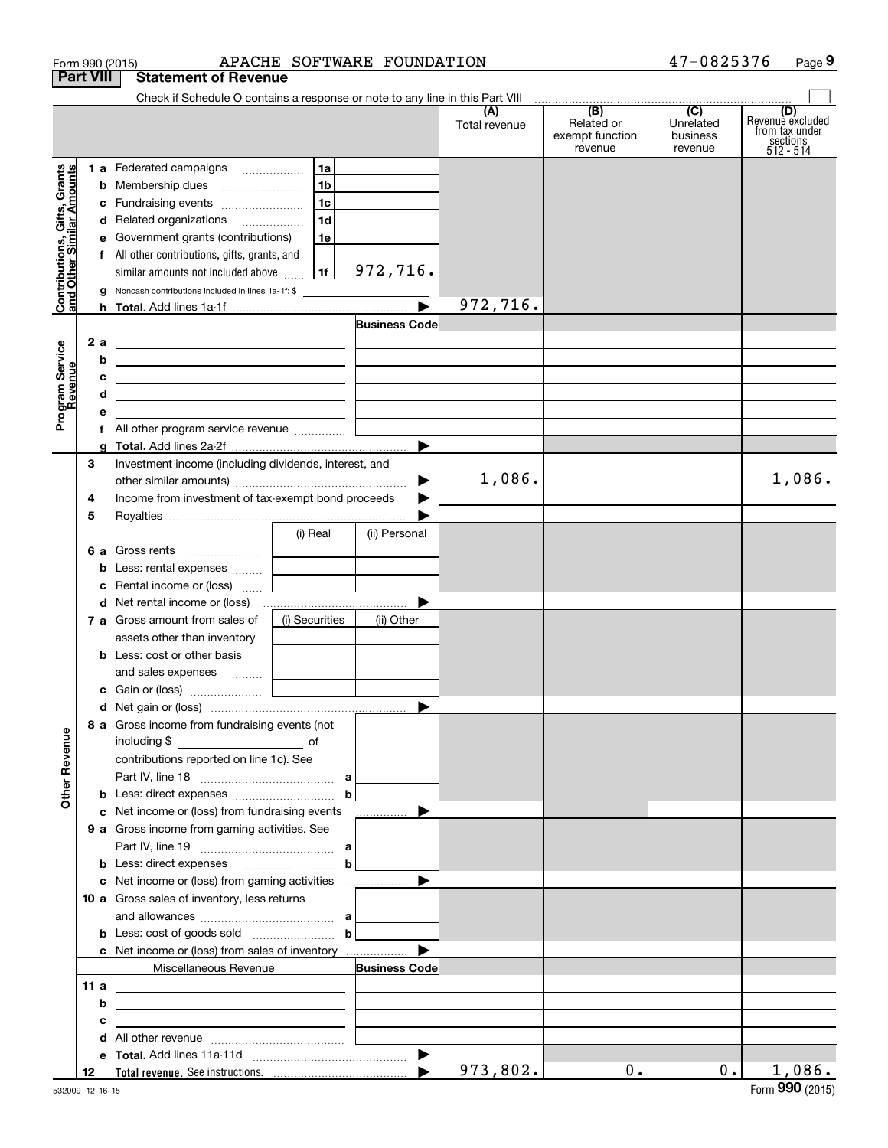|                                                           | Form 990 (2015)  |                                                                                                                       |                                   | APACHE SOFTWARE FOUNDATION |                        |                                                 | 47-0825376                                         | Page 9                                                             |
|-----------------------------------------------------------|------------------|-----------------------------------------------------------------------------------------------------------------------|-----------------------------------|----------------------------|------------------------|-------------------------------------------------|----------------------------------------------------|--------------------------------------------------------------------|
|                                                           | <b>Part VIII</b> | <b>Statement of Revenue</b>                                                                                           |                                   |                            |                        |                                                 |                                                    |                                                                    |
|                                                           |                  | Check if Schedule O contains a response or note to any line in this Part VIII                                         |                                   |                            |                        |                                                 |                                                    |                                                                    |
|                                                           |                  |                                                                                                                       |                                   |                            | (A)<br>Total revenue   | (B)<br>Related or<br>exempt function<br>revenue | $\overline{C}$<br>Unrelated<br>business<br>revenue | (D)<br>Revenue excluded<br>from tax under<br>sections<br>512 - 514 |
|                                                           |                  | 1 a Federated campaigns                                                                                               | 1a                                |                            |                        |                                                 |                                                    |                                                                    |
| Contributions, Gifts, Grants<br>and Other Similar Amounts | b                | Membership dues                                                                                                       | 1 <sub>b</sub>                    |                            |                        |                                                 |                                                    |                                                                    |
|                                                           |                  | c Fundraising events                                                                                                  | 1c                                |                            |                        |                                                 |                                                    |                                                                    |
|                                                           |                  | d Related organizations                                                                                               | 1d                                |                            |                        |                                                 |                                                    |                                                                    |
|                                                           | е                | Government grants (contributions)                                                                                     | 1e                                |                            |                        |                                                 |                                                    |                                                                    |
|                                                           |                  | f All other contributions, gifts, grants, and                                                                         |                                   |                            |                        |                                                 |                                                    |                                                                    |
|                                                           |                  | similar amounts not included above                                                                                    | 1f                                | 972,716.                   |                        |                                                 |                                                    |                                                                    |
|                                                           | a                | Noncash contributions included in lines 1a-1f: \$                                                                     |                                   |                            |                        |                                                 |                                                    |                                                                    |
|                                                           |                  |                                                                                                                       |                                   |                            | 972,716.               |                                                 |                                                    |                                                                    |
|                                                           |                  |                                                                                                                       |                                   | <b>Business Code</b>       |                        |                                                 |                                                    |                                                                    |
|                                                           | 2 a              | <u> 1989 - Johann Harry Harry Harry Harry Harry Harry Harry Harry Harry Harry Harry Harry Harry Harry Harry Harry</u> |                                   |                            |                        |                                                 |                                                    |                                                                    |
|                                                           | b                | <u> 1989 - Johann Barn, fransk politik amerikansk politik (</u>                                                       |                                   |                            |                        |                                                 |                                                    |                                                                    |
|                                                           | с                | <u> 2000 - John Stone, Amerikaans en Stone (</u>                                                                      |                                   |                            |                        |                                                 |                                                    |                                                                    |
|                                                           | d                | <u> 1989 - Johann Stein, mars an deus Amerikaansk kommunister (</u>                                                   |                                   |                            |                        |                                                 |                                                    |                                                                    |
| Program Service<br>Revenue                                | е                | <u> 1980 - Jan Stein Harry Harry Harry Harry Harry Harry Harry Harry Harry Harry Harry Harry Harry Harry Harry</u>    |                                   |                            |                        |                                                 |                                                    |                                                                    |
|                                                           |                  |                                                                                                                       |                                   |                            |                        |                                                 |                                                    |                                                                    |
|                                                           | a                |                                                                                                                       |                                   |                            |                        |                                                 |                                                    |                                                                    |
|                                                           | 3                | Investment income (including dividends, interest, and                                                                 |                                   |                            |                        |                                                 |                                                    |                                                                    |
|                                                           |                  |                                                                                                                       |                                   |                            | 1,086.                 |                                                 |                                                    | 1,086.                                                             |
|                                                           | 4                | Income from investment of tax-exempt bond proceeds                                                                    |                                   |                            |                        |                                                 |                                                    |                                                                    |
|                                                           | 5                |                                                                                                                       |                                   |                            |                        |                                                 |                                                    |                                                                    |
|                                                           |                  |                                                                                                                       | (i) Real                          | (ii) Personal              |                        |                                                 |                                                    |                                                                    |
|                                                           |                  | 6 a Gross rents                                                                                                       |                                   |                            |                        |                                                 |                                                    |                                                                    |
|                                                           | b                | Less: rental expenses                                                                                                 |                                   |                            |                        |                                                 |                                                    |                                                                    |
|                                                           | с                | Rental income or (loss)                                                                                               | and the control of the control of |                            |                        |                                                 |                                                    |                                                                    |
|                                                           |                  |                                                                                                                       |                                   |                            |                        |                                                 |                                                    |                                                                    |
|                                                           |                  | 7 a Gross amount from sales of                                                                                        | (i) Securities                    | (ii) Other                 |                        |                                                 |                                                    |                                                                    |
|                                                           |                  | assets other than inventory                                                                                           |                                   |                            |                        |                                                 |                                                    |                                                                    |
|                                                           |                  | <b>b</b> Less: cost or other basis                                                                                    |                                   |                            |                        |                                                 |                                                    |                                                                    |
|                                                           |                  | and sales expenses                                                                                                    |                                   |                            |                        |                                                 |                                                    |                                                                    |
|                                                           |                  |                                                                                                                       |                                   |                            |                        |                                                 |                                                    |                                                                    |
|                                                           |                  |                                                                                                                       |                                   |                            |                        |                                                 |                                                    |                                                                    |
|                                                           |                  | 8 a Gross income from fundraising events (not                                                                         |                                   |                            |                        |                                                 |                                                    |                                                                    |
| <b>Other Revenue</b>                                      |                  |                                                                                                                       |                                   |                            |                        |                                                 |                                                    |                                                                    |
|                                                           |                  | contributions reported on line 1c). See                                                                               |                                   |                            |                        |                                                 |                                                    |                                                                    |
|                                                           |                  |                                                                                                                       |                                   |                            |                        |                                                 |                                                    |                                                                    |
|                                                           |                  |                                                                                                                       | $\mathbf b$                       |                            |                        |                                                 |                                                    |                                                                    |
|                                                           |                  | c Net income or (loss) from fundraising events                                                                        |                                   | .                          |                        |                                                 |                                                    |                                                                    |
|                                                           |                  | 9 a Gross income from gaming activities. See                                                                          |                                   |                            |                        |                                                 |                                                    |                                                                    |
|                                                           |                  |                                                                                                                       |                                   |                            |                        |                                                 |                                                    |                                                                    |
|                                                           |                  |                                                                                                                       | $\mathbf b$                       |                            |                        |                                                 |                                                    |                                                                    |
|                                                           |                  |                                                                                                                       |                                   |                            |                        |                                                 |                                                    |                                                                    |
|                                                           |                  | 10 a Gross sales of inventory, less returns                                                                           |                                   |                            |                        |                                                 |                                                    |                                                                    |
|                                                           |                  |                                                                                                                       |                                   |                            |                        |                                                 |                                                    |                                                                    |
|                                                           |                  |                                                                                                                       | $\mathbf b$                       |                            |                        |                                                 |                                                    |                                                                    |
|                                                           |                  | <b>c</b> Net income or (loss) from sales of inventory                                                                 |                                   |                            |                        |                                                 |                                                    |                                                                    |
|                                                           |                  | Miscellaneous Revenue                                                                                                 |                                   | <b>Business Code</b>       |                        |                                                 |                                                    |                                                                    |
|                                                           | 11a              | <u> 1989 - Andrea Barbara, Amerikaansk politiker (</u>                                                                |                                   |                            |                        |                                                 |                                                    |                                                                    |
|                                                           | b                | <u> 1989 - Johann Barbara, martin amerikan basar dan berasal dalam berasal dalam basar dalam basar dalam basar da</u> |                                   |                            |                        |                                                 |                                                    |                                                                    |
|                                                           | с                | the control of the control of the control of the control of the control of                                            |                                   |                            |                        |                                                 |                                                    |                                                                    |
|                                                           | d                |                                                                                                                       |                                   |                            |                        |                                                 |                                                    |                                                                    |
|                                                           |                  |                                                                                                                       |                                   |                            |                        |                                                 |                                                    |                                                                    |
|                                                           | 12               |                                                                                                                       |                                   |                            | $\overline{973,802}$ . | $0$ .                                           | $0$ .                                              | 1,086.                                                             |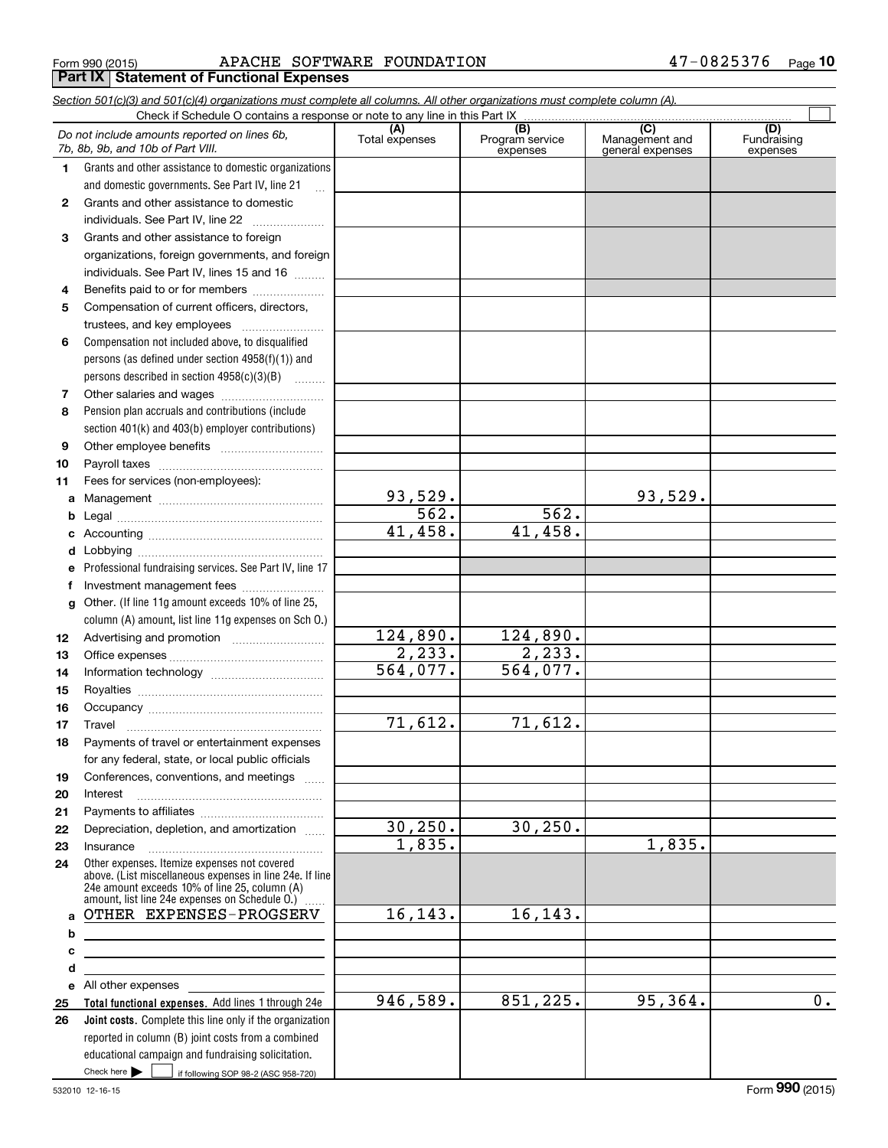$_{\rm Form}$  990 (2015) APACHE SOFTWARE FOUNDATION 47-0825376  $_{\rm Page}$ **Part IX | Statement of Functional Expenses** 

|    | Section 501(c)(3) and 501(c)(4) organizations must complete all columns. All other organizations must complete column (A).<br>Check if Schedule O contains a response or note to any line in this Part IX |                         |                                    |                                                      |                                |
|----|-----------------------------------------------------------------------------------------------------------------------------------------------------------------------------------------------------------|-------------------------|------------------------------------|------------------------------------------------------|--------------------------------|
|    | Do not include amounts reported on lines 6b,<br>7b, 8b, 9b, and 10b of Part VIII.                                                                                                                         | (A)<br>Total expenses   | (B)<br>Program service<br>expenses | $\overline{C}$<br>Management and<br>general expenses | (D)<br>Fundraising<br>expenses |
| 1. | Grants and other assistance to domestic organizations                                                                                                                                                     |                         |                                    |                                                      |                                |
|    | and domestic governments. See Part IV, line 21                                                                                                                                                            |                         |                                    |                                                      |                                |
| 2  | Grants and other assistance to domestic                                                                                                                                                                   |                         |                                    |                                                      |                                |
|    | individuals. See Part IV, line 22                                                                                                                                                                         |                         |                                    |                                                      |                                |
| 3  | Grants and other assistance to foreign                                                                                                                                                                    |                         |                                    |                                                      |                                |
|    | organizations, foreign governments, and foreign                                                                                                                                                           |                         |                                    |                                                      |                                |
|    | individuals. See Part IV, lines 15 and 16                                                                                                                                                                 |                         |                                    |                                                      |                                |
| 4  | Benefits paid to or for members                                                                                                                                                                           |                         |                                    |                                                      |                                |
| 5  | Compensation of current officers, directors,                                                                                                                                                              |                         |                                    |                                                      |                                |
|    | trustees, and key employees                                                                                                                                                                               |                         |                                    |                                                      |                                |
| 6  | Compensation not included above, to disqualified                                                                                                                                                          |                         |                                    |                                                      |                                |
|    | persons (as defined under section 4958(f)(1)) and                                                                                                                                                         |                         |                                    |                                                      |                                |
|    | persons described in section 4958(c)(3)(B)                                                                                                                                                                |                         |                                    |                                                      |                                |
| 7  |                                                                                                                                                                                                           |                         |                                    |                                                      |                                |
| 8  | Pension plan accruals and contributions (include                                                                                                                                                          |                         |                                    |                                                      |                                |
|    | section 401(k) and 403(b) employer contributions)                                                                                                                                                         |                         |                                    |                                                      |                                |
| 9  |                                                                                                                                                                                                           |                         |                                    |                                                      |                                |
| 10 |                                                                                                                                                                                                           |                         |                                    |                                                      |                                |
| 11 | Fees for services (non-employees):                                                                                                                                                                        |                         |                                    |                                                      |                                |
| a  |                                                                                                                                                                                                           | $\frac{93,529.}{562.}$  |                                    | 93,529.                                              |                                |
| b  |                                                                                                                                                                                                           |                         | 562.                               |                                                      |                                |
| c  |                                                                                                                                                                                                           | 41,458.                 | 41,458.                            |                                                      |                                |
| d  |                                                                                                                                                                                                           |                         |                                    |                                                      |                                |
| е  | Professional fundraising services. See Part IV, line 17                                                                                                                                                   |                         |                                    |                                                      |                                |
| f  | Investment management fees                                                                                                                                                                                |                         |                                    |                                                      |                                |
| g  | Other. (If line 11g amount exceeds 10% of line 25,                                                                                                                                                        |                         |                                    |                                                      |                                |
|    | column (A) amount, list line 11g expenses on Sch O.)                                                                                                                                                      |                         |                                    |                                                      |                                |
| 12 |                                                                                                                                                                                                           | $\overline{124}$ , 890. | 124,890.                           |                                                      |                                |
| 13 |                                                                                                                                                                                                           | 2, 233.                 | 2, 233.                            |                                                      |                                |
| 14 |                                                                                                                                                                                                           | 564,077.                | $\overline{564,077}$ .             |                                                      |                                |
| 15 |                                                                                                                                                                                                           |                         |                                    |                                                      |                                |
| 16 |                                                                                                                                                                                                           |                         |                                    |                                                      |                                |
| 17 |                                                                                                                                                                                                           | 71,612.                 | 71,612.                            |                                                      |                                |
| 18 | Payments of travel or entertainment expenses                                                                                                                                                              |                         |                                    |                                                      |                                |
|    | for any federal, state, or local public officials                                                                                                                                                         |                         |                                    |                                                      |                                |
| 19 | Conferences, conventions, and meetings                                                                                                                                                                    |                         |                                    |                                                      |                                |
| 20 | Interest                                                                                                                                                                                                  |                         |                                    |                                                      |                                |
| 21 |                                                                                                                                                                                                           | 30, 250.                | 30, 250.                           |                                                      |                                |
| 22 | Depreciation, depletion, and amortization                                                                                                                                                                 | 1,835.                  |                                    | 1,835.                                               |                                |
| 23 | Insurance                                                                                                                                                                                                 |                         |                                    |                                                      |                                |
| 24 | Other expenses. Itemize expenses not covered<br>above. (List miscellaneous expenses in line 24e. If line<br>24e amount exceeds 10% of line 25, column (A)                                                 |                         |                                    |                                                      |                                |
| a  | amount, list line 24e expenses on Schedule O.) [<br>OTHER EXPENSES-PROGSERV                                                                                                                               | 16, 143.                | 16,143.                            |                                                      |                                |
| b  |                                                                                                                                                                                                           |                         |                                    |                                                      |                                |
| c  | <u> 1989 - Johann Barn, mars eta bainar eta idazlea (h. 1989).</u>                                                                                                                                        |                         |                                    |                                                      |                                |
| d  |                                                                                                                                                                                                           |                         |                                    |                                                      |                                |
|    | e All other expenses                                                                                                                                                                                      |                         |                                    |                                                      |                                |
| 25 | Total functional expenses. Add lines 1 through 24e                                                                                                                                                        | 946,589.                | 851,225.                           | 95,364.                                              | $\overline{0}$ .               |
| 26 | Joint costs. Complete this line only if the organization                                                                                                                                                  |                         |                                    |                                                      |                                |
|    | reported in column (B) joint costs from a combined                                                                                                                                                        |                         |                                    |                                                      |                                |
|    | educational campaign and fundraising solicitation.                                                                                                                                                        |                         |                                    |                                                      |                                |
|    | Check here $\blacktriangleright$<br>if following SOP 98-2 (ASC 958-720)                                                                                                                                   |                         |                                    |                                                      |                                |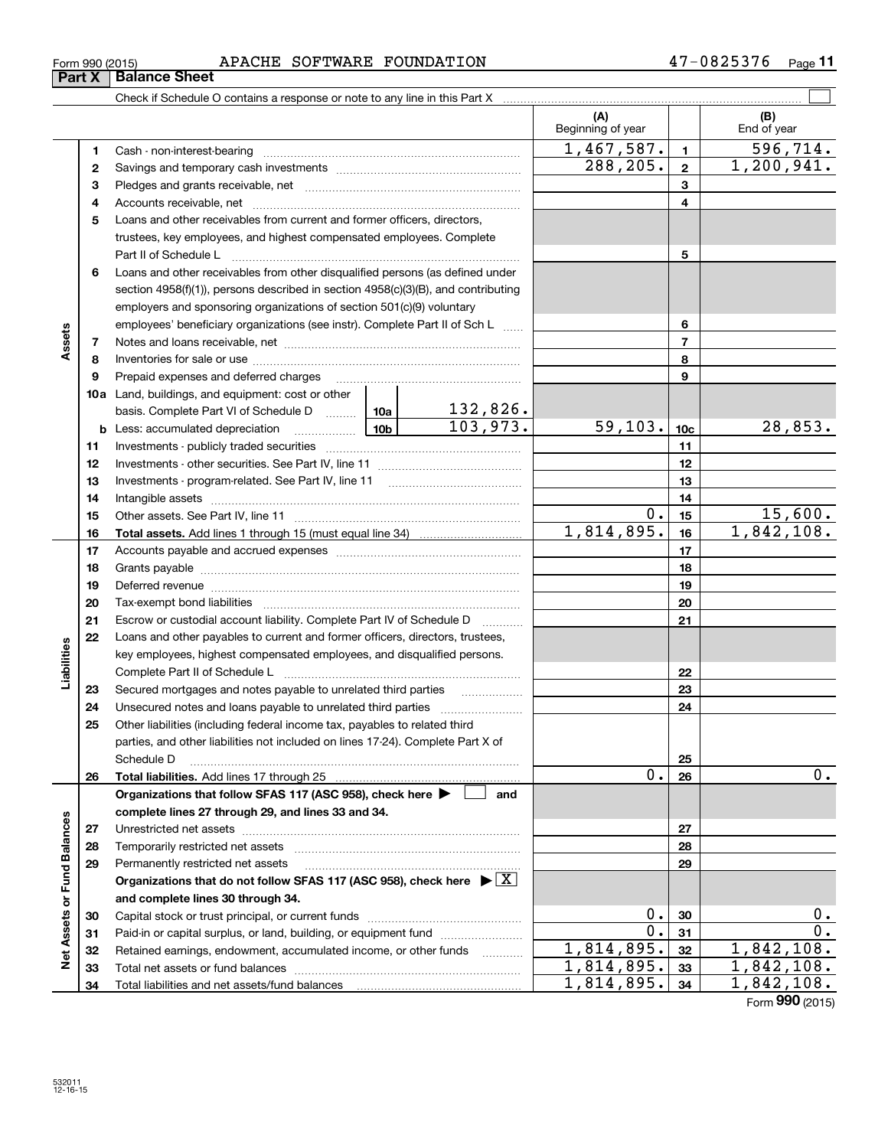|                             | Form 990 (2015) | APACHE SOFTWARE FOUNDATION                                                                                       |                                                                             |                             |                          |                 | 47-0825376 Page 11 |
|-----------------------------|-----------------|------------------------------------------------------------------------------------------------------------------|-----------------------------------------------------------------------------|-----------------------------|--------------------------|-----------------|--------------------|
|                             | Part X          | <b>Balance Sheet</b>                                                                                             |                                                                             |                             |                          |                 |                    |
|                             |                 |                                                                                                                  |                                                                             |                             |                          |                 |                    |
|                             |                 |                                                                                                                  |                                                                             |                             | (A)<br>Beginning of year |                 | (B)<br>End of year |
|                             | 1               |                                                                                                                  |                                                                             |                             | 1,467,587.               | $\mathbf{1}$    | 596,714.           |
|                             | 2               |                                                                                                                  |                                                                             |                             | 288,205.                 | $\overline{2}$  | 1,200,941.         |
|                             | з               |                                                                                                                  |                                                                             |                             |                          | 3               |                    |
|                             | 4               |                                                                                                                  |                                                                             |                             |                          | 4               |                    |
|                             | 5               | Loans and other receivables from current and former officers, directors,                                         |                                                                             |                             |                          |                 |                    |
|                             |                 | trustees, key employees, and highest compensated employees. Complete                                             |                                                                             |                             |                          |                 |                    |
|                             |                 |                                                                                                                  |                                                                             |                             | 5                        |                 |                    |
|                             | 6               | Loans and other receivables from other disqualified persons (as defined under                                    |                                                                             |                             |                          |                 |                    |
|                             |                 | section $4958(f)(1)$ , persons described in section $4958(c)(3)(B)$ , and contributing                           |                                                                             |                             |                          |                 |                    |
|                             |                 | employers and sponsoring organizations of section 501(c)(9) voluntary                                            |                                                                             |                             |                          |                 |                    |
|                             |                 |                                                                                                                  | employees' beneficiary organizations (see instr). Complete Part II of Sch L |                             |                          |                 |                    |
| Assets                      | 7               |                                                                                                                  |                                                                             |                             | $\overline{7}$           |                 |                    |
|                             | 8               |                                                                                                                  |                                                                             |                             | 8                        |                 |                    |
|                             | 9               | Prepaid expenses and deferred charges                                                                            |                                                                             |                             |                          | 9               |                    |
|                             |                 | <b>10a</b> Land, buildings, and equipment: cost or other                                                         |                                                                             |                             |                          |                 |                    |
|                             |                 | basis. Complete Part VI of Schedule D  10a                                                                       |                                                                             |                             |                          |                 |                    |
|                             |                 | $\frac{1}{10b}$<br><b>b</b> Less: accumulated depreciation                                                       |                                                                             | $\frac{132,826.}{103,973.}$ | 59, 103.                 | 10 <sub>c</sub> | 28,853.            |
|                             | 11              |                                                                                                                  |                                                                             | 11                          |                          |                 |                    |
|                             | 12              |                                                                                                                  |                                                                             |                             |                          | 12              |                    |
|                             | 13              |                                                                                                                  |                                                                             |                             |                          | 13              |                    |
|                             | 14              |                                                                                                                  |                                                                             |                             |                          | 14              |                    |
|                             | 15              |                                                                                                                  |                                                                             |                             | $0$ .                    | 15              | 15,600.            |
|                             | 16              |                                                                                                                  |                                                                             | 1,814,895.                  | 16                       | 1,842,108.      |                    |
|                             | 17              |                                                                                                                  |                                                                             |                             | 17                       |                 |                    |
|                             | 18              |                                                                                                                  |                                                                             |                             |                          | 18              |                    |
|                             | 19              | Deferred revenue manual contracts and contracts are all the manual contracts and contracts are contracted and c  |                                                                             |                             |                          | 19              |                    |
|                             | 20              |                                                                                                                  |                                                                             |                             |                          | 20              |                    |
|                             | 21              | Escrow or custodial account liability. Complete Part IV of Schedule D                                            |                                                                             |                             |                          | 21              |                    |
|                             | 22              | Loans and other payables to current and former officers, directors, trustees,                                    |                                                                             |                             |                          |                 |                    |
| bilities                    |                 | key employees, highest compensated employees, and disqualified persons.                                          |                                                                             |                             |                          |                 |                    |
| 힐                           |                 | Complete Part II of Schedule L                                                                                   |                                                                             |                             |                          | 22              |                    |
|                             | 23              | Secured mortgages and notes payable to unrelated third parties                                                   |                                                                             |                             |                          | 23              |                    |
|                             | 24              | Unsecured notes and loans payable to unrelated third parties                                                     |                                                                             |                             |                          | 24              |                    |
|                             | 25              | Other liabilities (including federal income tax, payables to related third                                       |                                                                             |                             |                          |                 |                    |
|                             |                 | parties, and other liabilities not included on lines 17-24). Complete Part X of                                  |                                                                             |                             |                          |                 |                    |
|                             |                 | Schedule D                                                                                                       |                                                                             |                             | Ο.                       | 25              | 0.                 |
|                             | 26              | Total liabilities. Add lines 17 through 25                                                                       |                                                                             | and                         |                          | 26              |                    |
|                             |                 | Organizations that follow SFAS 117 (ASC 958), check here ><br>complete lines 27 through 29, and lines 33 and 34. |                                                                             |                             |                          |                 |                    |
|                             | 27              |                                                                                                                  |                                                                             |                             |                          | 27              |                    |
|                             | 28              | Temporarily restricted net assets                                                                                |                                                                             |                             |                          | 28              |                    |
|                             | 29              | Permanently restricted net assets                                                                                |                                                                             |                             |                          | 29              |                    |
|                             |                 | Organizations that do not follow SFAS 117 (ASC 958), check here $\blacktriangleright \boxed{X}$                  |                                                                             |                             |                          |                 |                    |
|                             |                 | and complete lines 30 through 34.                                                                                |                                                                             |                             |                          |                 |                    |
|                             | 30              |                                                                                                                  |                                                                             |                             | $0$ .                    | 30              | $0$ .              |
| Net Assets or Fund Balances | 31              | Paid-in or capital surplus, or land, building, or equipment fund                                                 |                                                                             |                             | $\mathbf 0$ .            | 31              | 0.                 |
|                             | 32              | Retained earnings, endowment, accumulated income, or other funds                                                 |                                                                             | .                           | 1,814,895.               | 32              | 1,842,108.         |
|                             |                 | Total not geegte or fund balances                                                                                | 814 895                                                                     | 22                          | 1<br>842<br>108          |                 |                    |

Capital stock or trust principal, or current funds ~~~~~~~~~~~~~~~ Paid-in or capital surplus, or land, building, or equipment fund www.commun.com Retained earnings, endowment, accumulated income, or other funds we have all the Total net assets or fund balances ~~~~~~~~~~~~~~~~~~~~~~

Total liabilities and net assets/fund balances

Form (2015) **990**

 $1,814,895.$   $32 \mid 1,842,108.$ 1,814,895. 1,842,108. 1,814,895. 1,842,108.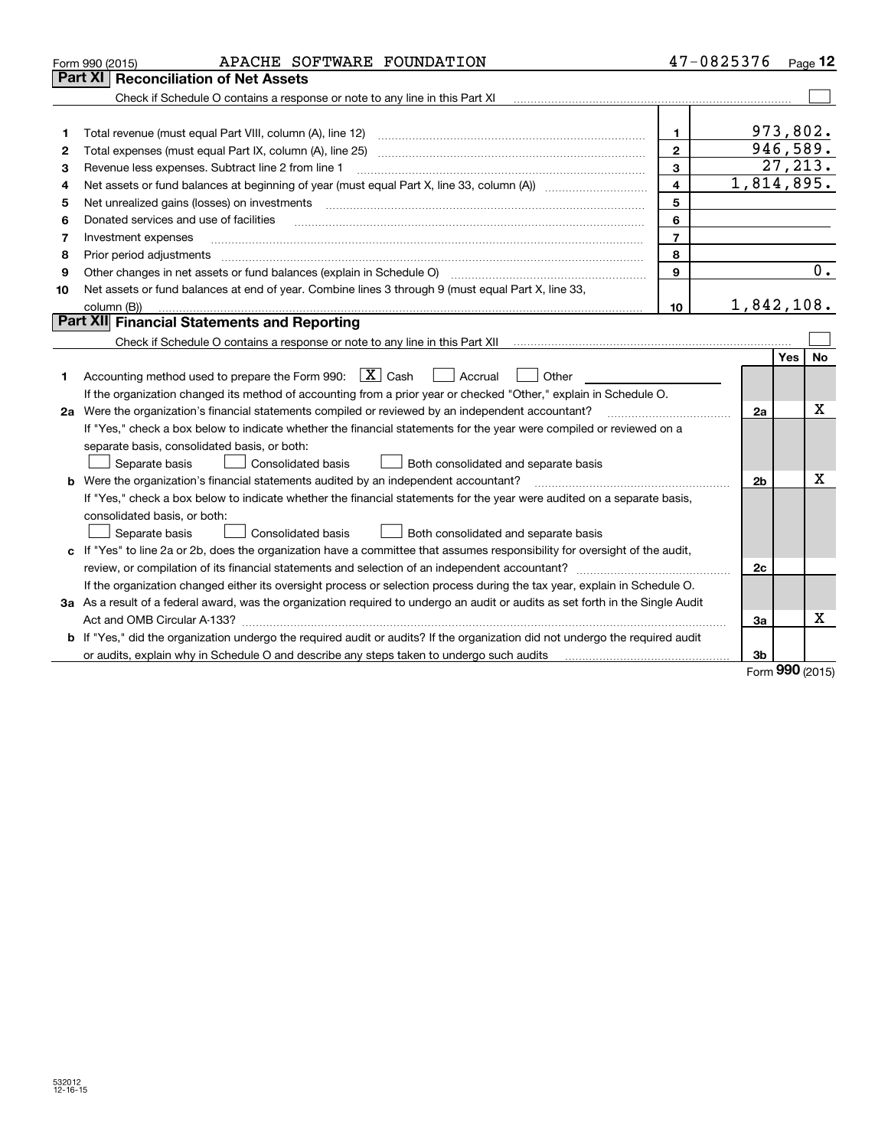|    | APACHE SOFTWARE FOUNDATION<br>Form 990 (2015)                                                                                                               |                         | 47-0825376     | $_{\text{Page}}$ 12 |
|----|-------------------------------------------------------------------------------------------------------------------------------------------------------------|-------------------------|----------------|---------------------|
|    | <b>Reconciliation of Net Assets</b><br><b>Part XI</b>                                                                                                       |                         |                |                     |
|    | Check if Schedule O contains a response or note to any line in this Part XI                                                                                 |                         |                |                     |
|    |                                                                                                                                                             |                         |                |                     |
| 1  | Total revenue (must equal Part VIII, column (A), line 12)                                                                                                   | 1.                      |                | 973,802.            |
| 2  | Total expenses (must equal Part IX, column (A), line 25)                                                                                                    | $\mathbf{2}$            |                | 946,589.            |
| з  | Revenue less expenses. Subtract line 2 from line 1                                                                                                          | 3                       |                | 27, 213.            |
| 4  |                                                                                                                                                             | $\overline{\mathbf{4}}$ |                | 1,814,895.          |
| 5  | Net unrealized gains (losses) on investments                                                                                                                | 5                       |                |                     |
| 6  | Donated services and use of facilities                                                                                                                      | 6                       |                |                     |
| 7  | Investment expenses                                                                                                                                         | $\overline{7}$          |                |                     |
| 8  | Prior period adjustments                                                                                                                                    | 8                       |                |                     |
| 9  | Other changes in net assets or fund balances (explain in Schedule O) [11] [12] contraction contracts in net assets or fund balances (explain in Schedule O) | 9                       |                | 0.                  |
| 10 | Net assets or fund balances at end of year. Combine lines 3 through 9 (must equal Part X, line 33,                                                          |                         |                |                     |
|    | column (B))                                                                                                                                                 | 10                      |                | 1,842,108.          |
|    | Part XII Financial Statements and Reporting                                                                                                                 |                         |                |                     |
|    |                                                                                                                                                             |                         |                |                     |
|    |                                                                                                                                                             |                         |                | <b>Yes</b><br>No    |
| 1  | Accounting method used to prepare the Form 990: $\boxed{\textbf{X}}$ Cash<br>$\vert$ Accrual<br>Other                                                       |                         |                |                     |
|    | If the organization changed its method of accounting from a prior year or checked "Other," explain in Schedule O.                                           |                         |                |                     |
|    | 2a Were the organization's financial statements compiled or reviewed by an independent accountant?                                                          |                         | 2a             | х                   |
|    | If "Yes," check a box below to indicate whether the financial statements for the year were compiled or reviewed on a                                        |                         |                |                     |
|    | separate basis, consolidated basis, or both:                                                                                                                |                         |                |                     |
|    | Separate basis<br>Consolidated basis<br>Both consolidated and separate basis                                                                                |                         |                |                     |
|    | <b>b</b> Were the organization's financial statements audited by an independent accountant?                                                                 |                         | 2 <sub>b</sub> | X                   |
|    | If "Yes," check a box below to indicate whether the financial statements for the year were audited on a separate basis,                                     |                         |                |                     |
|    | consolidated basis, or both:                                                                                                                                |                         |                |                     |
|    | Separate basis<br><b>Consolidated basis</b><br>Both consolidated and separate basis                                                                         |                         |                |                     |
|    | c If "Yes" to line 2a or 2b, does the organization have a committee that assumes responsibility for oversight of the audit,                                 |                         |                |                     |
|    | review, or compilation of its financial statements and selection of an independent accountant?                                                              |                         | 2c             |                     |
|    | If the organization changed either its oversight process or selection process during the tax year, explain in Schedule O.                                   |                         |                |                     |
|    | 3a As a result of a federal award, was the organization required to undergo an audit or audits as set forth in the Single Audit                             |                         |                |                     |
|    |                                                                                                                                                             |                         | За             | х                   |
|    | If "Yes," did the organization undergo the required audit or audits? If the organization did not undergo the required audit                                 |                         |                |                     |
|    | or audits, explain why in Schedule O and describe any steps taken to undergo such audits                                                                    |                         | 3b             | nnn                 |

Form (2015) **990**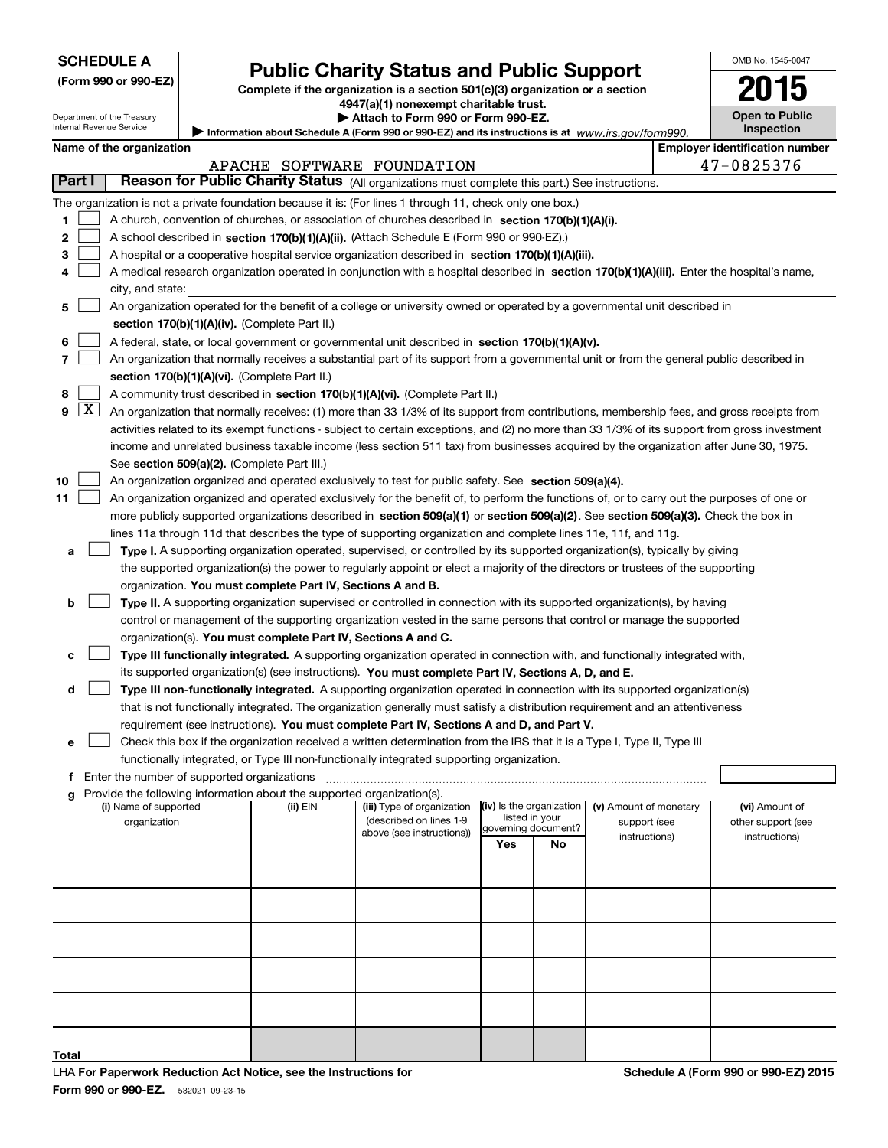Department of the Treasury Internal Revenue Service

| (Form 990 or 990-EZ) |  |  |  |  |
|----------------------|--|--|--|--|
|----------------------|--|--|--|--|

## **Public Charity Status and Public Support**

**Complete if the organization is a section 501(c)(3) organization or a section 4947(a)(1) nonexempt charitable trust.**

**| Attach to Form 990 or Form 990-EZ.** 

Information about Schedule A (Form 990 or 990-EZ) and its instructions is at *www.irs.gov/form990.* 

| OMB No 1545-0047                    |
|-------------------------------------|
|                                     |
| <b>Open to Public</b><br>Inspection |

 $\blacksquare$ 

| Name of the organization |  |  |  |  |
|--------------------------|--|--|--|--|
|--------------------------|--|--|--|--|

|  |            | yer identification numb |  |
|--|------------|-------------------------|--|
|  | 17.000E976 |                         |  |

|    | <b>Employer identification number</b><br>Name of the organization |                                                                                                                                                                                                                                |          |                                                       |                     |                          |                               |  |                                      |  |
|----|-------------------------------------------------------------------|--------------------------------------------------------------------------------------------------------------------------------------------------------------------------------------------------------------------------------|----------|-------------------------------------------------------|---------------------|--------------------------|-------------------------------|--|--------------------------------------|--|
|    |                                                                   |                                                                                                                                                                                                                                |          | APACHE SOFTWARE FOUNDATION                            |                     |                          |                               |  | 47-0825376                           |  |
|    | Part I                                                            | Reason for Public Charity Status (All organizations must complete this part.) See instructions.                                                                                                                                |          |                                                       |                     |                          |                               |  |                                      |  |
|    |                                                                   | The organization is not a private foundation because it is: (For lines 1 through 11, check only one box.)                                                                                                                      |          |                                                       |                     |                          |                               |  |                                      |  |
| 1  |                                                                   | A church, convention of churches, or association of churches described in section 170(b)(1)(A)(i).                                                                                                                             |          |                                                       |                     |                          |                               |  |                                      |  |
| 2  |                                                                   |                                                                                                                                                                                                                                |          |                                                       |                     |                          |                               |  |                                      |  |
| 3  |                                                                   | A school described in section 170(b)(1)(A)(ii). (Attach Schedule E (Form 990 or 990-EZ).)<br>A hospital or a cooperative hospital service organization described in section $170(b)(1)(A)(iii)$ .                              |          |                                                       |                     |                          |                               |  |                                      |  |
|    |                                                                   | A medical research organization operated in conjunction with a hospital described in section 170(b)(1)(A)(iii). Enter the hospital's name,                                                                                     |          |                                                       |                     |                          |                               |  |                                      |  |
| 4  |                                                                   |                                                                                                                                                                                                                                |          |                                                       |                     |                          |                               |  |                                      |  |
|    |                                                                   | city, and state:                                                                                                                                                                                                               |          |                                                       |                     |                          |                               |  |                                      |  |
| 5  |                                                                   | An organization operated for the benefit of a college or university owned or operated by a governmental unit described in                                                                                                      |          |                                                       |                     |                          |                               |  |                                      |  |
|    |                                                                   | section 170(b)(1)(A)(iv). (Complete Part II.)                                                                                                                                                                                  |          |                                                       |                     |                          |                               |  |                                      |  |
| 6  |                                                                   | A federal, state, or local government or governmental unit described in section 170(b)(1)(A)(v).                                                                                                                               |          |                                                       |                     |                          |                               |  |                                      |  |
| 7  |                                                                   | An organization that normally receives a substantial part of its support from a governmental unit or from the general public described in                                                                                      |          |                                                       |                     |                          |                               |  |                                      |  |
|    |                                                                   | section 170(b)(1)(A)(vi). (Complete Part II.)                                                                                                                                                                                  |          |                                                       |                     |                          |                               |  |                                      |  |
| 8  |                                                                   | A community trust described in section 170(b)(1)(A)(vi). (Complete Part II.)                                                                                                                                                   |          |                                                       |                     |                          |                               |  |                                      |  |
| 9  | $\lfloor x \rfloor$                                               | An organization that normally receives: (1) more than 33 1/3% of its support from contributions, membership fees, and gross receipts from                                                                                      |          |                                                       |                     |                          |                               |  |                                      |  |
|    |                                                                   | activities related to its exempt functions - subject to certain exceptions, and (2) no more than 33 1/3% of its support from gross investment                                                                                  |          |                                                       |                     |                          |                               |  |                                      |  |
|    |                                                                   | income and unrelated business taxable income (less section 511 tax) from businesses acquired by the organization after June 30, 1975.                                                                                          |          |                                                       |                     |                          |                               |  |                                      |  |
|    |                                                                   | See section 509(a)(2). (Complete Part III.)                                                                                                                                                                                    |          |                                                       |                     |                          |                               |  |                                      |  |
| 10 |                                                                   | An organization organized and operated exclusively to test for public safety. See section 509(a)(4).                                                                                                                           |          |                                                       |                     |                          |                               |  |                                      |  |
| 11 |                                                                   | An organization organized and operated exclusively for the benefit of, to perform the functions of, or to carry out the purposes of one or                                                                                     |          |                                                       |                     |                          |                               |  |                                      |  |
|    |                                                                   | more publicly supported organizations described in section 509(a)(1) or section 509(a)(2). See section 509(a)(3). Check the box in                                                                                             |          |                                                       |                     |                          |                               |  |                                      |  |
|    |                                                                   | lines 11a through 11d that describes the type of supporting organization and complete lines 11e, 11f, and 11g.                                                                                                                 |          |                                                       |                     |                          |                               |  |                                      |  |
| a  |                                                                   | Type I. A supporting organization operated, supervised, or controlled by its supported organization(s), typically by giving                                                                                                    |          |                                                       |                     |                          |                               |  |                                      |  |
|    |                                                                   | the supported organization(s) the power to regularly appoint or elect a majority of the directors or trustees of the supporting                                                                                                |          |                                                       |                     |                          |                               |  |                                      |  |
|    |                                                                   | organization. You must complete Part IV, Sections A and B.                                                                                                                                                                     |          |                                                       |                     |                          |                               |  |                                      |  |
| b  |                                                                   | Type II. A supporting organization supervised or controlled in connection with its supported organization(s), by having                                                                                                        |          |                                                       |                     |                          |                               |  |                                      |  |
|    |                                                                   | control or management of the supporting organization vested in the same persons that control or manage the supported                                                                                                           |          |                                                       |                     |                          |                               |  |                                      |  |
|    |                                                                   | organization(s). You must complete Part IV, Sections A and C.                                                                                                                                                                  |          |                                                       |                     |                          |                               |  |                                      |  |
| c  |                                                                   | Type III functionally integrated. A supporting organization operated in connection with, and functionally integrated with,                                                                                                     |          |                                                       |                     |                          |                               |  |                                      |  |
|    |                                                                   |                                                                                                                                                                                                                                |          |                                                       |                     |                          |                               |  |                                      |  |
|    |                                                                   | its supported organization(s) (see instructions). You must complete Part IV, Sections A, D, and E.                                                                                                                             |          |                                                       |                     |                          |                               |  |                                      |  |
| d  |                                                                   | Type III non-functionally integrated. A supporting organization operated in connection with its supported organization(s)                                                                                                      |          |                                                       |                     |                          |                               |  |                                      |  |
|    |                                                                   | that is not functionally integrated. The organization generally must satisfy a distribution requirement and an attentiveness                                                                                                   |          |                                                       |                     |                          |                               |  |                                      |  |
|    |                                                                   | requirement (see instructions). You must complete Part IV, Sections A and D, and Part V.                                                                                                                                       |          |                                                       |                     |                          |                               |  |                                      |  |
| е  |                                                                   | Check this box if the organization received a written determination from the IRS that it is a Type I, Type II, Type III                                                                                                        |          |                                                       |                     |                          |                               |  |                                      |  |
|    |                                                                   | functionally integrated, or Type III non-functionally integrated supporting organization.                                                                                                                                      |          |                                                       |                     |                          |                               |  |                                      |  |
|    |                                                                   | f Enter the number of supported organizations [11] matter content to the number of supported organizations [11] matter content to the number of supported organizations [11] matter content to the number of supported or game |          |                                                       |                     |                          |                               |  |                                      |  |
|    |                                                                   | Provide the following information about the supported organization(s).                                                                                                                                                         |          |                                                       |                     |                          |                               |  |                                      |  |
|    |                                                                   | (i) Name of supported                                                                                                                                                                                                          | (ii) EIN | (iii) Type of organization<br>(described on lines 1-9 | listed in your      | (iv) Is the organization | (v) Amount of monetary        |  | (vi) Amount of<br>other support (see |  |
|    |                                                                   | organization                                                                                                                                                                                                                   |          | above (see instructions))                             | governing document? |                          | support (see<br>instructions) |  | instructions)                        |  |
|    |                                                                   |                                                                                                                                                                                                                                |          |                                                       | Yes                 | No                       |                               |  |                                      |  |
|    |                                                                   |                                                                                                                                                                                                                                |          |                                                       |                     |                          |                               |  |                                      |  |
|    |                                                                   |                                                                                                                                                                                                                                |          |                                                       |                     |                          |                               |  |                                      |  |
|    |                                                                   |                                                                                                                                                                                                                                |          |                                                       |                     |                          |                               |  |                                      |  |
|    |                                                                   |                                                                                                                                                                                                                                |          |                                                       |                     |                          |                               |  |                                      |  |
|    |                                                                   |                                                                                                                                                                                                                                |          |                                                       |                     |                          |                               |  |                                      |  |

**Total**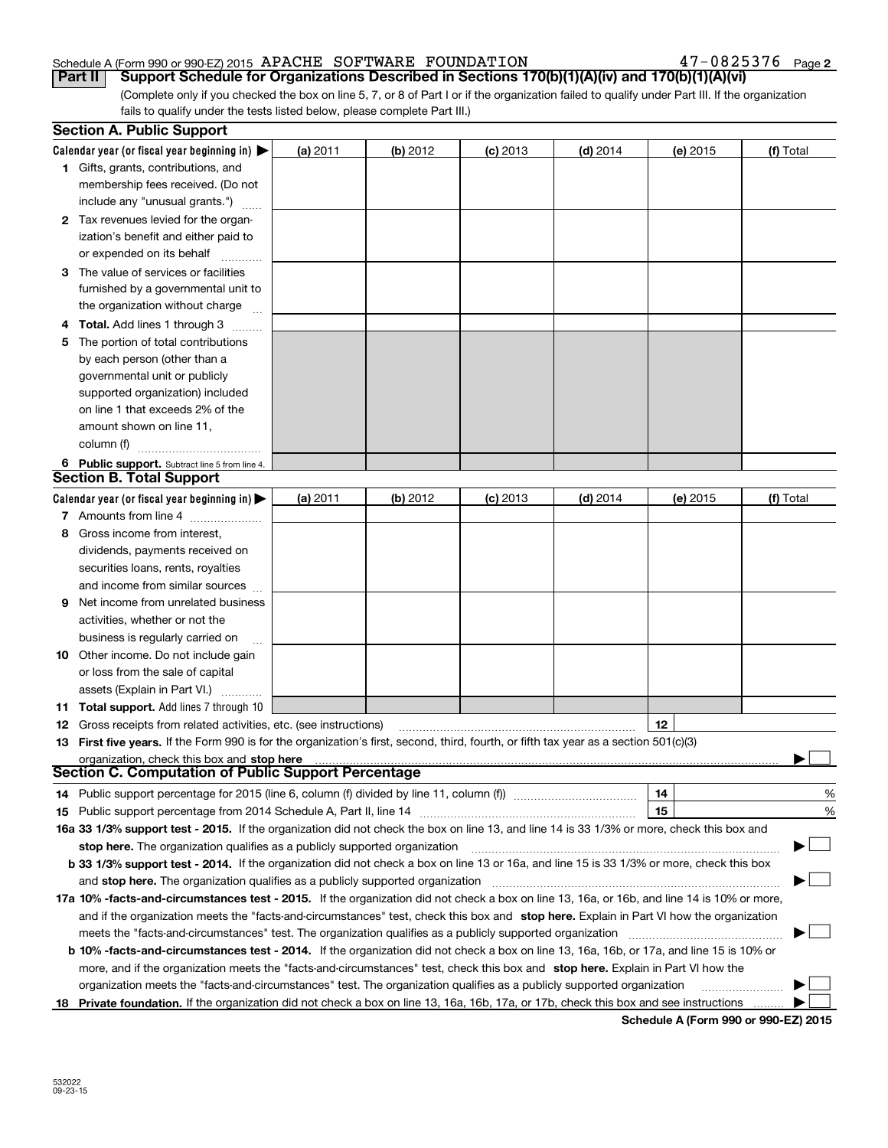**2**

(Complete only if you checked the box on line 5, 7, or 8 of Part I or if the organization failed to qualify under Part III. If the organization fails to qualify under the tests listed below, please complete Part III.) **Part II Support Schedule for Organizations Described in Sections 170(b)(1)(A)(iv) and 170(b)(1)(A)(vi)** 

| Calendar year (or fiscal year beginning in) $\blacktriangleright$<br>(a) 2011<br>$(b)$ 2012<br>$(d)$ 2014<br>$(c)$ 2013<br>(e) 2015<br>(f) Total<br>1 Gifts, grants, contributions, and<br>membership fees received. (Do not<br>include any "unusual grants.")<br>2 Tax revenues levied for the organ-<br>ization's benefit and either paid to<br>or expended on its behalf<br>3 The value of services or facilities<br>furnished by a governmental unit to<br>the organization without charge<br>4 Total. Add lines 1 through 3<br>The portion of total contributions<br>5.<br>by each person (other than a<br>governmental unit or publicly<br>supported organization) included<br>on line 1 that exceeds 2% of the<br>amount shown on line 11,<br>column (f)<br>6 Public support. Subtract line 5 from line 4.<br><b>Section B. Total Support</b><br>Calendar year (or fiscal year beginning in) $\blacktriangleright$<br>(b) 2012<br>$(d)$ 2014<br>(a) 2011<br>$(c)$ 2013<br>(e) 2015<br>(f) Total<br>7 Amounts from line 4<br>Gross income from interest,<br>8<br>dividends, payments received on<br>securities loans, rents, royalties<br>and income from similar sources<br><b>9</b> Net income from unrelated business<br>activities, whether or not the<br>business is regularly carried on<br><b>10</b> Other income. Do not include gain<br>or loss from the sale of capital<br>assets (Explain in Part VI.)<br><b>11 Total support.</b> Add lines 7 through 10<br>12<br><b>12</b> Gross receipts from related activities, etc. (see instructions)<br>13 First five years. If the Form 990 is for the organization's first, second, third, fourth, or fifth tax year as a section 501(c)(3)<br>organization, check this box and stop here<br>Section C. Computation of Public Support Percentage<br>14<br>%<br>14 Public support percentage for 2015 (line 6, column (f) divided by line 11, column (f) <i>mummention</i><br>15<br>%<br>16a 33 1/3% support test - 2015. If the organization did not check the box on line 13, and line 14 is 33 1/3% or more, check this box and<br>▔▁▎<br>stop here. The organization qualifies as a publicly supported organization<br>b 33 1/3% support test - 2014. If the organization did not check a box on line 13 or 16a, and line 15 is 33 1/3% or more, check this box<br>and stop here. The organization qualifies as a publicly supported organization<br>17a 10% -facts-and-circumstances test - 2015. If the organization did not check a box on line 13, 16a, or 16b, and line 14 is 10% or more,<br>and if the organization meets the "facts-and-circumstances" test, check this box and stop here. Explain in Part VI how the organization<br>meets the "facts-and-circumstances" test. The organization qualifies as a publicly supported organization<br><b>b 10% -facts-and-circumstances test - 2014.</b> If the organization did not check a box on line 13, 16a, 16b, or 17a, and line 15 is 10% or<br>more, and if the organization meets the "facts-and-circumstances" test, check this box and stop here. Explain in Part VI how the<br>organization meets the "facts-and-circumstances" test. The organization qualifies as a publicly supported organization<br>18 Private foundation. If the organization did not check a box on line 13, 16a, 16b, 17a, or 17b, check this box and see instructions | <b>Section A. Public Support</b> |  |  |  |
|--------------------------------------------------------------------------------------------------------------------------------------------------------------------------------------------------------------------------------------------------------------------------------------------------------------------------------------------------------------------------------------------------------------------------------------------------------------------------------------------------------------------------------------------------------------------------------------------------------------------------------------------------------------------------------------------------------------------------------------------------------------------------------------------------------------------------------------------------------------------------------------------------------------------------------------------------------------------------------------------------------------------------------------------------------------------------------------------------------------------------------------------------------------------------------------------------------------------------------------------------------------------------------------------------------------------------------------------------------------------------------------------------------------------------------------------------------------------------------------------------------------------------------------------------------------------------------------------------------------------------------------------------------------------------------------------------------------------------------------------------------------------------------------------------------------------------------------------------------------------------------------------------------------------------------------------------------------------------------------------------------------------------------------------------------------------------------------------------------------------------------------------------------------------------------------------------------------------------------------------------------------------------------------------------------------------------------------------------------------------------------------------------------------------------------------------------------------------------------------------------------------------------------------------------------------------------------------------------------------------------------------------------------------------------------------------------------------------------------------------------------------------------------------------------------------------------------------------------------------------------------------------------------------------------------------------------------------------------------------------------------------------------------------------------------------------------------------------------------------------------------------------------------------------------------------------------------------------------------------------------------------------------------------------------------------------------------------------------------------------------------|----------------------------------|--|--|--|
|                                                                                                                                                                                                                                                                                                                                                                                                                                                                                                                                                                                                                                                                                                                                                                                                                                                                                                                                                                                                                                                                                                                                                                                                                                                                                                                                                                                                                                                                                                                                                                                                                                                                                                                                                                                                                                                                                                                                                                                                                                                                                                                                                                                                                                                                                                                                                                                                                                                                                                                                                                                                                                                                                                                                                                                                                                                                                                                                                                                                                                                                                                                                                                                                                                                                                                                                                                                |                                  |  |  |  |
|                                                                                                                                                                                                                                                                                                                                                                                                                                                                                                                                                                                                                                                                                                                                                                                                                                                                                                                                                                                                                                                                                                                                                                                                                                                                                                                                                                                                                                                                                                                                                                                                                                                                                                                                                                                                                                                                                                                                                                                                                                                                                                                                                                                                                                                                                                                                                                                                                                                                                                                                                                                                                                                                                                                                                                                                                                                                                                                                                                                                                                                                                                                                                                                                                                                                                                                                                                                |                                  |  |  |  |
|                                                                                                                                                                                                                                                                                                                                                                                                                                                                                                                                                                                                                                                                                                                                                                                                                                                                                                                                                                                                                                                                                                                                                                                                                                                                                                                                                                                                                                                                                                                                                                                                                                                                                                                                                                                                                                                                                                                                                                                                                                                                                                                                                                                                                                                                                                                                                                                                                                                                                                                                                                                                                                                                                                                                                                                                                                                                                                                                                                                                                                                                                                                                                                                                                                                                                                                                                                                |                                  |  |  |  |
|                                                                                                                                                                                                                                                                                                                                                                                                                                                                                                                                                                                                                                                                                                                                                                                                                                                                                                                                                                                                                                                                                                                                                                                                                                                                                                                                                                                                                                                                                                                                                                                                                                                                                                                                                                                                                                                                                                                                                                                                                                                                                                                                                                                                                                                                                                                                                                                                                                                                                                                                                                                                                                                                                                                                                                                                                                                                                                                                                                                                                                                                                                                                                                                                                                                                                                                                                                                |                                  |  |  |  |
|                                                                                                                                                                                                                                                                                                                                                                                                                                                                                                                                                                                                                                                                                                                                                                                                                                                                                                                                                                                                                                                                                                                                                                                                                                                                                                                                                                                                                                                                                                                                                                                                                                                                                                                                                                                                                                                                                                                                                                                                                                                                                                                                                                                                                                                                                                                                                                                                                                                                                                                                                                                                                                                                                                                                                                                                                                                                                                                                                                                                                                                                                                                                                                                                                                                                                                                                                                                |                                  |  |  |  |
|                                                                                                                                                                                                                                                                                                                                                                                                                                                                                                                                                                                                                                                                                                                                                                                                                                                                                                                                                                                                                                                                                                                                                                                                                                                                                                                                                                                                                                                                                                                                                                                                                                                                                                                                                                                                                                                                                                                                                                                                                                                                                                                                                                                                                                                                                                                                                                                                                                                                                                                                                                                                                                                                                                                                                                                                                                                                                                                                                                                                                                                                                                                                                                                                                                                                                                                                                                                |                                  |  |  |  |
|                                                                                                                                                                                                                                                                                                                                                                                                                                                                                                                                                                                                                                                                                                                                                                                                                                                                                                                                                                                                                                                                                                                                                                                                                                                                                                                                                                                                                                                                                                                                                                                                                                                                                                                                                                                                                                                                                                                                                                                                                                                                                                                                                                                                                                                                                                                                                                                                                                                                                                                                                                                                                                                                                                                                                                                                                                                                                                                                                                                                                                                                                                                                                                                                                                                                                                                                                                                |                                  |  |  |  |
|                                                                                                                                                                                                                                                                                                                                                                                                                                                                                                                                                                                                                                                                                                                                                                                                                                                                                                                                                                                                                                                                                                                                                                                                                                                                                                                                                                                                                                                                                                                                                                                                                                                                                                                                                                                                                                                                                                                                                                                                                                                                                                                                                                                                                                                                                                                                                                                                                                                                                                                                                                                                                                                                                                                                                                                                                                                                                                                                                                                                                                                                                                                                                                                                                                                                                                                                                                                |                                  |  |  |  |
|                                                                                                                                                                                                                                                                                                                                                                                                                                                                                                                                                                                                                                                                                                                                                                                                                                                                                                                                                                                                                                                                                                                                                                                                                                                                                                                                                                                                                                                                                                                                                                                                                                                                                                                                                                                                                                                                                                                                                                                                                                                                                                                                                                                                                                                                                                                                                                                                                                                                                                                                                                                                                                                                                                                                                                                                                                                                                                                                                                                                                                                                                                                                                                                                                                                                                                                                                                                |                                  |  |  |  |
|                                                                                                                                                                                                                                                                                                                                                                                                                                                                                                                                                                                                                                                                                                                                                                                                                                                                                                                                                                                                                                                                                                                                                                                                                                                                                                                                                                                                                                                                                                                                                                                                                                                                                                                                                                                                                                                                                                                                                                                                                                                                                                                                                                                                                                                                                                                                                                                                                                                                                                                                                                                                                                                                                                                                                                                                                                                                                                                                                                                                                                                                                                                                                                                                                                                                                                                                                                                |                                  |  |  |  |
|                                                                                                                                                                                                                                                                                                                                                                                                                                                                                                                                                                                                                                                                                                                                                                                                                                                                                                                                                                                                                                                                                                                                                                                                                                                                                                                                                                                                                                                                                                                                                                                                                                                                                                                                                                                                                                                                                                                                                                                                                                                                                                                                                                                                                                                                                                                                                                                                                                                                                                                                                                                                                                                                                                                                                                                                                                                                                                                                                                                                                                                                                                                                                                                                                                                                                                                                                                                |                                  |  |  |  |
|                                                                                                                                                                                                                                                                                                                                                                                                                                                                                                                                                                                                                                                                                                                                                                                                                                                                                                                                                                                                                                                                                                                                                                                                                                                                                                                                                                                                                                                                                                                                                                                                                                                                                                                                                                                                                                                                                                                                                                                                                                                                                                                                                                                                                                                                                                                                                                                                                                                                                                                                                                                                                                                                                                                                                                                                                                                                                                                                                                                                                                                                                                                                                                                                                                                                                                                                                                                |                                  |  |  |  |
|                                                                                                                                                                                                                                                                                                                                                                                                                                                                                                                                                                                                                                                                                                                                                                                                                                                                                                                                                                                                                                                                                                                                                                                                                                                                                                                                                                                                                                                                                                                                                                                                                                                                                                                                                                                                                                                                                                                                                                                                                                                                                                                                                                                                                                                                                                                                                                                                                                                                                                                                                                                                                                                                                                                                                                                                                                                                                                                                                                                                                                                                                                                                                                                                                                                                                                                                                                                |                                  |  |  |  |
|                                                                                                                                                                                                                                                                                                                                                                                                                                                                                                                                                                                                                                                                                                                                                                                                                                                                                                                                                                                                                                                                                                                                                                                                                                                                                                                                                                                                                                                                                                                                                                                                                                                                                                                                                                                                                                                                                                                                                                                                                                                                                                                                                                                                                                                                                                                                                                                                                                                                                                                                                                                                                                                                                                                                                                                                                                                                                                                                                                                                                                                                                                                                                                                                                                                                                                                                                                                |                                  |  |  |  |
|                                                                                                                                                                                                                                                                                                                                                                                                                                                                                                                                                                                                                                                                                                                                                                                                                                                                                                                                                                                                                                                                                                                                                                                                                                                                                                                                                                                                                                                                                                                                                                                                                                                                                                                                                                                                                                                                                                                                                                                                                                                                                                                                                                                                                                                                                                                                                                                                                                                                                                                                                                                                                                                                                                                                                                                                                                                                                                                                                                                                                                                                                                                                                                                                                                                                                                                                                                                |                                  |  |  |  |
|                                                                                                                                                                                                                                                                                                                                                                                                                                                                                                                                                                                                                                                                                                                                                                                                                                                                                                                                                                                                                                                                                                                                                                                                                                                                                                                                                                                                                                                                                                                                                                                                                                                                                                                                                                                                                                                                                                                                                                                                                                                                                                                                                                                                                                                                                                                                                                                                                                                                                                                                                                                                                                                                                                                                                                                                                                                                                                                                                                                                                                                                                                                                                                                                                                                                                                                                                                                |                                  |  |  |  |
|                                                                                                                                                                                                                                                                                                                                                                                                                                                                                                                                                                                                                                                                                                                                                                                                                                                                                                                                                                                                                                                                                                                                                                                                                                                                                                                                                                                                                                                                                                                                                                                                                                                                                                                                                                                                                                                                                                                                                                                                                                                                                                                                                                                                                                                                                                                                                                                                                                                                                                                                                                                                                                                                                                                                                                                                                                                                                                                                                                                                                                                                                                                                                                                                                                                                                                                                                                                |                                  |  |  |  |
|                                                                                                                                                                                                                                                                                                                                                                                                                                                                                                                                                                                                                                                                                                                                                                                                                                                                                                                                                                                                                                                                                                                                                                                                                                                                                                                                                                                                                                                                                                                                                                                                                                                                                                                                                                                                                                                                                                                                                                                                                                                                                                                                                                                                                                                                                                                                                                                                                                                                                                                                                                                                                                                                                                                                                                                                                                                                                                                                                                                                                                                                                                                                                                                                                                                                                                                                                                                |                                  |  |  |  |
|                                                                                                                                                                                                                                                                                                                                                                                                                                                                                                                                                                                                                                                                                                                                                                                                                                                                                                                                                                                                                                                                                                                                                                                                                                                                                                                                                                                                                                                                                                                                                                                                                                                                                                                                                                                                                                                                                                                                                                                                                                                                                                                                                                                                                                                                                                                                                                                                                                                                                                                                                                                                                                                                                                                                                                                                                                                                                                                                                                                                                                                                                                                                                                                                                                                                                                                                                                                |                                  |  |  |  |
|                                                                                                                                                                                                                                                                                                                                                                                                                                                                                                                                                                                                                                                                                                                                                                                                                                                                                                                                                                                                                                                                                                                                                                                                                                                                                                                                                                                                                                                                                                                                                                                                                                                                                                                                                                                                                                                                                                                                                                                                                                                                                                                                                                                                                                                                                                                                                                                                                                                                                                                                                                                                                                                                                                                                                                                                                                                                                                                                                                                                                                                                                                                                                                                                                                                                                                                                                                                |                                  |  |  |  |
|                                                                                                                                                                                                                                                                                                                                                                                                                                                                                                                                                                                                                                                                                                                                                                                                                                                                                                                                                                                                                                                                                                                                                                                                                                                                                                                                                                                                                                                                                                                                                                                                                                                                                                                                                                                                                                                                                                                                                                                                                                                                                                                                                                                                                                                                                                                                                                                                                                                                                                                                                                                                                                                                                                                                                                                                                                                                                                                                                                                                                                                                                                                                                                                                                                                                                                                                                                                |                                  |  |  |  |
|                                                                                                                                                                                                                                                                                                                                                                                                                                                                                                                                                                                                                                                                                                                                                                                                                                                                                                                                                                                                                                                                                                                                                                                                                                                                                                                                                                                                                                                                                                                                                                                                                                                                                                                                                                                                                                                                                                                                                                                                                                                                                                                                                                                                                                                                                                                                                                                                                                                                                                                                                                                                                                                                                                                                                                                                                                                                                                                                                                                                                                                                                                                                                                                                                                                                                                                                                                                |                                  |  |  |  |
|                                                                                                                                                                                                                                                                                                                                                                                                                                                                                                                                                                                                                                                                                                                                                                                                                                                                                                                                                                                                                                                                                                                                                                                                                                                                                                                                                                                                                                                                                                                                                                                                                                                                                                                                                                                                                                                                                                                                                                                                                                                                                                                                                                                                                                                                                                                                                                                                                                                                                                                                                                                                                                                                                                                                                                                                                                                                                                                                                                                                                                                                                                                                                                                                                                                                                                                                                                                |                                  |  |  |  |
|                                                                                                                                                                                                                                                                                                                                                                                                                                                                                                                                                                                                                                                                                                                                                                                                                                                                                                                                                                                                                                                                                                                                                                                                                                                                                                                                                                                                                                                                                                                                                                                                                                                                                                                                                                                                                                                                                                                                                                                                                                                                                                                                                                                                                                                                                                                                                                                                                                                                                                                                                                                                                                                                                                                                                                                                                                                                                                                                                                                                                                                                                                                                                                                                                                                                                                                                                                                |                                  |  |  |  |
|                                                                                                                                                                                                                                                                                                                                                                                                                                                                                                                                                                                                                                                                                                                                                                                                                                                                                                                                                                                                                                                                                                                                                                                                                                                                                                                                                                                                                                                                                                                                                                                                                                                                                                                                                                                                                                                                                                                                                                                                                                                                                                                                                                                                                                                                                                                                                                                                                                                                                                                                                                                                                                                                                                                                                                                                                                                                                                                                                                                                                                                                                                                                                                                                                                                                                                                                                                                |                                  |  |  |  |
|                                                                                                                                                                                                                                                                                                                                                                                                                                                                                                                                                                                                                                                                                                                                                                                                                                                                                                                                                                                                                                                                                                                                                                                                                                                                                                                                                                                                                                                                                                                                                                                                                                                                                                                                                                                                                                                                                                                                                                                                                                                                                                                                                                                                                                                                                                                                                                                                                                                                                                                                                                                                                                                                                                                                                                                                                                                                                                                                                                                                                                                                                                                                                                                                                                                                                                                                                                                |                                  |  |  |  |
|                                                                                                                                                                                                                                                                                                                                                                                                                                                                                                                                                                                                                                                                                                                                                                                                                                                                                                                                                                                                                                                                                                                                                                                                                                                                                                                                                                                                                                                                                                                                                                                                                                                                                                                                                                                                                                                                                                                                                                                                                                                                                                                                                                                                                                                                                                                                                                                                                                                                                                                                                                                                                                                                                                                                                                                                                                                                                                                                                                                                                                                                                                                                                                                                                                                                                                                                                                                |                                  |  |  |  |
|                                                                                                                                                                                                                                                                                                                                                                                                                                                                                                                                                                                                                                                                                                                                                                                                                                                                                                                                                                                                                                                                                                                                                                                                                                                                                                                                                                                                                                                                                                                                                                                                                                                                                                                                                                                                                                                                                                                                                                                                                                                                                                                                                                                                                                                                                                                                                                                                                                                                                                                                                                                                                                                                                                                                                                                                                                                                                                                                                                                                                                                                                                                                                                                                                                                                                                                                                                                |                                  |  |  |  |
|                                                                                                                                                                                                                                                                                                                                                                                                                                                                                                                                                                                                                                                                                                                                                                                                                                                                                                                                                                                                                                                                                                                                                                                                                                                                                                                                                                                                                                                                                                                                                                                                                                                                                                                                                                                                                                                                                                                                                                                                                                                                                                                                                                                                                                                                                                                                                                                                                                                                                                                                                                                                                                                                                                                                                                                                                                                                                                                                                                                                                                                                                                                                                                                                                                                                                                                                                                                |                                  |  |  |  |
|                                                                                                                                                                                                                                                                                                                                                                                                                                                                                                                                                                                                                                                                                                                                                                                                                                                                                                                                                                                                                                                                                                                                                                                                                                                                                                                                                                                                                                                                                                                                                                                                                                                                                                                                                                                                                                                                                                                                                                                                                                                                                                                                                                                                                                                                                                                                                                                                                                                                                                                                                                                                                                                                                                                                                                                                                                                                                                                                                                                                                                                                                                                                                                                                                                                                                                                                                                                |                                  |  |  |  |
|                                                                                                                                                                                                                                                                                                                                                                                                                                                                                                                                                                                                                                                                                                                                                                                                                                                                                                                                                                                                                                                                                                                                                                                                                                                                                                                                                                                                                                                                                                                                                                                                                                                                                                                                                                                                                                                                                                                                                                                                                                                                                                                                                                                                                                                                                                                                                                                                                                                                                                                                                                                                                                                                                                                                                                                                                                                                                                                                                                                                                                                                                                                                                                                                                                                                                                                                                                                |                                  |  |  |  |
|                                                                                                                                                                                                                                                                                                                                                                                                                                                                                                                                                                                                                                                                                                                                                                                                                                                                                                                                                                                                                                                                                                                                                                                                                                                                                                                                                                                                                                                                                                                                                                                                                                                                                                                                                                                                                                                                                                                                                                                                                                                                                                                                                                                                                                                                                                                                                                                                                                                                                                                                                                                                                                                                                                                                                                                                                                                                                                                                                                                                                                                                                                                                                                                                                                                                                                                                                                                |                                  |  |  |  |
|                                                                                                                                                                                                                                                                                                                                                                                                                                                                                                                                                                                                                                                                                                                                                                                                                                                                                                                                                                                                                                                                                                                                                                                                                                                                                                                                                                                                                                                                                                                                                                                                                                                                                                                                                                                                                                                                                                                                                                                                                                                                                                                                                                                                                                                                                                                                                                                                                                                                                                                                                                                                                                                                                                                                                                                                                                                                                                                                                                                                                                                                                                                                                                                                                                                                                                                                                                                |                                  |  |  |  |
|                                                                                                                                                                                                                                                                                                                                                                                                                                                                                                                                                                                                                                                                                                                                                                                                                                                                                                                                                                                                                                                                                                                                                                                                                                                                                                                                                                                                                                                                                                                                                                                                                                                                                                                                                                                                                                                                                                                                                                                                                                                                                                                                                                                                                                                                                                                                                                                                                                                                                                                                                                                                                                                                                                                                                                                                                                                                                                                                                                                                                                                                                                                                                                                                                                                                                                                                                                                |                                  |  |  |  |
|                                                                                                                                                                                                                                                                                                                                                                                                                                                                                                                                                                                                                                                                                                                                                                                                                                                                                                                                                                                                                                                                                                                                                                                                                                                                                                                                                                                                                                                                                                                                                                                                                                                                                                                                                                                                                                                                                                                                                                                                                                                                                                                                                                                                                                                                                                                                                                                                                                                                                                                                                                                                                                                                                                                                                                                                                                                                                                                                                                                                                                                                                                                                                                                                                                                                                                                                                                                |                                  |  |  |  |
|                                                                                                                                                                                                                                                                                                                                                                                                                                                                                                                                                                                                                                                                                                                                                                                                                                                                                                                                                                                                                                                                                                                                                                                                                                                                                                                                                                                                                                                                                                                                                                                                                                                                                                                                                                                                                                                                                                                                                                                                                                                                                                                                                                                                                                                                                                                                                                                                                                                                                                                                                                                                                                                                                                                                                                                                                                                                                                                                                                                                                                                                                                                                                                                                                                                                                                                                                                                |                                  |  |  |  |
|                                                                                                                                                                                                                                                                                                                                                                                                                                                                                                                                                                                                                                                                                                                                                                                                                                                                                                                                                                                                                                                                                                                                                                                                                                                                                                                                                                                                                                                                                                                                                                                                                                                                                                                                                                                                                                                                                                                                                                                                                                                                                                                                                                                                                                                                                                                                                                                                                                                                                                                                                                                                                                                                                                                                                                                                                                                                                                                                                                                                                                                                                                                                                                                                                                                                                                                                                                                |                                  |  |  |  |
|                                                                                                                                                                                                                                                                                                                                                                                                                                                                                                                                                                                                                                                                                                                                                                                                                                                                                                                                                                                                                                                                                                                                                                                                                                                                                                                                                                                                                                                                                                                                                                                                                                                                                                                                                                                                                                                                                                                                                                                                                                                                                                                                                                                                                                                                                                                                                                                                                                                                                                                                                                                                                                                                                                                                                                                                                                                                                                                                                                                                                                                                                                                                                                                                                                                                                                                                                                                |                                  |  |  |  |
|                                                                                                                                                                                                                                                                                                                                                                                                                                                                                                                                                                                                                                                                                                                                                                                                                                                                                                                                                                                                                                                                                                                                                                                                                                                                                                                                                                                                                                                                                                                                                                                                                                                                                                                                                                                                                                                                                                                                                                                                                                                                                                                                                                                                                                                                                                                                                                                                                                                                                                                                                                                                                                                                                                                                                                                                                                                                                                                                                                                                                                                                                                                                                                                                                                                                                                                                                                                |                                  |  |  |  |
|                                                                                                                                                                                                                                                                                                                                                                                                                                                                                                                                                                                                                                                                                                                                                                                                                                                                                                                                                                                                                                                                                                                                                                                                                                                                                                                                                                                                                                                                                                                                                                                                                                                                                                                                                                                                                                                                                                                                                                                                                                                                                                                                                                                                                                                                                                                                                                                                                                                                                                                                                                                                                                                                                                                                                                                                                                                                                                                                                                                                                                                                                                                                                                                                                                                                                                                                                                                |                                  |  |  |  |
|                                                                                                                                                                                                                                                                                                                                                                                                                                                                                                                                                                                                                                                                                                                                                                                                                                                                                                                                                                                                                                                                                                                                                                                                                                                                                                                                                                                                                                                                                                                                                                                                                                                                                                                                                                                                                                                                                                                                                                                                                                                                                                                                                                                                                                                                                                                                                                                                                                                                                                                                                                                                                                                                                                                                                                                                                                                                                                                                                                                                                                                                                                                                                                                                                                                                                                                                                                                |                                  |  |  |  |
|                                                                                                                                                                                                                                                                                                                                                                                                                                                                                                                                                                                                                                                                                                                                                                                                                                                                                                                                                                                                                                                                                                                                                                                                                                                                                                                                                                                                                                                                                                                                                                                                                                                                                                                                                                                                                                                                                                                                                                                                                                                                                                                                                                                                                                                                                                                                                                                                                                                                                                                                                                                                                                                                                                                                                                                                                                                                                                                                                                                                                                                                                                                                                                                                                                                                                                                                                                                |                                  |  |  |  |
|                                                                                                                                                                                                                                                                                                                                                                                                                                                                                                                                                                                                                                                                                                                                                                                                                                                                                                                                                                                                                                                                                                                                                                                                                                                                                                                                                                                                                                                                                                                                                                                                                                                                                                                                                                                                                                                                                                                                                                                                                                                                                                                                                                                                                                                                                                                                                                                                                                                                                                                                                                                                                                                                                                                                                                                                                                                                                                                                                                                                                                                                                                                                                                                                                                                                                                                                                                                |                                  |  |  |  |
|                                                                                                                                                                                                                                                                                                                                                                                                                                                                                                                                                                                                                                                                                                                                                                                                                                                                                                                                                                                                                                                                                                                                                                                                                                                                                                                                                                                                                                                                                                                                                                                                                                                                                                                                                                                                                                                                                                                                                                                                                                                                                                                                                                                                                                                                                                                                                                                                                                                                                                                                                                                                                                                                                                                                                                                                                                                                                                                                                                                                                                                                                                                                                                                                                                                                                                                                                                                |                                  |  |  |  |
|                                                                                                                                                                                                                                                                                                                                                                                                                                                                                                                                                                                                                                                                                                                                                                                                                                                                                                                                                                                                                                                                                                                                                                                                                                                                                                                                                                                                                                                                                                                                                                                                                                                                                                                                                                                                                                                                                                                                                                                                                                                                                                                                                                                                                                                                                                                                                                                                                                                                                                                                                                                                                                                                                                                                                                                                                                                                                                                                                                                                                                                                                                                                                                                                                                                                                                                                                                                |                                  |  |  |  |
|                                                                                                                                                                                                                                                                                                                                                                                                                                                                                                                                                                                                                                                                                                                                                                                                                                                                                                                                                                                                                                                                                                                                                                                                                                                                                                                                                                                                                                                                                                                                                                                                                                                                                                                                                                                                                                                                                                                                                                                                                                                                                                                                                                                                                                                                                                                                                                                                                                                                                                                                                                                                                                                                                                                                                                                                                                                                                                                                                                                                                                                                                                                                                                                                                                                                                                                                                                                |                                  |  |  |  |
|                                                                                                                                                                                                                                                                                                                                                                                                                                                                                                                                                                                                                                                                                                                                                                                                                                                                                                                                                                                                                                                                                                                                                                                                                                                                                                                                                                                                                                                                                                                                                                                                                                                                                                                                                                                                                                                                                                                                                                                                                                                                                                                                                                                                                                                                                                                                                                                                                                                                                                                                                                                                                                                                                                                                                                                                                                                                                                                                                                                                                                                                                                                                                                                                                                                                                                                                                                                |                                  |  |  |  |
|                                                                                                                                                                                                                                                                                                                                                                                                                                                                                                                                                                                                                                                                                                                                                                                                                                                                                                                                                                                                                                                                                                                                                                                                                                                                                                                                                                                                                                                                                                                                                                                                                                                                                                                                                                                                                                                                                                                                                                                                                                                                                                                                                                                                                                                                                                                                                                                                                                                                                                                                                                                                                                                                                                                                                                                                                                                                                                                                                                                                                                                                                                                                                                                                                                                                                                                                                                                |                                  |  |  |  |
|                                                                                                                                                                                                                                                                                                                                                                                                                                                                                                                                                                                                                                                                                                                                                                                                                                                                                                                                                                                                                                                                                                                                                                                                                                                                                                                                                                                                                                                                                                                                                                                                                                                                                                                                                                                                                                                                                                                                                                                                                                                                                                                                                                                                                                                                                                                                                                                                                                                                                                                                                                                                                                                                                                                                                                                                                                                                                                                                                                                                                                                                                                                                                                                                                                                                                                                                                                                |                                  |  |  |  |
|                                                                                                                                                                                                                                                                                                                                                                                                                                                                                                                                                                                                                                                                                                                                                                                                                                                                                                                                                                                                                                                                                                                                                                                                                                                                                                                                                                                                                                                                                                                                                                                                                                                                                                                                                                                                                                                                                                                                                                                                                                                                                                                                                                                                                                                                                                                                                                                                                                                                                                                                                                                                                                                                                                                                                                                                                                                                                                                                                                                                                                                                                                                                                                                                                                                                                                                                                                                |                                  |  |  |  |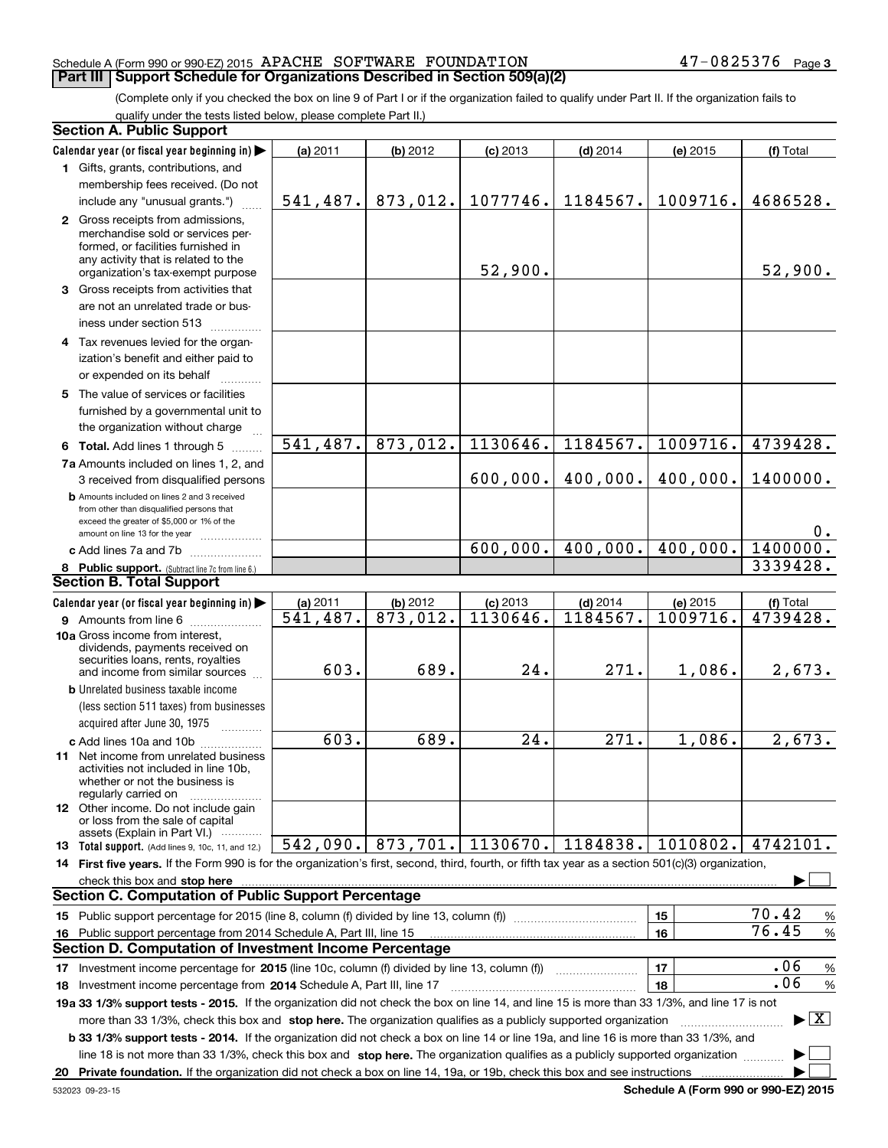(Complete only if you checked the box on line 9 of Part I or if the organization failed to qualify under Part II. If the organization fails to qualify under the tests listed below, please complete Part II.)

|    | <b>Section A. Public Support</b>                                                                                                                                                                                                   |                        |                       |                   |            |          |                                 |
|----|------------------------------------------------------------------------------------------------------------------------------------------------------------------------------------------------------------------------------------|------------------------|-----------------------|-------------------|------------|----------|---------------------------------|
|    | Calendar year (or fiscal year beginning in)                                                                                                                                                                                        | (a) 2011               | (b) 2012              | $(c)$ 2013        | $(d)$ 2014 | (e) 2015 | (f) Total                       |
|    | 1 Gifts, grants, contributions, and                                                                                                                                                                                                |                        |                       |                   |            |          |                                 |
|    | membership fees received. (Do not                                                                                                                                                                                                  |                        |                       |                   |            |          |                                 |
|    | include any "unusual grants.")                                                                                                                                                                                                     |                        | $541, 487.$ 873, 012. | 1077746.          | 1184567.   | 1009716. | 4686528.                        |
|    | 2 Gross receipts from admissions,                                                                                                                                                                                                  |                        |                       |                   |            |          |                                 |
|    | merchandise sold or services per-                                                                                                                                                                                                  |                        |                       |                   |            |          |                                 |
|    | formed, or facilities furnished in<br>any activity that is related to the                                                                                                                                                          |                        |                       |                   |            |          |                                 |
|    | organization's tax-exempt purpose                                                                                                                                                                                                  |                        |                       | 52,900.           |            |          | 52,900.                         |
|    | 3 Gross receipts from activities that                                                                                                                                                                                              |                        |                       |                   |            |          |                                 |
|    | are not an unrelated trade or bus-                                                                                                                                                                                                 |                        |                       |                   |            |          |                                 |
|    | iness under section 513                                                                                                                                                                                                            |                        |                       |                   |            |          |                                 |
|    | 4 Tax revenues levied for the organ-                                                                                                                                                                                               |                        |                       |                   |            |          |                                 |
|    | ization's benefit and either paid to                                                                                                                                                                                               |                        |                       |                   |            |          |                                 |
|    | or expended on its behalf                                                                                                                                                                                                          |                        |                       |                   |            |          |                                 |
|    | 5 The value of services or facilities                                                                                                                                                                                              |                        |                       |                   |            |          |                                 |
|    | furnished by a governmental unit to                                                                                                                                                                                                |                        |                       |                   |            |          |                                 |
|    | the organization without charge                                                                                                                                                                                                    |                        |                       |                   |            |          |                                 |
|    | 6 Total. Add lines 1 through 5                                                                                                                                                                                                     | 541,487.               | 873,012.              | 1130646.          | 1184567.   | 1009716. | 4739428.                        |
|    | 7a Amounts included on lines 1, 2, and                                                                                                                                                                                             |                        |                       |                   |            |          |                                 |
|    | 3 received from disqualified persons                                                                                                                                                                                               |                        |                       | 600,000.          | 400,000.   | 400,000. | 1400000.                        |
|    | <b>b</b> Amounts included on lines 2 and 3 received                                                                                                                                                                                |                        |                       |                   |            |          |                                 |
|    | from other than disqualified persons that                                                                                                                                                                                          |                        |                       |                   |            |          |                                 |
|    | exceed the greater of \$5,000 or 1% of the                                                                                                                                                                                         |                        |                       |                   |            |          | 0.                              |
|    | amount on line 13 for the year<br>c Add lines 7a and 7b                                                                                                                                                                            |                        |                       | 600,000.          | 400,000.   | 400,000. | 1400000.                        |
|    |                                                                                                                                                                                                                                    |                        |                       |                   |            |          | 3339428.                        |
|    | 8 Public support. (Subtract line 7c from line 6.)<br><b>Section B. Total Support</b>                                                                                                                                               |                        |                       |                   |            |          |                                 |
|    | Calendar year (or fiscal year beginning in)                                                                                                                                                                                        | (a) 2011               | (b) 2012              | $(c)$ 2013        | $(d)$ 2014 | (e) 2015 | (f) Total                       |
|    | <b>9</b> Amounts from line 6                                                                                                                                                                                                       | $\overline{541,487}$ . | 873,012.              | 1130646.          | 1184567.   | 1009716. | 4739428.                        |
|    | 10a Gross income from interest,                                                                                                                                                                                                    |                        |                       |                   |            |          |                                 |
|    | dividends, payments received on                                                                                                                                                                                                    |                        |                       |                   |            |          |                                 |
|    | securities loans, rents, royalties<br>and income from similar sources                                                                                                                                                              | 603.                   | 689.                  | 24.               | 271.       | 1,086.   | 2,673.                          |
|    | <b>b</b> Unrelated business taxable income                                                                                                                                                                                         |                        |                       |                   |            |          |                                 |
|    | (less section 511 taxes) from businesses                                                                                                                                                                                           |                        |                       |                   |            |          |                                 |
|    | acquired after June 30, 1975                                                                                                                                                                                                       |                        |                       |                   |            |          |                                 |
|    |                                                                                                                                                                                                                                    | 603.                   | 689.                  | $\overline{24}$ . | 271.       | 1,086.   | 2,673.                          |
|    | c Add lines 10a and 10b<br><b>11</b> Net income from unrelated business                                                                                                                                                            |                        |                       |                   |            |          |                                 |
|    | activities not included in line 10b,                                                                                                                                                                                               |                        |                       |                   |            |          |                                 |
|    | whether or not the business is                                                                                                                                                                                                     |                        |                       |                   |            |          |                                 |
|    | regularly carried on<br>12 Other income. Do not include gain                                                                                                                                                                       |                        |                       |                   |            |          |                                 |
|    | or loss from the sale of capital                                                                                                                                                                                                   |                        |                       |                   |            |          |                                 |
|    | assets (Explain in Part VI.)                                                                                                                                                                                                       |                        |                       | 1130670.          |            | 1010802. |                                 |
|    | 13 Total support. (Add lines 9, 10c, 11, and 12.)                                                                                                                                                                                  | 542,090.               | 873,701.              |                   | 1184838.   |          | 4742101.                        |
|    | 14 First five years. If the Form 990 is for the organization's first, second, third, fourth, or fifth tax year as a section 501(c)(3) organization,                                                                                |                        |                       |                   |            |          |                                 |
|    | check this box and <b>stop here</b> measurement control and the control of the state of the control of the control of the control of the control of the control of the control of the control of the control of the control of the |                        |                       |                   |            |          |                                 |
|    | <b>Section C. Computation of Public Support Percentage</b>                                                                                                                                                                         |                        |                       |                   |            |          |                                 |
|    | 15 Public support percentage for 2015 (line 8, column (f) divided by line 13, column (f))                                                                                                                                          |                        |                       |                   |            | 15       | 70.42<br>%<br>76.45             |
| 16 | Public support percentage from 2014 Schedule A, Part III, line 15                                                                                                                                                                  |                        |                       |                   |            | 16       | $\%$                            |
|    | <b>Section D. Computation of Investment Income Percentage</b>                                                                                                                                                                      |                        |                       |                   |            |          |                                 |
| 17 | Investment income percentage for 2015 (line 10c, column (f) divided by line 13, column (f)                                                                                                                                         |                        |                       |                   |            | 17       | .06<br>$\%$                     |
|    | <b>18</b> Investment income percentage from <b>2014</b> Schedule A, Part III, line 17                                                                                                                                              |                        |                       |                   |            | 18       | .06<br>%                        |
|    | 19a 33 1/3% support tests - 2015. If the organization did not check the box on line 14, and line 15 is more than 33 1/3%, and line 17 is not                                                                                       |                        |                       |                   |            |          |                                 |
|    | more than 33 1/3%, check this box and stop here. The organization qualifies as a publicly supported organization                                                                                                                   |                        |                       |                   |            |          | $\blacktriangleright$ $\vert$ X |
|    | b 33 1/3% support tests - 2014. If the organization did not check a box on line 14 or line 19a, and line 16 is more than 33 1/3%, and                                                                                              |                        |                       |                   |            |          |                                 |
|    | line 18 is not more than 33 1/3%, check this box and stop here. The organization qualifies as a publicly supported organization                                                                                                    |                        |                       |                   |            |          |                                 |
|    |                                                                                                                                                                                                                                    |                        |                       |                   |            |          |                                 |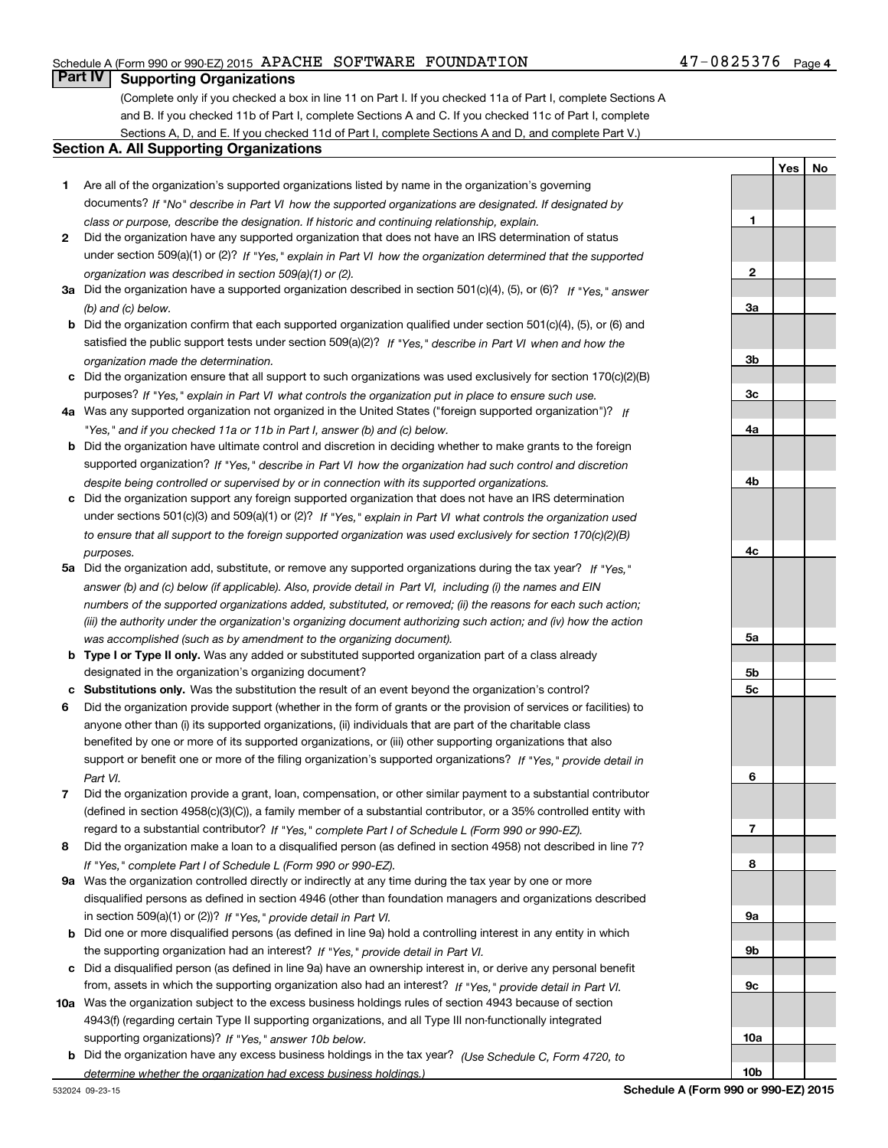### **Part IV Supporting Organizations**

(Complete only if you checked a box in line 11 on Part I. If you checked 11a of Part I, complete Sections A and B. If you checked 11b of Part I, complete Sections A and C. If you checked 11c of Part I, complete Sections A, D, and E. If you checked 11d of Part I, complete Sections A and D, and complete Part V.)

#### **Section A. All Supporting Organizations**

- **1** Are all of the organization's supported organizations listed by name in the organization's governing *If "No" describe in how the supported organizations are designated. If designated by* documents? *Part VI class or purpose, describe the designation. If historic and continuing relationship, explain.*
- **2** Did the organization have any supported organization that does not have an IRS determination of status under section 509(a)(1) or (2)? If "Yes," explain in Part VI how the organization determined that the supported *organization was described in section 509(a)(1) or (2).*
- **3a** Did the organization have a supported organization described in section 501(c)(4), (5), or (6)? If "Yes," answer *(b) and (c) below.*
- **b** Did the organization confirm that each supported organization qualified under section 501(c)(4), (5), or (6) and satisfied the public support tests under section 509(a)(2)? If "Yes," describe in Part VI when and how the *organization made the determination.*
- **c**Did the organization ensure that all support to such organizations was used exclusively for section 170(c)(2)(B) purposes? If "Yes," explain in Part VI what controls the organization put in place to ensure such use.
- **4a***If* Was any supported organization not organized in the United States ("foreign supported organization")? *"Yes," and if you checked 11a or 11b in Part I, answer (b) and (c) below.*
- **b** Did the organization have ultimate control and discretion in deciding whether to make grants to the foreign supported organization? If "Yes," describe in Part VI how the organization had such control and discretion *despite being controlled or supervised by or in connection with its supported organizations.*
- **c** Did the organization support any foreign supported organization that does not have an IRS determination under sections 501(c)(3) and 509(a)(1) or (2)? If "Yes," explain in Part VI what controls the organization used *to ensure that all support to the foreign supported organization was used exclusively for section 170(c)(2)(B) purposes.*
- **5a***If "Yes,"* Did the organization add, substitute, or remove any supported organizations during the tax year? answer (b) and (c) below (if applicable). Also, provide detail in Part VI, including (i) the names and EIN *numbers of the supported organizations added, substituted, or removed; (ii) the reasons for each such action; (iii) the authority under the organization's organizing document authorizing such action; and (iv) how the action was accomplished (such as by amendment to the organizing document).*
- **b** Type I or Type II only. Was any added or substituted supported organization part of a class already designated in the organization's organizing document?
- **cSubstitutions only.**  Was the substitution the result of an event beyond the organization's control?
- **6** Did the organization provide support (whether in the form of grants or the provision of services or facilities) to *If "Yes," provide detail in* support or benefit one or more of the filing organization's supported organizations? anyone other than (i) its supported organizations, (ii) individuals that are part of the charitable class benefited by one or more of its supported organizations, or (iii) other supporting organizations that also *Part VI.*
- **7**Did the organization provide a grant, loan, compensation, or other similar payment to a substantial contributor *If "Yes," complete Part I of Schedule L (Form 990 or 990-EZ).* regard to a substantial contributor? (defined in section 4958(c)(3)(C)), a family member of a substantial contributor, or a 35% controlled entity with
- **8** Did the organization make a loan to a disqualified person (as defined in section 4958) not described in line 7? *If "Yes," complete Part I of Schedule L (Form 990 or 990-EZ).*
- **9a** Was the organization controlled directly or indirectly at any time during the tax year by one or more in section 509(a)(1) or (2))? If "Yes," *provide detail in Part VI.* disqualified persons as defined in section 4946 (other than foundation managers and organizations described
- **b** Did one or more disqualified persons (as defined in line 9a) hold a controlling interest in any entity in which the supporting organization had an interest? If "Yes," provide detail in Part VI.
- **c**Did a disqualified person (as defined in line 9a) have an ownership interest in, or derive any personal benefit from, assets in which the supporting organization also had an interest? If "Yes," provide detail in Part VI.
- **10a** Was the organization subject to the excess business holdings rules of section 4943 because of section supporting organizations)? If "Yes," answer 10b below. 4943(f) (regarding certain Type II supporting organizations, and all Type III non-functionally integrated
- **b** Did the organization have any excess business holdings in the tax year? (Use Schedule C, Form 4720, to *determine whether the organization had excess business holdings.)*

**4b4c5a5b5c6789a 9b9c10a10bSchedule A (Form 990 or 990-EZ) 2015**

**1**

**2**

**3a**

**3b**

**3c**

**4a**

**YesNo**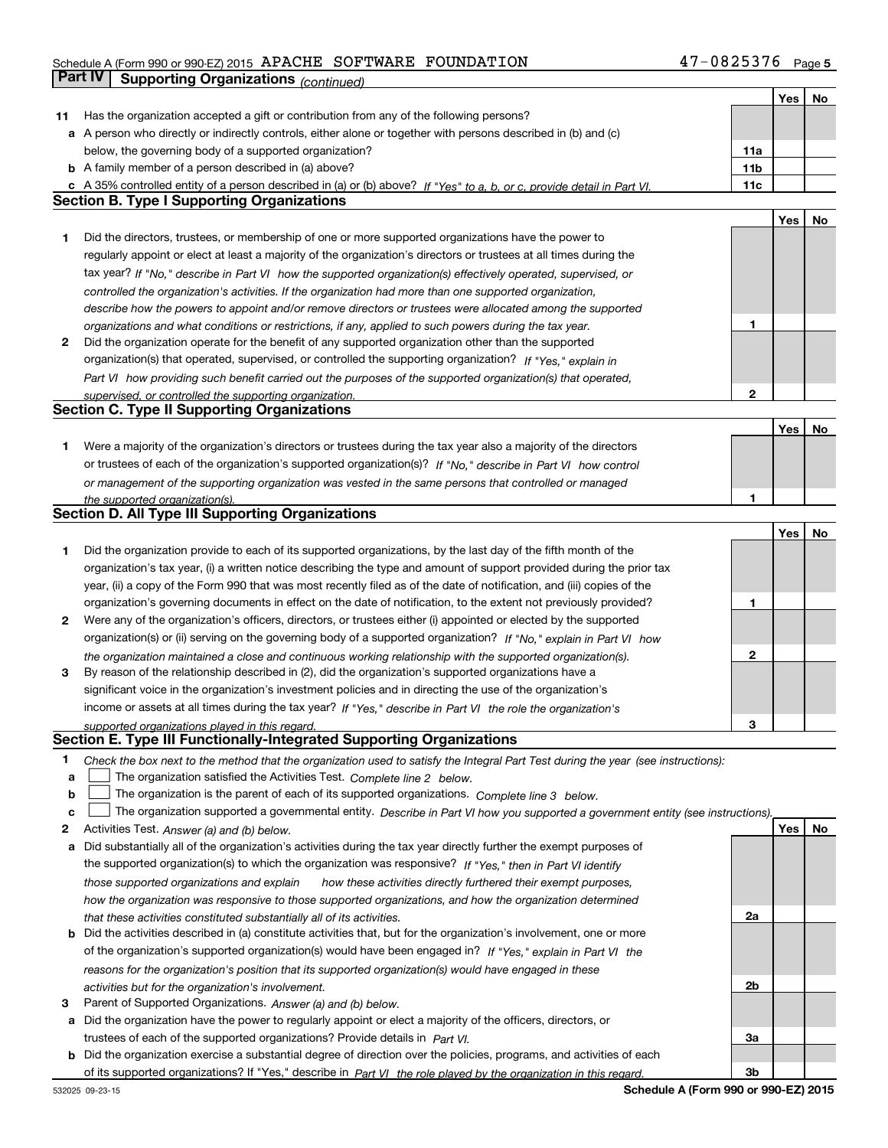## Schedule A (Form 990 or 990-EZ) 2015 Page APACHE SOFTWARE FOUNDATION 47-0825376**Part IV | Supporting Organizations** *(continued)*

|    |                                                                                                                                   |              | Yes | No |
|----|-----------------------------------------------------------------------------------------------------------------------------------|--------------|-----|----|
|    | 11 Has the organization accepted a gift or contribution from any of the following persons?                                        |              |     |    |
|    | a A person who directly or indirectly controls, either alone or together with persons described in (b) and (c)                    |              |     |    |
|    | below, the governing body of a supported organization?                                                                            | 11a          |     |    |
|    | <b>b</b> A family member of a person described in (a) above?                                                                      | 11b          |     |    |
|    | c A 35% controlled entity of a person described in (a) or (b) above? If "Yes" to a, b, or c, provide detail in Part VI.           | 11c          |     |    |
|    | <b>Section B. Type I Supporting Organizations</b>                                                                                 |              |     |    |
|    |                                                                                                                                   |              | Yes | No |
| 1  | Did the directors, trustees, or membership of one or more supported organizations have the power to                               |              |     |    |
|    | regularly appoint or elect at least a majority of the organization's directors or trustees at all times during the                |              |     |    |
|    | tax year? If "No," describe in Part VI how the supported organization(s) effectively operated, supervised, or                     |              |     |    |
|    |                                                                                                                                   |              |     |    |
|    | controlled the organization's activities. If the organization had more than one supported organization,                           |              |     |    |
|    | describe how the powers to appoint and/or remove directors or trustees were allocated among the supported                         | 1            |     |    |
|    | organizations and what conditions or restrictions, if any, applied to such powers during the tax year.                            |              |     |    |
| 2  | Did the organization operate for the benefit of any supported organization other than the supported                               |              |     |    |
|    | organization(s) that operated, supervised, or controlled the supporting organization? If "Yes," explain in                        |              |     |    |
|    | Part VI how providing such benefit carried out the purposes of the supported organization(s) that operated,                       |              |     |    |
|    | supervised, or controlled the supporting organization.                                                                            | $\mathbf{2}$ |     |    |
|    | <b>Section C. Type II Supporting Organizations</b>                                                                                |              |     |    |
|    |                                                                                                                                   |              | Yes | No |
| 1. | Were a majority of the organization's directors or trustees during the tax year also a majority of the directors                  |              |     |    |
|    | or trustees of each of the organization's supported organization(s)? If "No," describe in Part VI how control                     |              |     |    |
|    | or management of the supporting organization was vested in the same persons that controlled or managed                            |              |     |    |
|    | the supported organization(s).                                                                                                    | 1            |     |    |
|    | Section D. All Type III Supporting Organizations                                                                                  |              |     |    |
|    |                                                                                                                                   |              | Yes | No |
| 1  | Did the organization provide to each of its supported organizations, by the last day of the fifth month of the                    |              |     |    |
|    | organization's tax year, (i) a written notice describing the type and amount of support provided during the prior tax             |              |     |    |
|    | year, (ii) a copy of the Form 990 that was most recently filed as of the date of notification, and (iii) copies of the            |              |     |    |
|    | organization's governing documents in effect on the date of notification, to the extent not previously provided?                  | 1            |     |    |
| 2  | Were any of the organization's officers, directors, or trustees either (i) appointed or elected by the supported                  |              |     |    |
|    | organization(s) or (ii) serving on the governing body of a supported organization? If "No," explain in Part VI how                |              |     |    |
|    |                                                                                                                                   | $\mathbf{2}$ |     |    |
|    | the organization maintained a close and continuous working relationship with the supported organization(s).                       |              |     |    |
| 3  | By reason of the relationship described in (2), did the organization's supported organizations have a                             |              |     |    |
|    | significant voice in the organization's investment policies and in directing the use of the organization's                        |              |     |    |
|    | income or assets at all times during the tax year? If "Yes," describe in Part VI the role the organization's                      |              |     |    |
|    | supported organizations played in this regard.<br>Section E. Type III Functionally-Integrated Supporting Organizations            | 3            |     |    |
|    |                                                                                                                                   |              |     |    |
| 1  | Check the box next to the method that the organization used to satisfy the Integral Part Test during the year (see instructions): |              |     |    |
| a  | The organization satisfied the Activities Test. Complete line 2 below.                                                            |              |     |    |
| b  | The organization is the parent of each of its supported organizations. Complete line 3 below.                                     |              |     |    |
| c  | The organization supported a governmental entity. Describe in Part VI how you supported a government entity (see instructions).   |              |     |    |
| 2  | Activities Test. Answer (a) and (b) below.                                                                                        |              | Yes | No |
| а  | Did substantially all of the organization's activities during the tax year directly further the exempt purposes of                |              |     |    |
|    | the supported organization(s) to which the organization was responsive? If "Yes," then in Part VI identify                        |              |     |    |
|    | those supported organizations and explain<br>how these activities directly furthered their exempt purposes,                       |              |     |    |
|    | how the organization was responsive to those supported organizations, and how the organization determined                         |              |     |    |
|    | that these activities constituted substantially all of its activities.                                                            | 2a           |     |    |
|    | <b>b</b> Did the activities described in (a) constitute activities that, but for the organization's involvement, one or more      |              |     |    |
|    | of the organization's supported organization(s) would have been engaged in? If "Yes," explain in Part VI the                      |              |     |    |
|    | reasons for the organization's position that its supported organization(s) would have engaged in these                            |              |     |    |
|    |                                                                                                                                   | 2b           |     |    |
|    | activities but for the organization's involvement.                                                                                |              |     |    |
| 3  | Parent of Supported Organizations. Answer (a) and (b) below.                                                                      |              |     |    |
|    | a Did the organization have the power to regularly appoint or elect a majority of the officers, directors, or                     |              |     |    |
|    | trustees of each of the supported organizations? Provide details in Part VI.                                                      | За           |     |    |
|    | <b>b</b> Did the organization exercise a substantial degree of direction over the policies, programs, and activities of each      |              |     |    |
|    | of its supported organizations? If "Yes," describe in Part VI the role played by the organization in this regard.                 | 3b           |     |    |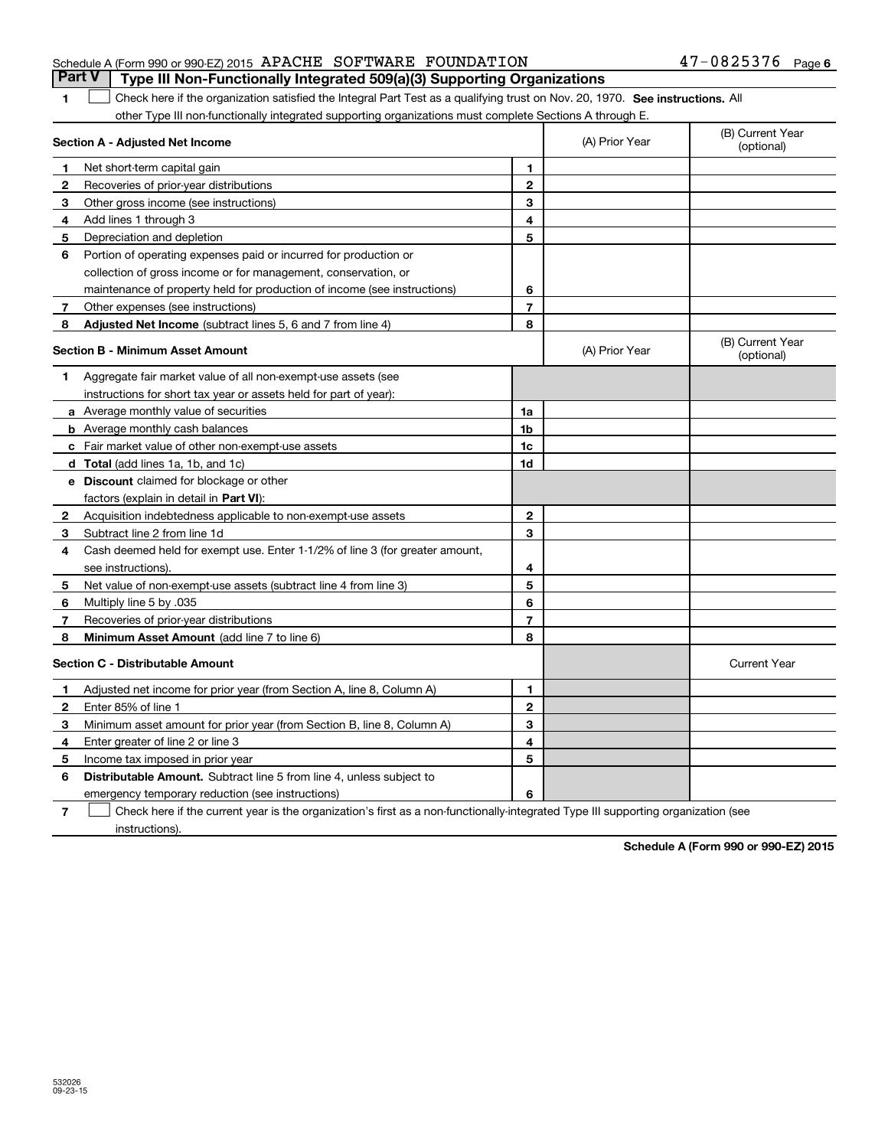**1**

| Schedule A (Form 990 or 990-EZ) 2015 APACHE SOFTWARE FOUNDATION |  |                                                                                  | $47 - 0825376$ Page 6 |  |
|-----------------------------------------------------------------|--|----------------------------------------------------------------------------------|-----------------------|--|
|                                                                 |  | Part V   Type III Non-Functionally Integrated 509(a)(3) Supporting Organizations |                       |  |

**See 11** Check here if the organization satisfied the Integral Part Test as a qualifying trust on Nov. 20, 1970. See instructions. All other Type III non-functionally integrated supporting organizations must complete Sections A through E.  $\overline{\phantom{0}}$ 

|              | Section A - Adjusted Net Income                                              | (A) Prior Year | (B) Current Year<br>(optional) |                                |
|--------------|------------------------------------------------------------------------------|----------------|--------------------------------|--------------------------------|
| 1            | Net short-term capital gain                                                  | 1              |                                |                                |
| $\mathbf{2}$ | Recoveries of prior-year distributions                                       | $\overline{2}$ |                                |                                |
| 3            | Other gross income (see instructions)                                        | 3              |                                |                                |
| 4            | Add lines 1 through 3                                                        | 4              |                                |                                |
| 5            | Depreciation and depletion                                                   | 5              |                                |                                |
| 6            | Portion of operating expenses paid or incurred for production or             |                |                                |                                |
|              | collection of gross income or for management, conservation, or               |                |                                |                                |
|              | maintenance of property held for production of income (see instructions)     | 6              |                                |                                |
| 7            | Other expenses (see instructions)                                            | $\overline{7}$ |                                |                                |
| 8            | Adjusted Net Income (subtract lines 5, 6 and 7 from line 4)                  | 8              |                                |                                |
|              | <b>Section B - Minimum Asset Amount</b>                                      |                | (A) Prior Year                 | (B) Current Year<br>(optional) |
| 1            | Aggregate fair market value of all non-exempt-use assets (see                |                |                                |                                |
|              | instructions for short tax year or assets held for part of year):            |                |                                |                                |
|              | <b>a</b> Average monthly value of securities                                 | 1a             |                                |                                |
|              | <b>b</b> Average monthly cash balances                                       | 1 <sub>b</sub> |                                |                                |
|              | c Fair market value of other non-exempt-use assets                           | 1c             |                                |                                |
|              | d Total (add lines 1a, 1b, and 1c)                                           | 1d             |                                |                                |
|              | <b>e</b> Discount claimed for blockage or other                              |                |                                |                                |
|              | factors (explain in detail in Part VI):                                      |                |                                |                                |
| 2            | Acquisition indebtedness applicable to non-exempt-use assets                 | $\overline{2}$ |                                |                                |
| 3            | Subtract line 2 from line 1d                                                 | 3              |                                |                                |
| 4            | Cash deemed held for exempt use. Enter 1-1/2% of line 3 (for greater amount, |                |                                |                                |
|              | see instructions).                                                           | 4              |                                |                                |
| 5            | Net value of non-exempt-use assets (subtract line 4 from line 3)             | 5              |                                |                                |
| 6            | Multiply line 5 by .035                                                      | 6              |                                |                                |
| $\mathbf{7}$ | Recoveries of prior-year distributions                                       | $\overline{7}$ |                                |                                |
| 8            | Minimum Asset Amount (add line 7 to line 6)                                  | 8              |                                |                                |
|              | Section C - Distributable Amount                                             |                |                                | <b>Current Year</b>            |
| 1            | Adjusted net income for prior year (from Section A, line 8, Column A)        | 1              |                                |                                |
| $\mathbf{2}$ | Enter 85% of line 1                                                          | $\overline{2}$ |                                |                                |
| з            | Minimum asset amount for prior year (from Section B, line 8, Column A)       | 3              |                                |                                |
| 4            | Enter greater of line 2 or line 3                                            | 4              |                                |                                |
| 5            | Income tax imposed in prior year                                             | 5              |                                |                                |
| 6            | <b>Distributable Amount.</b> Subtract line 5 from line 4, unless subject to  |                |                                |                                |
|              | emergency temporary reduction (see instructions)                             | 6              |                                |                                |

**7**Check here if the current year is the organization's first as a non-functionally-integrated Type III supporting organization (see instructions).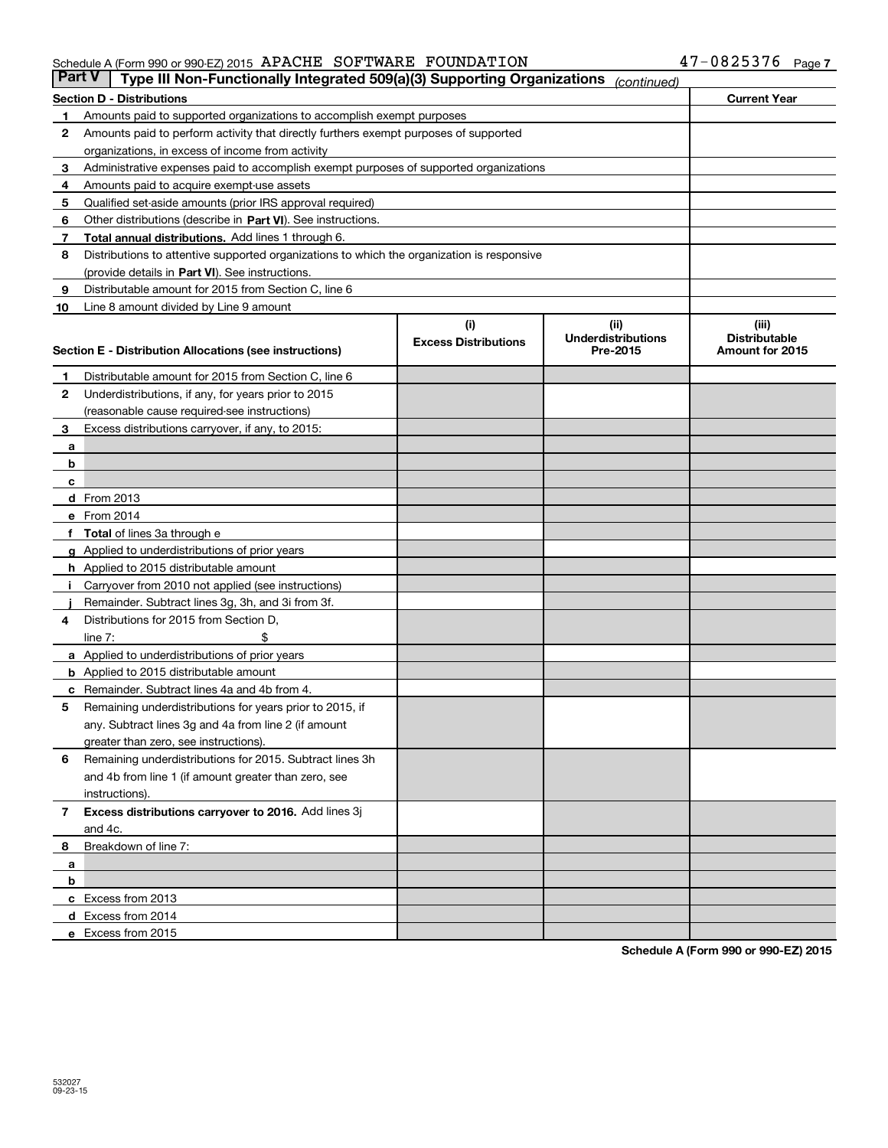| <b>Part V</b> | Type III Non-Functionally Integrated 509(a)(3) Supporting Organizations                                          |                             | (continued)               |                      |  |  |
|---------------|------------------------------------------------------------------------------------------------------------------|-----------------------------|---------------------------|----------------------|--|--|
|               | <b>Section D - Distributions</b>                                                                                 |                             |                           | <b>Current Year</b>  |  |  |
| 1             | Amounts paid to supported organizations to accomplish exempt purposes                                            |                             |                           |                      |  |  |
| 2             | Amounts paid to perform activity that directly furthers exempt purposes of supported                             |                             |                           |                      |  |  |
|               | organizations, in excess of income from activity                                                                 |                             |                           |                      |  |  |
| з             | Administrative expenses paid to accomplish exempt purposes of supported organizations                            |                             |                           |                      |  |  |
| 4             | Amounts paid to acquire exempt-use assets                                                                        |                             |                           |                      |  |  |
| 5             | Qualified set-aside amounts (prior IRS approval required)                                                        |                             |                           |                      |  |  |
| 6             | Other distributions (describe in Part VI). See instructions.                                                     |                             |                           |                      |  |  |
| 7             | Total annual distributions. Add lines 1 through 6.                                                               |                             |                           |                      |  |  |
| 8             | Distributions to attentive supported organizations to which the organization is responsive                       |                             |                           |                      |  |  |
|               | (provide details in Part VI). See instructions.                                                                  |                             |                           |                      |  |  |
| 9             | Distributable amount for 2015 from Section C, line 6                                                             |                             |                           |                      |  |  |
| 10            | Line 8 amount divided by Line 9 amount                                                                           |                             |                           |                      |  |  |
|               |                                                                                                                  | (i)                         | (iii)                     | (iii)                |  |  |
|               |                                                                                                                  | <b>Excess Distributions</b> | <b>Underdistributions</b> | <b>Distributable</b> |  |  |
|               | Section E - Distribution Allocations (see instructions)                                                          |                             | Pre-2015                  | Amount for 2015      |  |  |
| 1             | Distributable amount for 2015 from Section C, line 6                                                             |                             |                           |                      |  |  |
| 2             | Underdistributions, if any, for years prior to 2015                                                              |                             |                           |                      |  |  |
|               | (reasonable cause required-see instructions)                                                                     |                             |                           |                      |  |  |
| 3             | Excess distributions carryover, if any, to 2015:                                                                 |                             |                           |                      |  |  |
| а             |                                                                                                                  |                             |                           |                      |  |  |
| b             |                                                                                                                  |                             |                           |                      |  |  |
| c             |                                                                                                                  |                             |                           |                      |  |  |
|               | d From 2013                                                                                                      |                             |                           |                      |  |  |
|               | e From 2014                                                                                                      |                             |                           |                      |  |  |
|               | Total of lines 3a through e                                                                                      |                             |                           |                      |  |  |
|               | <b>g</b> Applied to underdistributions of prior years                                                            |                             |                           |                      |  |  |
|               | <b>h</b> Applied to 2015 distributable amount                                                                    |                             |                           |                      |  |  |
|               | Carryover from 2010 not applied (see instructions)                                                               |                             |                           |                      |  |  |
|               | Remainder. Subtract lines 3g, 3h, and 3i from 3f.                                                                |                             |                           |                      |  |  |
| 4             | Distributions for 2015 from Section D,                                                                           |                             |                           |                      |  |  |
|               | line $7:$                                                                                                        |                             |                           |                      |  |  |
|               | a Applied to underdistributions of prior years                                                                   |                             |                           |                      |  |  |
|               | <b>b</b> Applied to 2015 distributable amount                                                                    |                             |                           |                      |  |  |
|               | Remainder. Subtract lines 4a and 4b from 4.                                                                      |                             |                           |                      |  |  |
| с             |                                                                                                                  |                             |                           |                      |  |  |
| 5             | Remaining underdistributions for years prior to 2015, if<br>any. Subtract lines 3g and 4a from line 2 (if amount |                             |                           |                      |  |  |
|               | greater than zero, see instructions).                                                                            |                             |                           |                      |  |  |
| 6             | Remaining underdistributions for 2015. Subtract lines 3h                                                         |                             |                           |                      |  |  |
|               | and 4b from line 1 (if amount greater than zero, see                                                             |                             |                           |                      |  |  |
|               |                                                                                                                  |                             |                           |                      |  |  |
|               | instructions).<br>Excess distributions carryover to 2016. Add lines 3j                                           |                             |                           |                      |  |  |
| 7             | and 4c.                                                                                                          |                             |                           |                      |  |  |
| 8             | Breakdown of line 7:                                                                                             |                             |                           |                      |  |  |
|               |                                                                                                                  |                             |                           |                      |  |  |
| a<br>b        |                                                                                                                  |                             |                           |                      |  |  |
|               | c Excess from 2013                                                                                               |                             |                           |                      |  |  |
|               |                                                                                                                  |                             |                           |                      |  |  |
|               | d Excess from 2014<br>e Excess from 2015                                                                         |                             |                           |                      |  |  |
|               |                                                                                                                  |                             |                           |                      |  |  |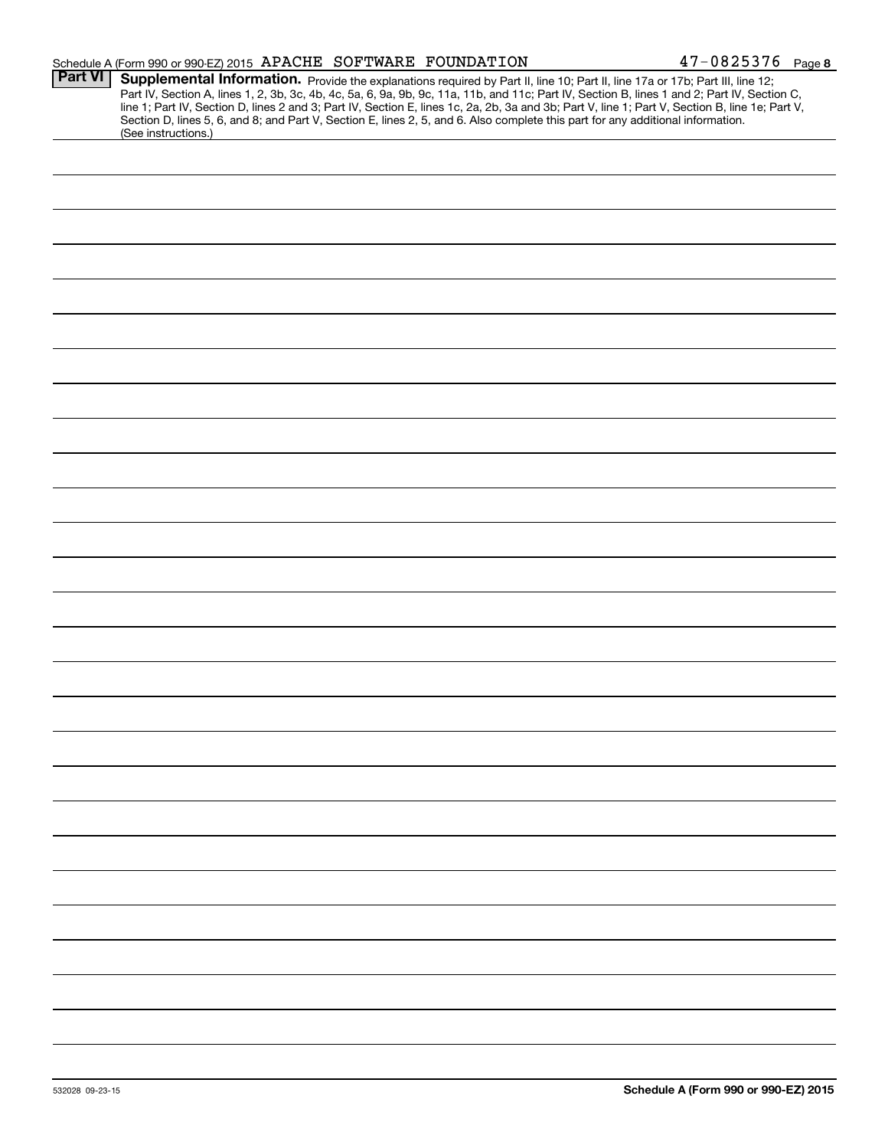|                | Schedule A (Form 990 or 990-EZ) 2015 APACHE SOFTWARE FOUNDATION                                                                                                                                                                                                                                                                                                                                                                                                                                                                                                                            | $47 - 0825376$ Page 8 |
|----------------|--------------------------------------------------------------------------------------------------------------------------------------------------------------------------------------------------------------------------------------------------------------------------------------------------------------------------------------------------------------------------------------------------------------------------------------------------------------------------------------------------------------------------------------------------------------------------------------------|-----------------------|
| <b>Part VI</b> | Supplemental Information. Provide the explanations required by Part II, line 10; Part II, line 17a or 17b; Part III, line 12;<br>Part IV, Section A, lines 1, 2, 3b, 3c, 4b, 4c, 5a, 6, 9a, 9b, 9c, 11a, 11b, and 11c; Part IV, Section B, lines 1 and 2; Part IV, Section C,<br>line 1; Part IV, Section D, lines 2 and 3; Part IV, Section E, lines 1c, 2a, 2b, 3a and 3b; Part V, line 1; Part V, Section B, line 1e; Part V,<br>Section D, lines 5, 6, and 8; and Part V, Section E, lines 2, 5, and 6. Also complete this part for any additional information.<br>(See instructions.) |                       |
|                |                                                                                                                                                                                                                                                                                                                                                                                                                                                                                                                                                                                            |                       |
|                |                                                                                                                                                                                                                                                                                                                                                                                                                                                                                                                                                                                            |                       |
|                |                                                                                                                                                                                                                                                                                                                                                                                                                                                                                                                                                                                            |                       |
|                |                                                                                                                                                                                                                                                                                                                                                                                                                                                                                                                                                                                            |                       |
|                |                                                                                                                                                                                                                                                                                                                                                                                                                                                                                                                                                                                            |                       |
|                |                                                                                                                                                                                                                                                                                                                                                                                                                                                                                                                                                                                            |                       |
|                |                                                                                                                                                                                                                                                                                                                                                                                                                                                                                                                                                                                            |                       |
|                |                                                                                                                                                                                                                                                                                                                                                                                                                                                                                                                                                                                            |                       |
|                |                                                                                                                                                                                                                                                                                                                                                                                                                                                                                                                                                                                            |                       |
|                |                                                                                                                                                                                                                                                                                                                                                                                                                                                                                                                                                                                            |                       |
|                |                                                                                                                                                                                                                                                                                                                                                                                                                                                                                                                                                                                            |                       |
|                |                                                                                                                                                                                                                                                                                                                                                                                                                                                                                                                                                                                            |                       |
|                |                                                                                                                                                                                                                                                                                                                                                                                                                                                                                                                                                                                            |                       |
|                |                                                                                                                                                                                                                                                                                                                                                                                                                                                                                                                                                                                            |                       |
|                |                                                                                                                                                                                                                                                                                                                                                                                                                                                                                                                                                                                            |                       |
|                |                                                                                                                                                                                                                                                                                                                                                                                                                                                                                                                                                                                            |                       |
|                |                                                                                                                                                                                                                                                                                                                                                                                                                                                                                                                                                                                            |                       |
|                |                                                                                                                                                                                                                                                                                                                                                                                                                                                                                                                                                                                            |                       |
|                |                                                                                                                                                                                                                                                                                                                                                                                                                                                                                                                                                                                            |                       |
|                |                                                                                                                                                                                                                                                                                                                                                                                                                                                                                                                                                                                            |                       |
|                |                                                                                                                                                                                                                                                                                                                                                                                                                                                                                                                                                                                            |                       |
|                |                                                                                                                                                                                                                                                                                                                                                                                                                                                                                                                                                                                            |                       |
|                |                                                                                                                                                                                                                                                                                                                                                                                                                                                                                                                                                                                            |                       |
|                |                                                                                                                                                                                                                                                                                                                                                                                                                                                                                                                                                                                            |                       |
|                |                                                                                                                                                                                                                                                                                                                                                                                                                                                                                                                                                                                            |                       |
|                |                                                                                                                                                                                                                                                                                                                                                                                                                                                                                                                                                                                            |                       |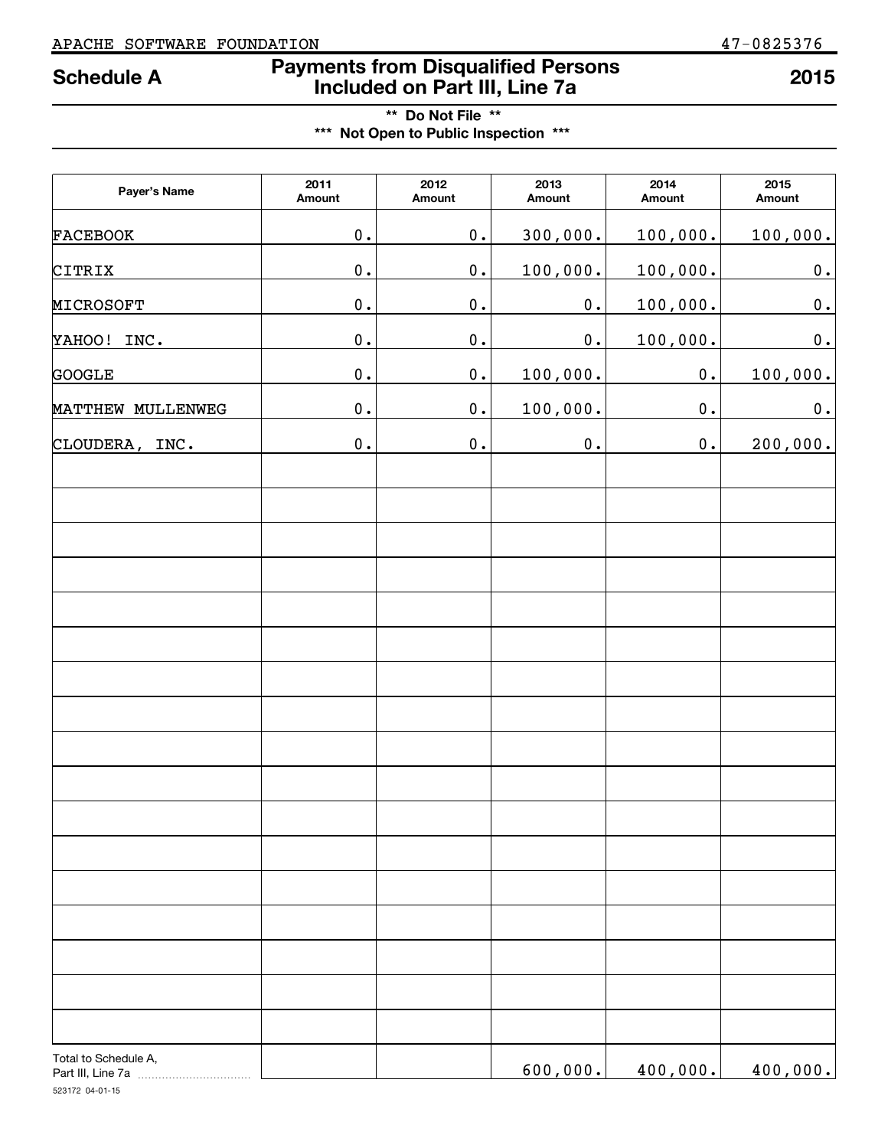## **Payments from Disqualified Persons Schedule A 2015 Included on Part III, Line 7a**

**\*\* Do Not File \*\* \*\*\* Not Open to Public Inspection \*\*\***

| Payer's Name                              | 2011<br>Amount | 2012<br>Amount | 2013<br>Amount | 2014<br>Amount | 2015<br>Amount |
|-------------------------------------------|----------------|----------------|----------------|----------------|----------------|
| FACEBOOK                                  | 0.             | 0.             | 300,000.       | 100,000.       | 100,000.       |
| CITRIX                                    | 0.             | 0.             | 100,000.       | 100,000.       | $\mathbf 0$ .  |
| MICROSOFT                                 | 0.             | 0.             | 0.             | 100,000.       | 0.             |
| INC.<br>YAHOO!                            | 0.             | 0.             | 0.             | 100,000.       | 0.             |
| <b>GOOGLE</b>                             | 0.             | 0.             | 100,000.       | 0.             | 100,000.       |
| MATTHEW MULLENWEG                         | 0.             | 0.             | 100,000.       | 0.             | 0.             |
| CLOUDERA, INC.                            | 0.             | 0.             | $\mathbf 0$ .  | 0.             | 200,000.       |
|                                           |                |                |                |                |                |
|                                           |                |                |                |                |                |
|                                           |                |                |                |                |                |
|                                           |                |                |                |                |                |
|                                           |                |                |                |                |                |
|                                           |                |                |                |                |                |
|                                           |                |                |                |                |                |
|                                           |                |                |                |                |                |
|                                           |                |                |                |                |                |
|                                           |                |                |                |                |                |
|                                           |                |                |                |                |                |
|                                           |                |                |                |                |                |
|                                           |                |                |                |                |                |
| Total to Schedule A,<br>Part III, Line 7a |                |                | 600,000.       | 400,000.       | 400,000.       |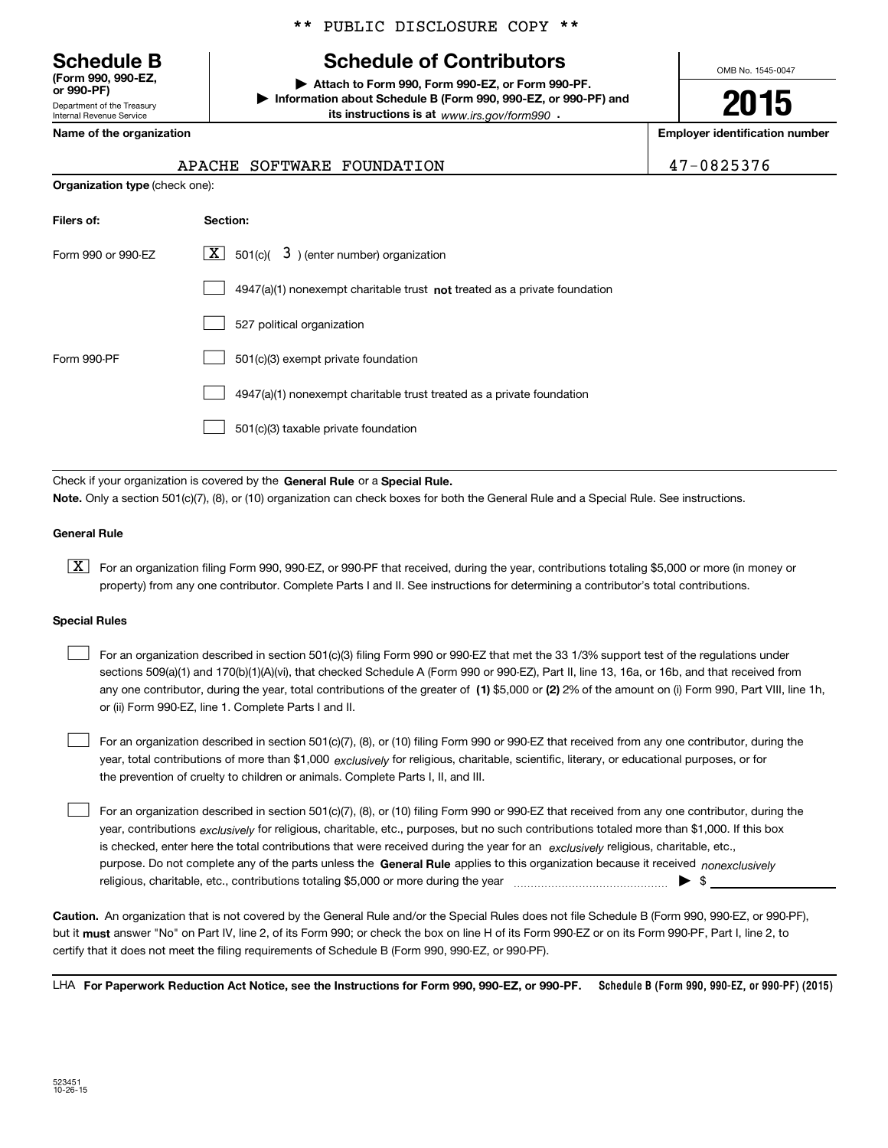Department of the Treasury Internal Revenue Service **(Form 990, 990-EZ, or 990-PF)**

### \*\* PUBLIC DISCLOSURE COPY \*\*

## **Schedule B Schedule of Contributors**

**| Attach to Form 990, Form 990-EZ, or Form 990-PF. | Information about Schedule B (Form 990, 990-EZ, or 990-PF) and its instructions is at** www.irs.gov/form990  $\cdot$ 

OMB No. 1545-0047

**2015**

**Name of the organization Employer identification number**

| $7 - 0825376$ |  |
|---------------|--|
|---------------|--|

| <b>Organization type (check one):</b> |                                                                             |  |  |  |  |
|---------------------------------------|-----------------------------------------------------------------------------|--|--|--|--|
| Filers of:                            | Section:                                                                    |  |  |  |  |
| Form 990 or 990-EZ                    | $X$ 501(c)( 3) (enter number) organization                                  |  |  |  |  |
|                                       | $4947(a)(1)$ nonexempt charitable trust not treated as a private foundation |  |  |  |  |
|                                       | 527 political organization                                                  |  |  |  |  |
| Form 990-PF                           | 501(c)(3) exempt private foundation                                         |  |  |  |  |
|                                       | 4947(a)(1) nonexempt charitable trust treated as a private foundation       |  |  |  |  |
|                                       | 501(c)(3) taxable private foundation                                        |  |  |  |  |

Check if your organization is covered by the **General Rule** or a **Special Rule. Note.**  Only a section 501(c)(7), (8), or (10) organization can check boxes for both the General Rule and a Special Rule. See instructions.

#### **General Rule**

 $\boxed{\textbf{X}}$  For an organization filing Form 990, 990-EZ, or 990-PF that received, during the year, contributions totaling \$5,000 or more (in money or property) from any one contributor. Complete Parts I and II. See instructions for determining a contributor's total contributions.

#### **Special Rules**

 $\mathcal{L}^{\text{max}}$ 

| For an organization described in section 501(c)(3) filing Form 990 or 990-EZ that met the 33 1/3% support test of the regulations under              |
|------------------------------------------------------------------------------------------------------------------------------------------------------|
| sections 509(a)(1) and 170(b)(1)(A)(vi), that checked Schedule A (Form 990 or 990-EZ), Part II, line 13, 16a, or 16b, and that received from         |
| any one contributor, during the year, total contributions of the greater of (1) \$5,000 or (2) 2% of the amount on (i) Form 990, Part VIII, line 1h, |
| or (ii) Form 990-EZ, line 1. Complete Parts I and II.                                                                                                |

year, total contributions of more than \$1,000 *exclusively* for religious, charitable, scientific, literary, or educational purposes, or for For an organization described in section 501(c)(7), (8), or (10) filing Form 990 or 990-EZ that received from any one contributor, during the the prevention of cruelty to children or animals. Complete Parts I, II, and III.

purpose. Do not complete any of the parts unless the **General Rule** applies to this organization because it received *nonexclusively* year, contributions <sub>exclusively</sub> for religious, charitable, etc., purposes, but no such contributions totaled more than \$1,000. If this box is checked, enter here the total contributions that were received during the year for an  $\;$ exclusively religious, charitable, etc., For an organization described in section 501(c)(7), (8), or (10) filing Form 990 or 990-EZ that received from any one contributor, during the religious, charitable, etc., contributions totaling \$5,000 or more during the year  $\ldots$  $\ldots$  $\ldots$  $\ldots$  $\ldots$  $\ldots$ 

**Caution.**An organization that is not covered by the General Rule and/or the Special Rules does not file Schedule B (Form 990, 990-EZ, or 990-PF),  **must** but it answer "No" on Part IV, line 2, of its Form 990; or check the box on line H of its Form 990-EZ or on its Form 990-PF, Part I, line 2, to certify that it does not meet the filing requirements of Schedule B (Form 990, 990-EZ, or 990-PF).

**Schedule B (Form 990, 990-EZ, or 990-PF) (2015) For Paperwork Reduction Act Notice, see the Instructions for Form 990, 990-EZ, or 990-PF.** LHA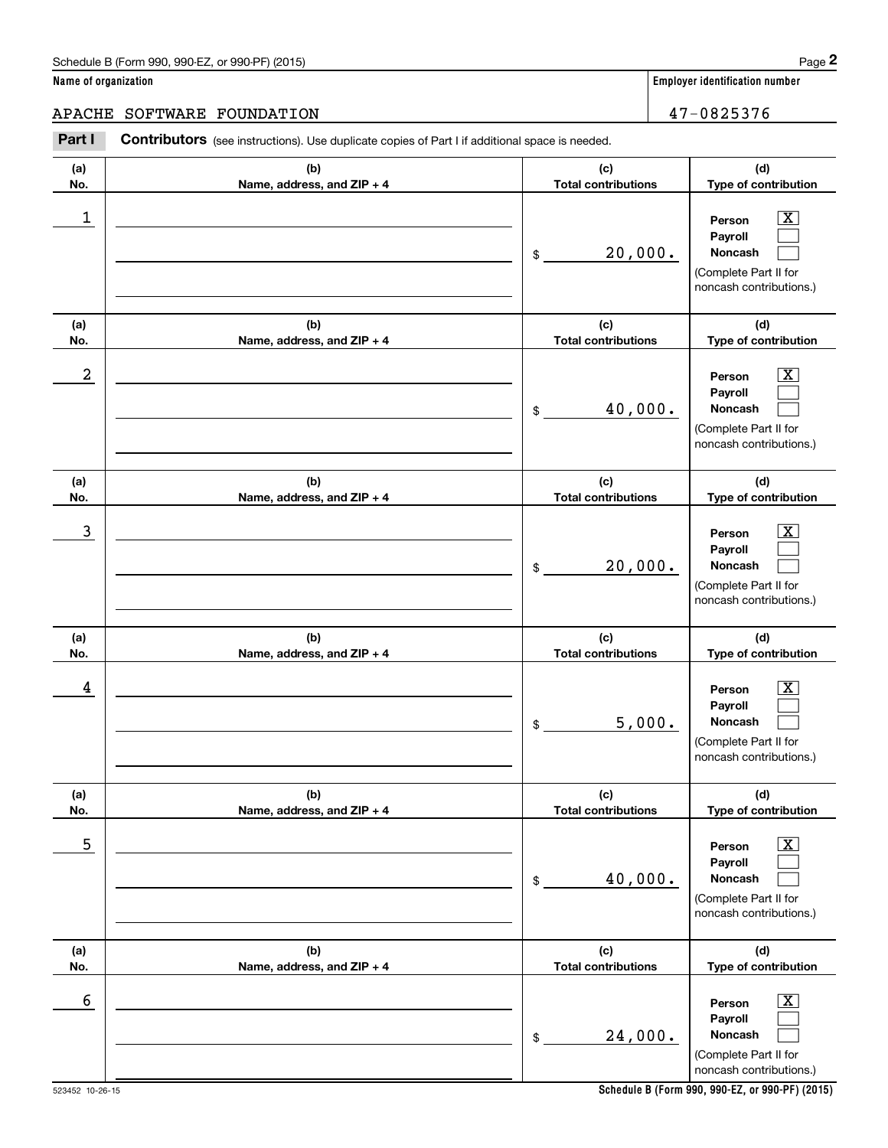#### APACHE SOFTWARE FOUNDATION  $47-0825376$

**(a)No.(b)Name, address, and ZIP + 4 (c)Total contributions (d)Type of contribution PersonPayrollNoncash (a)No.(b)Name, address, and ZIP + 4 (c)Total contributions (d)Type of contribution PersonPayrollNoncash (a)No.(b)Name, address, and ZIP + 4 (c)Total contributions (d)Type of contribution PersonPayrollNoncash (a) No.(b) Name, address, and ZIP + 4 (c) Total contributions (d) Type of contribution PersonPayrollNoncash(a) No.(b) Name, address, and ZIP + 4 (c) Total contributions (d) Type of contribution PersonPayrollNoncash (a) No.(b)Name, address, and ZIP + 4 (c) Total contributions (d) Type of contribution PersonPayrollNoncash Contributors** (see instructions). Use duplicate copies of Part I if additional space is needed. \$(Complete Part II for noncash contributions.) \$(Complete Part II for noncash contributions.) \$(Complete Part II for noncash contributions.) \$(Complete Part II for noncash contributions.) \$(Complete Part II for noncash contributions.) \$(Complete Part II for noncash contributions.) Employer identification Page 2<br> **2** ame of organization<br> **2PACHE SOFTWARE FOUNDATION**<br> **Part I** Contributors (see instructions). Use duplicate copies of Part I if additional space is needed.  $|X|$  $\mathcal{L}^{\text{max}}$  $\mathcal{L}^{\text{max}}$  $\boxed{\text{X}}$  $\mathcal{L}^{\text{max}}$  $\mathcal{L}^{\text{max}}$  $|X|$  $\mathcal{L}^{\text{max}}$  $\mathcal{L}^{\text{max}}$  $\boxed{\text{X}}$  $\mathcal{L}^{\text{max}}$  $\mathcal{L}^{\text{max}}$  $|X|$  $\mathcal{L}^{\text{max}}$  $\mathcal{L}^{\text{max}}$  $\boxed{\text{X}}$  $\mathcal{L}^{\text{max}}$  $\mathcal{L}^{\text{max}}$  $\begin{array}{c|c|c|c|c|c} 1 & \hspace{1.5cm} & \hspace{1.5cm} & \hspace{1.5cm} & \hspace{1.5cm} & \hspace{1.5cm} & \hspace{1.5cm} & \hspace{1.5cm} & \hspace{1.5cm} & \hspace{1.5cm} & \hspace{1.5cm} & \hspace{1.5cm} & \hspace{1.5cm} & \hspace{1.5cm} & \hspace{1.5cm} & \hspace{1.5cm} & \hspace{1.5cm} & \hspace{1.5cm} & \hspace{1.5cm} & \hspace{1.5cm} & \hspace{1.5cm} &$ 20,000.  $2$  | Person  $\overline{\text{X}}$ 40,000.  $\overline{3}$  | Person  $\overline{X}$ 20,000.  $4$  | Person  $\overline{\text{X}}$ 5,000.  $\sim$  5 | Person X 40,000.  $\sim$  6 | Person X 24,000.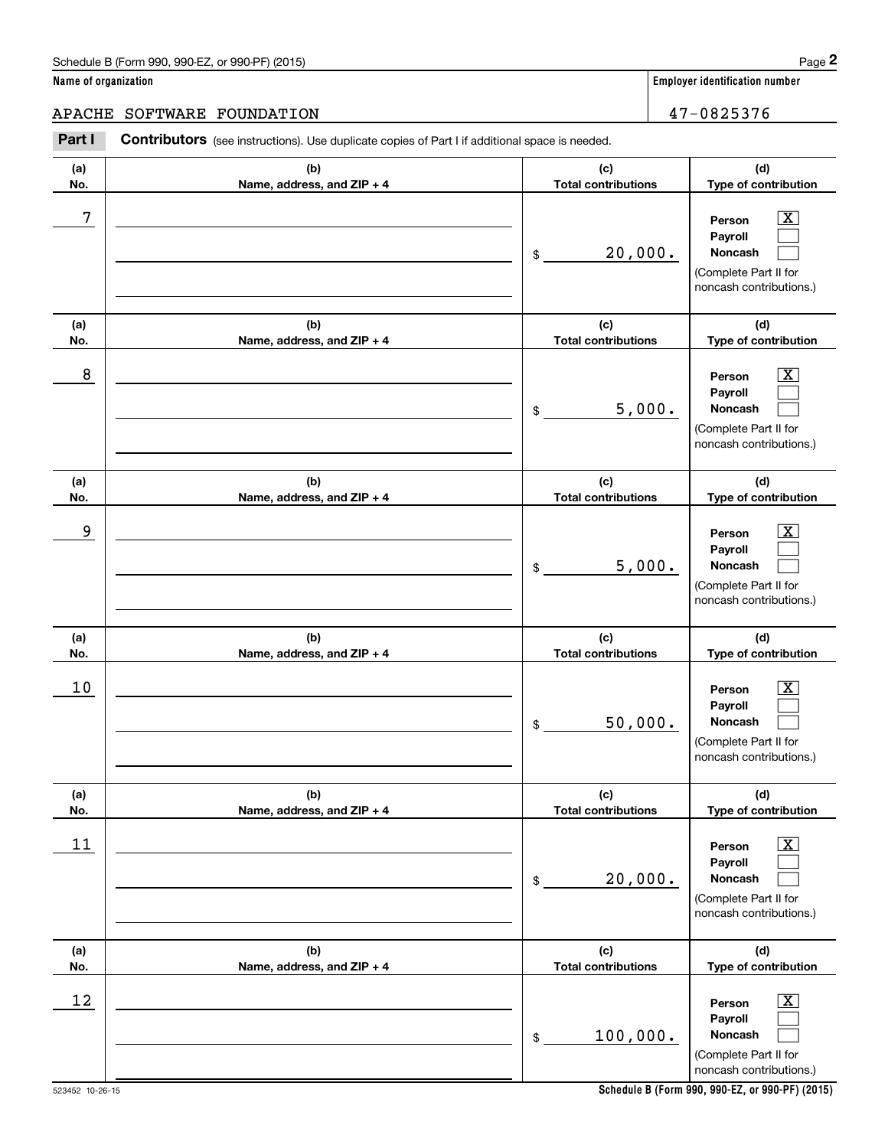#### APACHE SOFTWARE FOUNDATION  $47-0825376$

**(a)No.(b)Name, address, and ZIP + 4 (c)Total contributions (d)Type of contribution PersonPayrollNoncash (a)No.(b)Name, address, and ZIP + 4 (c)Total contributions (d)Type of contribution PersonPayrollNoncash (a)No.(b)Name, address, and ZIP + 4 (c)Total contributions (d)Type of contribution PersonPayrollNoncash (a) No.(b) Name, address, and ZIP + 4 (c) Total contributions (d) Type of contribution Person Payroll Noncash(a) No.(b) Name, address, and ZIP + 4 (c) Total contributions (d) Type of contribution PersonPayrollNoncash (a) No.(b)Name, address, and ZIP + 4 (c) Total contributions (d) Type of contribution PersonPayrollNoncash Contributors** (see instructions). Use duplicate copies of Part I if additional space is needed. \$(Complete Part II for noncash contributions.) \$(Complete Part II for noncash contributions.) \$(Complete Part II for noncash contributions.) \$(Complete Part II for noncash contributions.) \$(Complete Part II for noncash contributions.) \$(Complete Part II for noncash contributions.) Employer identification Page 2<br> **2** ame of organization<br> **2PACHE SOFTWARE FOUNDATION**<br> **Part I** Contributors (see instructions). Use duplicate copies of Part I if additional space is needed.  $|X|$  $\mathcal{L}^{\text{max}}$  $\mathcal{L}^{\text{max}}$  $\boxed{\text{X}}$  $\mathcal{L}^{\text{max}}$  $\mathcal{L}^{\text{max}}$  $|X|$  $\mathcal{L}^{\text{max}}$  $\mathcal{L}^{\text{max}}$  $\boxed{\text{X}}$  $\mathcal{L}^{\text{max}}$  $\mathcal{L}^{\text{max}}$  $|X|$  $\mathcal{L}^{\text{max}}$  $\mathcal{L}^{\text{max}}$  $\boxed{\text{X}}$  $\mathcal{L}^{\text{max}}$  $\mathcal{L}^{\text{max}}$ 7 X 20,000. 8 X 5,000. example and the set of the set of the set of the set of the set of the set of the set of the set of the set of 5,000.  $10$  Person  $\overline{\text{X}}$ 50,000.  $11$  Person X 20,000.  $12$  Person X 100,000.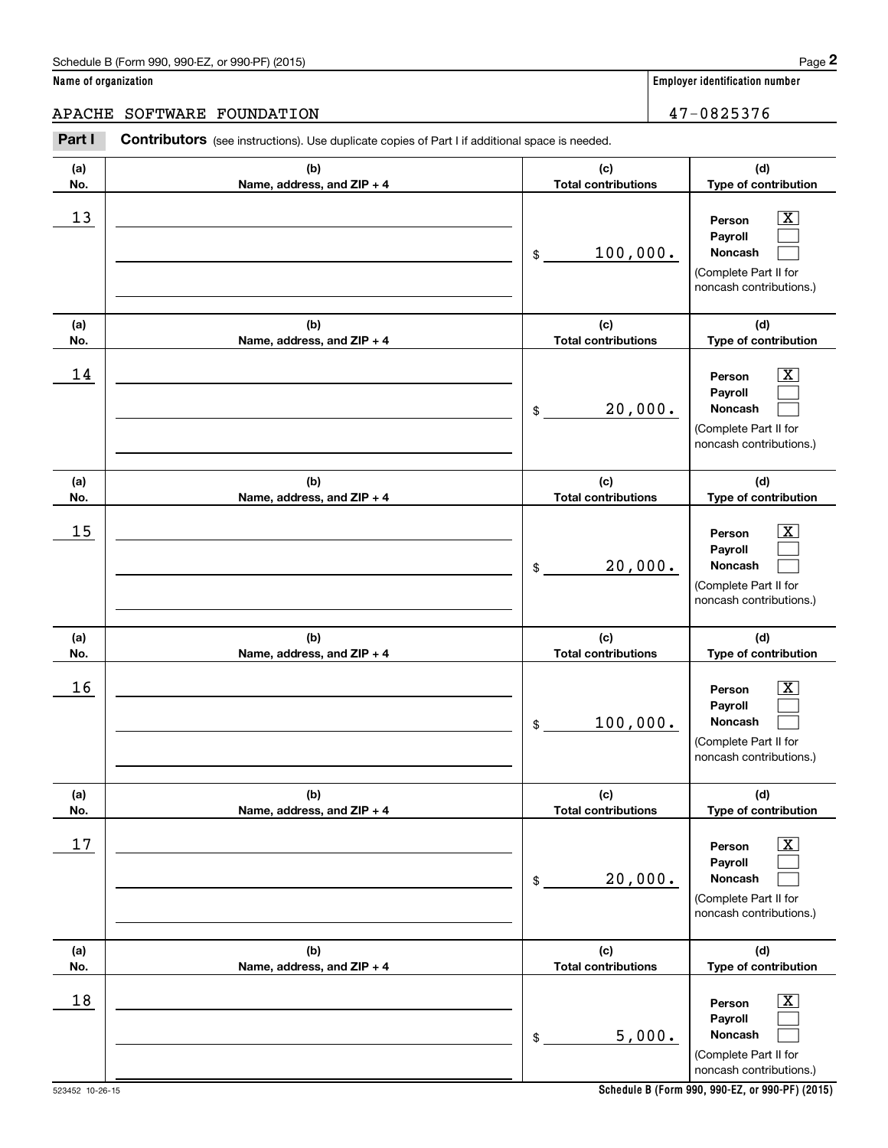#### APACHE SOFTWARE FOUNDATION  $47-0825376$

**(a)No.(b)Name, address, and ZIP + 4 (c)Total contributions (d)Type of contribution PersonPayrollNoncash (a)No.(b)Name, address, and ZIP + 4 (c)Total contributions (d)Type of contribution PersonPayrollNoncash (a)No.(b)Name, address, and ZIP + 4 (c)Total contributions (d)Type of contribution PersonPayrollNoncash (a) No.(b) Name, address, and ZIP + 4 (c) Total contributions (d) Type of contribution PersonPayrollNoncash(a) No.(b) Name, address, and ZIP + 4 (c) Total contributions (d) Type of contribution PersonPayrollNoncash (a) No.(b)Name, address, and ZIP + 4 (c) Total contributions (d) Type of contribution PersonPayrollNoncash Contributors** (see instructions). Use duplicate copies of Part I if additional space is needed. \$(Complete Part II for noncash contributions.) \$(Complete Part II for noncash contributions.) \$(Complete Part II for noncash contributions.) \$(Complete Part II for noncash contributions.) \$(Complete Part II for noncash contributions.) \$(Complete Part II for noncash contributions.) Employer identification Page 2<br> **2** ame of organization<br> **2PACHE SOFTWARE FOUNDATION**<br> **Part I** Contributors (see instructions). Use duplicate copies of Part I if additional space is needed.  $|X|$  $\mathcal{L}^{\text{max}}$  $\mathcal{L}^{\text{max}}$  $\boxed{\text{X}}$  $\mathcal{L}^{\text{max}}$  $\mathcal{L}^{\text{max}}$  $|X|$  $\mathcal{L}^{\text{max}}$  $\mathcal{L}^{\text{max}}$  $\boxed{\text{X}}$  $\mathcal{L}^{\text{max}}$  $\mathcal{L}^{\text{max}}$  $|X|$  $\mathcal{L}^{\text{max}}$  $\mathcal{L}^{\text{max}}$  $\boxed{\text{X}}$  $\mathcal{L}^{\text{max}}$  $\mathcal{L}^{\text{max}}$  $13$  Person X 100,000.  $14$  Person X 20,000.  $15$  Person X 20,000.  $16$  Person X 100,000.  $17$  | Person  $\overline{\text{X}}$ 20,000.  $18$  Person  $\overline{\text{X}}$ 5,000.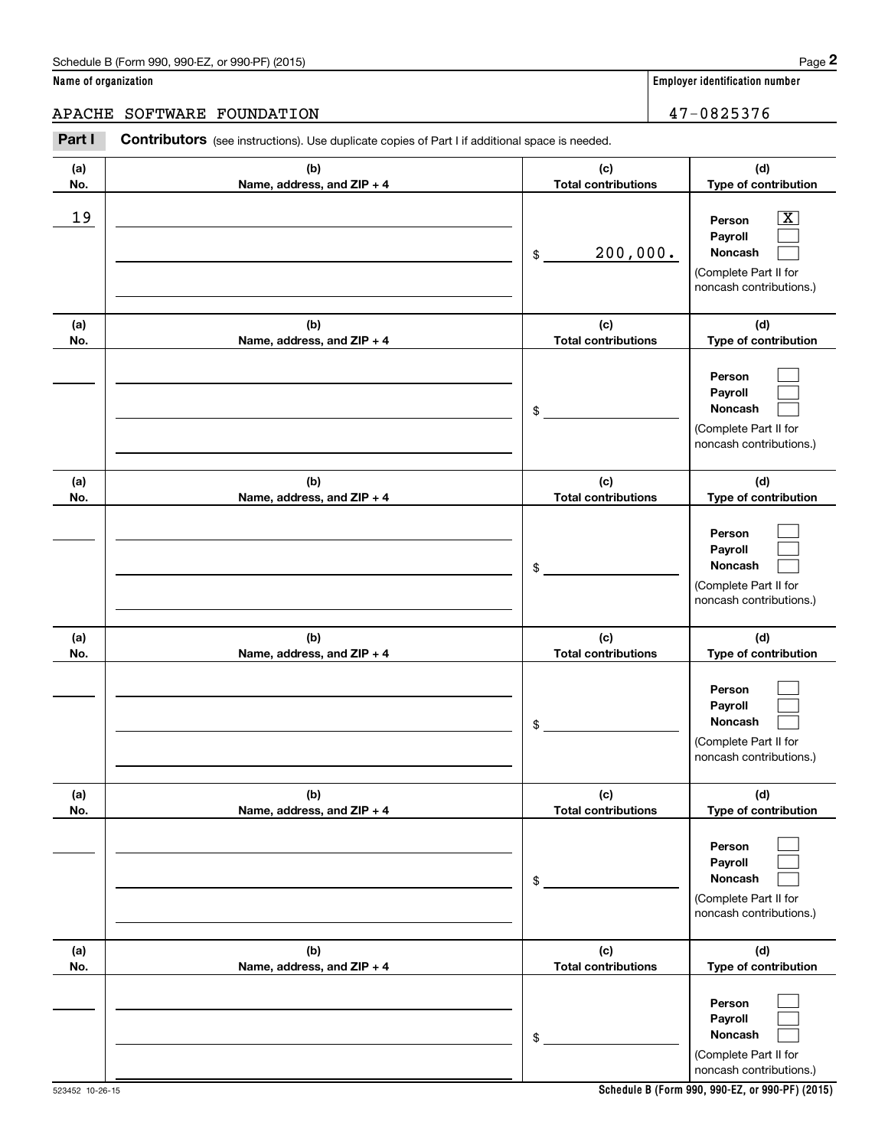## APACHE SOFTWARE FOUNDATION 47-0825376

|                      | Schedule B (Form 990, 990-EZ, or 990-PF) (2015)                                                |                                   | Page 2                                                                                                      |
|----------------------|------------------------------------------------------------------------------------------------|-----------------------------------|-------------------------------------------------------------------------------------------------------------|
| Name of organization |                                                                                                |                                   | Employer identification number                                                                              |
| <b>APACHE</b>        | SOFTWARE FOUNDATION                                                                            |                                   | 47-0825376                                                                                                  |
| Part I               | Contributors (see instructions). Use duplicate copies of Part I if additional space is needed. |                                   |                                                                                                             |
| (a)<br>No.           | (b)<br>Name, address, and ZIP + 4                                                              | (c)<br><b>Total contributions</b> | (d)<br>Type of contribution                                                                                 |
| 19                   |                                                                                                | 200,000.<br>\$                    | $\overline{\mathbf{X}}$<br>Person<br>Payroll<br>Noncash<br>(Complete Part II for<br>noncash contributions.) |
| (a)<br>No.           | (b)<br>Name, address, and ZIP + 4                                                              | (c)<br><b>Total contributions</b> | (d)<br>Type of contribution                                                                                 |
|                      |                                                                                                | \$                                | Person<br>Payroll<br>Noncash<br>(Complete Part II for<br>noncash contributions.)                            |
| (a)<br>No.           | (b)<br>Name, address, and ZIP + 4                                                              | (c)<br><b>Total contributions</b> | (d)<br>Type of contribution                                                                                 |
|                      |                                                                                                | \$                                | Person<br>Payroll<br>Noncash<br>(Complete Part II for<br>noncash contributions.)                            |
| (a)<br>No.           | (b)<br>Name, address, and ZIP + 4                                                              | (c)<br><b>Total contributions</b> | (d)<br>Type of contribution                                                                                 |
|                      |                                                                                                | \$                                | Person<br>Payroll<br>Noncash<br>(Complete Part II for<br>noncash contributions.)                            |
| (a)<br>No.           | (b)<br>Name, address, and ZIP + 4                                                              | (c)<br><b>Total contributions</b> | (d)<br>Type of contribution                                                                                 |
|                      |                                                                                                | \$                                | Person<br>Payroll<br>Noncash<br>(Complete Part II for<br>noncash contributions.)                            |
| (a)<br>No.           | (b)<br>Name, address, and ZIP + 4                                                              | (c)<br><b>Total contributions</b> | (d)<br>Type of contribution                                                                                 |
|                      |                                                                                                | \$                                | Person<br>Payroll<br>Noncash<br>(Complete Part II for<br>noncash contributions.)                            |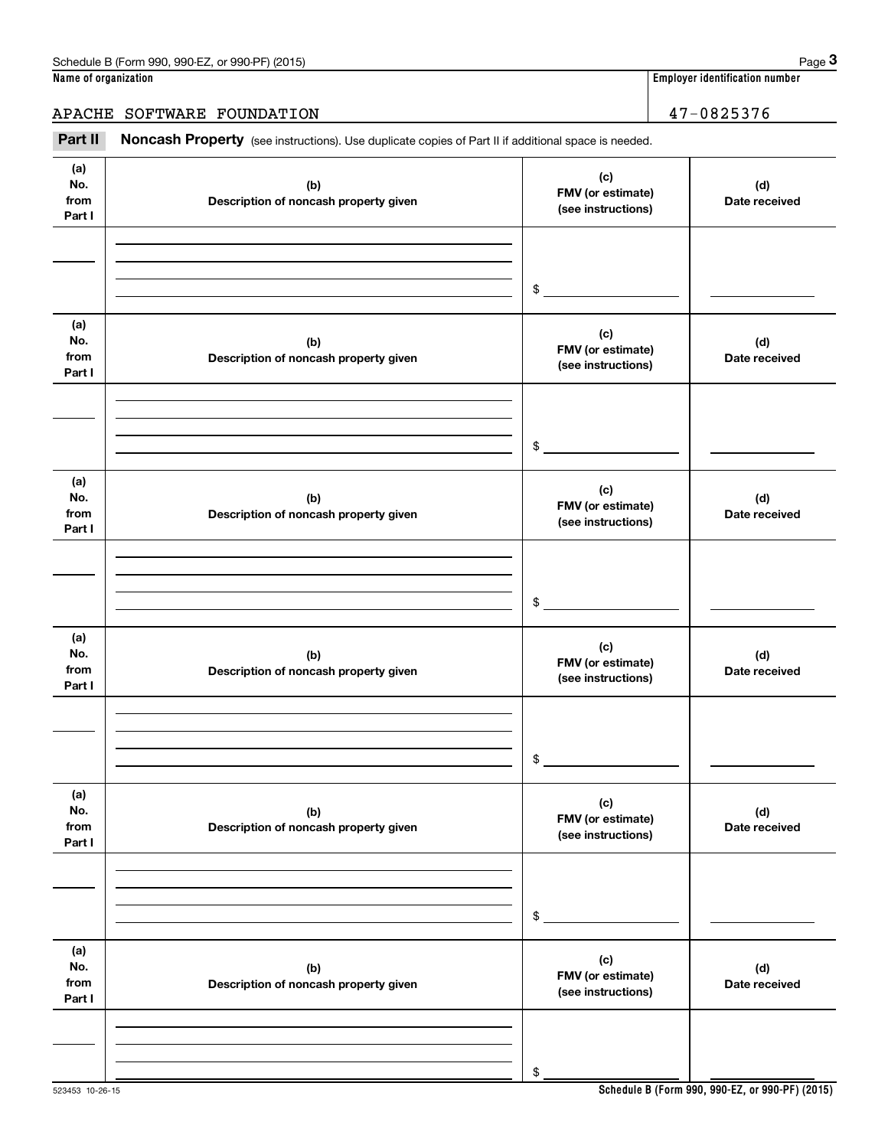## APACHE SOFTWARE FOUNDATION 47-0825376

Employer identification number<br> **3PACHE SOFTWARE FOUNDATION**<br> **PACHE SOFTWARE FOUNDATION**<br> **Part II Noncash Property** (see instructions). Use duplicate copies of Part II if additional space is needed.

| (a)<br>No.<br>from<br>Part I | (b)<br>Description of noncash property given | (c)<br>FMV (or estimate)<br>(see instructions) | (d)<br>Date received |
|------------------------------|----------------------------------------------|------------------------------------------------|----------------------|
|                              |                                              |                                                |                      |
|                              |                                              | $\$$                                           |                      |
| (a)<br>No.<br>from<br>Part I | (b)<br>Description of noncash property given | (c)<br>FMV (or estimate)<br>(see instructions) | (d)<br>Date received |
|                              |                                              |                                                |                      |
|                              |                                              | $\$$                                           |                      |
| (a)<br>No.<br>from<br>Part I | (b)<br>Description of noncash property given | (c)<br>FMV (or estimate)<br>(see instructions) | (d)<br>Date received |
|                              |                                              |                                                |                      |
|                              |                                              | \$                                             |                      |
| (a)<br>No.<br>from<br>Part I | (b)<br>Description of noncash property given | (c)<br>FMV (or estimate)<br>(see instructions) | (d)<br>Date received |
|                              |                                              |                                                |                      |
|                              |                                              | \$                                             |                      |
| (a)<br>No.<br>from<br>Part I | (b)<br>Description of noncash property given | (c)<br>FMV (or estimate)<br>(see instructions) | (d)<br>Date received |
|                              |                                              |                                                |                      |
|                              |                                              | $\$$                                           |                      |
| (a)<br>No.<br>from<br>Part I | (b)<br>Description of noncash property given | (c)<br>FMV (or estimate)<br>(see instructions) | (d)<br>Date received |
|                              |                                              |                                                |                      |
|                              |                                              | \$                                             |                      |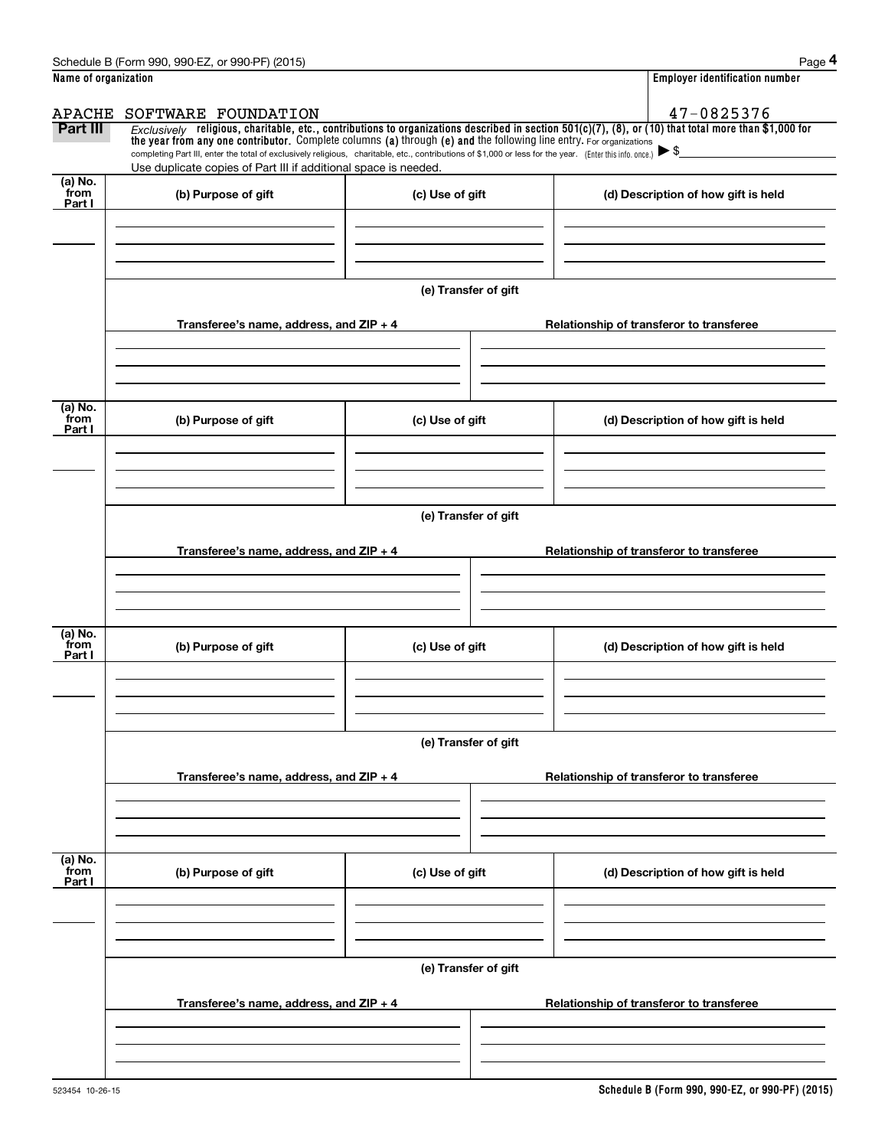|                           | Schedule B (Form 990, 990-EZ, or 990-PF) (2015)                                                                                                                                                                                                                                                          |                      | Page 4                                                                                                                                                  |
|---------------------------|----------------------------------------------------------------------------------------------------------------------------------------------------------------------------------------------------------------------------------------------------------------------------------------------------------|----------------------|---------------------------------------------------------------------------------------------------------------------------------------------------------|
| Name of organization      |                                                                                                                                                                                                                                                                                                          |                      | <b>Employer identification number</b>                                                                                                                   |
| APACHE                    | SOFTWARE FOUNDATION                                                                                                                                                                                                                                                                                      |                      | 47-0825376                                                                                                                                              |
| Part III                  | the year from any one contributor. Complete columns (a) through (e) and the following line entry. For organizations<br>completing Part III, enter the total of exclusively religious, charitable, etc., contributions of \$1,000 or less for the year. (Enter this info. once.) $\blacktriangleright$ \$ |                      | $Exclusively$ religious, charitable, etc., contributions to organizations described in section 501(c)(7), (8), or (10) that total more than \$1,000 for |
|                           | Use duplicate copies of Part III if additional space is needed.                                                                                                                                                                                                                                          |                      |                                                                                                                                                         |
| (a) No.<br>from<br>Part I | (b) Purpose of gift                                                                                                                                                                                                                                                                                      | (c) Use of gift      | (d) Description of how gift is held                                                                                                                     |
|                           |                                                                                                                                                                                                                                                                                                          |                      |                                                                                                                                                         |
|                           |                                                                                                                                                                                                                                                                                                          |                      |                                                                                                                                                         |
|                           |                                                                                                                                                                                                                                                                                                          | (e) Transfer of gift |                                                                                                                                                         |
|                           | Transferee's name, address, and $ZIP + 4$                                                                                                                                                                                                                                                                |                      | Relationship of transferor to transferee                                                                                                                |
|                           |                                                                                                                                                                                                                                                                                                          |                      |                                                                                                                                                         |
| (a) No.<br>from<br>Part I | (b) Purpose of gift                                                                                                                                                                                                                                                                                      | (c) Use of gift      | (d) Description of how gift is held                                                                                                                     |
|                           |                                                                                                                                                                                                                                                                                                          |                      |                                                                                                                                                         |
|                           |                                                                                                                                                                                                                                                                                                          |                      |                                                                                                                                                         |
|                           |                                                                                                                                                                                                                                                                                                          | (e) Transfer of gift |                                                                                                                                                         |
|                           | Transferee's name, address, and $ZIP + 4$                                                                                                                                                                                                                                                                |                      | Relationship of transferor to transferee                                                                                                                |
|                           |                                                                                                                                                                                                                                                                                                          |                      |                                                                                                                                                         |
| (a) No.                   |                                                                                                                                                                                                                                                                                                          |                      |                                                                                                                                                         |
| from<br>Part I            | (b) Purpose of gift                                                                                                                                                                                                                                                                                      | (c) Use of gift      | (d) Description of how gift is held                                                                                                                     |
|                           |                                                                                                                                                                                                                                                                                                          |                      |                                                                                                                                                         |
|                           |                                                                                                                                                                                                                                                                                                          | (e) Transfer of gift |                                                                                                                                                         |
|                           |                                                                                                                                                                                                                                                                                                          |                      |                                                                                                                                                         |
|                           | Transferee's name, address, and $ZIP + 4$                                                                                                                                                                                                                                                                |                      | Relationship of transferor to transferee                                                                                                                |
|                           |                                                                                                                                                                                                                                                                                                          |                      |                                                                                                                                                         |
| (a) No.<br>from<br>Part I | (b) Purpose of gift                                                                                                                                                                                                                                                                                      | (c) Use of gift      | (d) Description of how gift is held                                                                                                                     |
|                           |                                                                                                                                                                                                                                                                                                          |                      |                                                                                                                                                         |
|                           |                                                                                                                                                                                                                                                                                                          |                      |                                                                                                                                                         |
|                           |                                                                                                                                                                                                                                                                                                          | (e) Transfer of gift |                                                                                                                                                         |
|                           | Transferee's name, address, and ZIP + 4                                                                                                                                                                                                                                                                  |                      | Relationship of transferor to transferee                                                                                                                |
|                           |                                                                                                                                                                                                                                                                                                          |                      |                                                                                                                                                         |
|                           |                                                                                                                                                                                                                                                                                                          |                      |                                                                                                                                                         |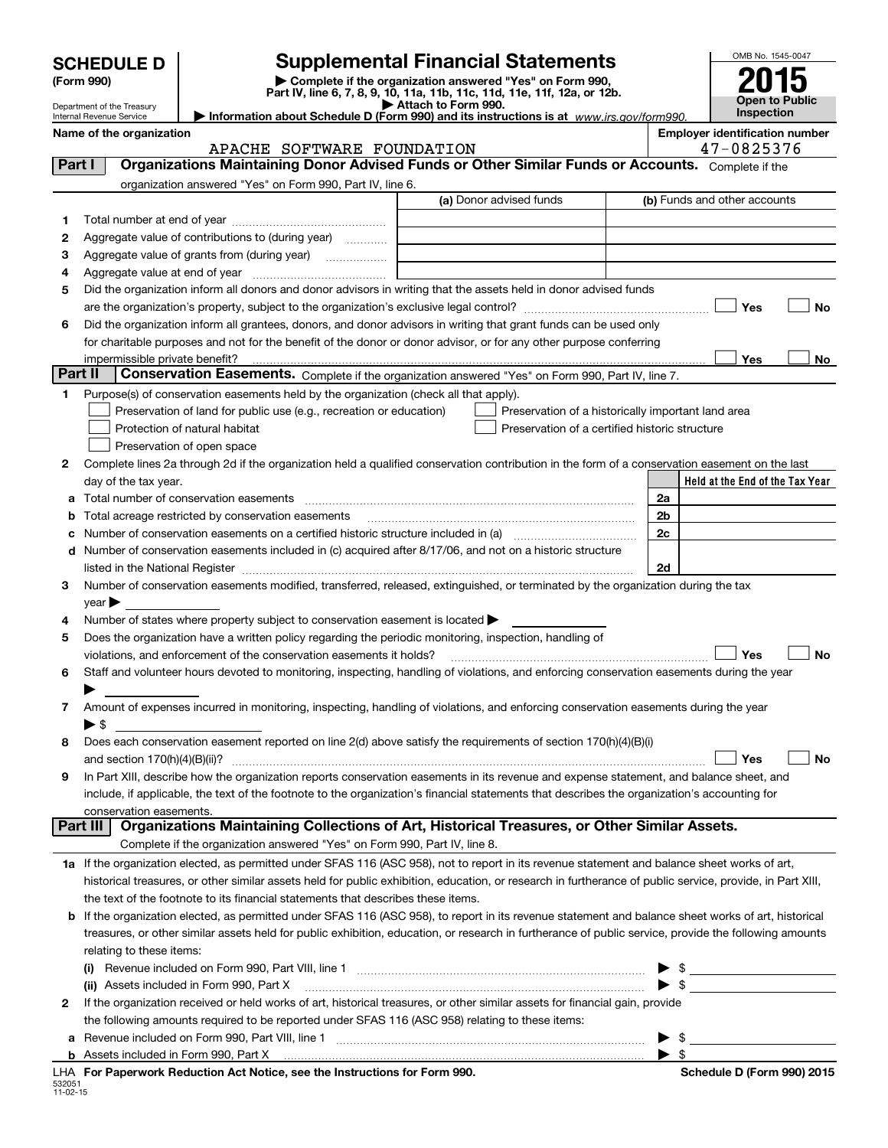| <b>SCHEDULE D</b> |  |
|-------------------|--|
|-------------------|--|

Department of the Treasury Internal Revenue Service

**b**

## **Supplemental Financial Statements**

(Form 990)<br>
Pepartment of the Treasury<br>
Department of the Treasury<br>
Department of the Treasury<br>
Information about Schedule D (Form 990) and its instructions is at www.irs.gov/form990.

| OMB No. 1545-0047     |
|-----------------------|
| 2015                  |
| <b>Open to Public</b> |
| <b>Inspection</b>     |

|         | Name of the organization<br>APACHE SOFTWARE FOUNDATION                                                                                                                                                                         |                                                    |    | <b>Employer identification number</b><br>47-0825376 |    |
|---------|--------------------------------------------------------------------------------------------------------------------------------------------------------------------------------------------------------------------------------|----------------------------------------------------|----|-----------------------------------------------------|----|
| Part I  | Organizations Maintaining Donor Advised Funds or Other Similar Funds or Accounts. Complete if the                                                                                                                              |                                                    |    |                                                     |    |
|         | organization answered "Yes" on Form 990, Part IV, line 6.                                                                                                                                                                      |                                                    |    |                                                     |    |
|         |                                                                                                                                                                                                                                | (a) Donor advised funds                            |    | (b) Funds and other accounts                        |    |
| 1       |                                                                                                                                                                                                                                |                                                    |    |                                                     |    |
| 2       | Aggregate value of contributions to (during year)                                                                                                                                                                              |                                                    |    |                                                     |    |
| з       |                                                                                                                                                                                                                                |                                                    |    |                                                     |    |
| 4       |                                                                                                                                                                                                                                |                                                    |    |                                                     |    |
| 5       | Did the organization inform all donors and donor advisors in writing that the assets held in donor advised funds                                                                                                               |                                                    |    |                                                     |    |
|         |                                                                                                                                                                                                                                |                                                    |    | Yes                                                 | No |
| 6       | Did the organization inform all grantees, donors, and donor advisors in writing that grant funds can be used only                                                                                                              |                                                    |    |                                                     |    |
|         | for charitable purposes and not for the benefit of the donor or donor advisor, or for any other purpose conferring                                                                                                             |                                                    |    |                                                     |    |
|         | impermissible private benefit?                                                                                                                                                                                                 |                                                    |    | Yes                                                 | No |
| Part II | Conservation Easements. Complete if the organization answered "Yes" on Form 990, Part IV, line 7.                                                                                                                              |                                                    |    |                                                     |    |
| 1.      | Purpose(s) of conservation easements held by the organization (check all that apply).                                                                                                                                          |                                                    |    |                                                     |    |
|         | Preservation of land for public use (e.g., recreation or education)                                                                                                                                                            | Preservation of a historically important land area |    |                                                     |    |
|         | Protection of natural habitat                                                                                                                                                                                                  | Preservation of a certified historic structure     |    |                                                     |    |
|         | Preservation of open space                                                                                                                                                                                                     |                                                    |    |                                                     |    |
| 2       | Complete lines 2a through 2d if the organization held a qualified conservation contribution in the form of a conservation easement on the last                                                                                 |                                                    |    |                                                     |    |
|         | day of the tax year.                                                                                                                                                                                                           |                                                    |    | Held at the End of the Tax Year                     |    |
|         | Total number of conservation easements                                                                                                                                                                                         |                                                    | 2a |                                                     |    |
| b       | Total acreage restricted by conservation easements                                                                                                                                                                             |                                                    | 2b |                                                     |    |
|         |                                                                                                                                                                                                                                |                                                    | 2c |                                                     |    |
| d       | Number of conservation easements included in (c) acquired after 8/17/06, and not on a historic structure                                                                                                                       |                                                    |    |                                                     |    |
|         | listed in the National Register [[11] matter contract the state of the state of the National Register [11] matter of the National Register [11] matter of the National Register [11] matter of the National Register [11] matt |                                                    | 2d |                                                     |    |
| 3       | Number of conservation easements modified, transferred, released, extinguished, or terminated by the organization during the tax                                                                                               |                                                    |    |                                                     |    |
|         | year $\blacktriangleright$                                                                                                                                                                                                     |                                                    |    |                                                     |    |
| 4       | Number of states where property subject to conservation easement is located >                                                                                                                                                  |                                                    |    |                                                     |    |
| 5       | Does the organization have a written policy regarding the periodic monitoring, inspection, handling of                                                                                                                         |                                                    |    |                                                     |    |
|         | violations, and enforcement of the conservation easements it holds?                                                                                                                                                            |                                                    |    | Yes                                                 | No |
| 6       | Staff and volunteer hours devoted to monitoring, inspecting, handling of violations, and enforcing conservation easements during the year                                                                                      |                                                    |    |                                                     |    |
|         |                                                                                                                                                                                                                                |                                                    |    |                                                     |    |
| 7       | Amount of expenses incurred in monitoring, inspecting, handling of violations, and enforcing conservation easements during the year                                                                                            |                                                    |    |                                                     |    |
|         | $\blacktriangleright$ \$                                                                                                                                                                                                       |                                                    |    |                                                     |    |
| 8       | Does each conservation easement reported on line 2(d) above satisfy the requirements of section 170(h)(4)(B)(i)                                                                                                                |                                                    |    |                                                     |    |
|         | and section 170(h)(4)(B)(ii)?                                                                                                                                                                                                  |                                                    |    | Yes                                                 | No |
| 9       | In Part XIII, describe how the organization reports conservation easements in its revenue and expense statement, and balance sheet, and                                                                                        |                                                    |    |                                                     |    |
|         | include, if applicable, the text of the footnote to the organization's financial statements that describes the organization's accounting for                                                                                   |                                                    |    |                                                     |    |
|         | conservation easements.                                                                                                                                                                                                        |                                                    |    |                                                     |    |
|         | Organizations Maintaining Collections of Art, Historical Treasures, or Other Similar Assets.<br>Part III                                                                                                                       |                                                    |    |                                                     |    |
|         | Complete if the organization answered "Yes" on Form 990, Part IV, line 8.                                                                                                                                                      |                                                    |    |                                                     |    |
|         | 1a If the organization elected, as permitted under SFAS 116 (ASC 958), not to report in its revenue statement and balance sheet works of art,                                                                                  |                                                    |    |                                                     |    |
|         | historical treasures, or other similar assets held for public exhibition, education, or research in furtherance of public service, provide, in Part XIII,                                                                      |                                                    |    |                                                     |    |
|         | the text of the footnote to its financial statements that describes these items.                                                                                                                                               |                                                    |    |                                                     |    |
|         | <b>b</b> If the organization elected, as permitted under SFAS 116 (ASC 958), to report in its revenue statement and balance sheet works of art, historical                                                                     |                                                    |    |                                                     |    |
|         | treasures, or other similar assets held for public exhibition, education, or research in furtherance of public service, provide the following amounts                                                                          |                                                    |    |                                                     |    |
|         | relating to these items:                                                                                                                                                                                                       |                                                    |    |                                                     |    |
|         |                                                                                                                                                                                                                                |                                                    |    | $\mathfrak{S}$                                      |    |
|         | (ii) Assets included in Form 990, Part X                                                                                                                                                                                       |                                                    |    | $\sim$                                              |    |
| 2       | If the organization received or held works of art, historical treasures, or other similar assets for financial gain, provide                                                                                                   |                                                    |    |                                                     |    |
|         | the following amounts required to be reported under SFAS 116 (ASC 958) relating to these items:                                                                                                                                |                                                    |    |                                                     |    |

~~~~~~~~~~~~~~~~~~~~~~~~~~~~~~

**a** Revenue included on Form 990, Part VIII, line 1

Assets included in Form 990, Part X

| Schedule D (Form 990) 2015 |  |  |
|----------------------------|--|--|
|                            |  |  |

 $\blacktriangleright$  \$

 $\blacktriangleright$  \$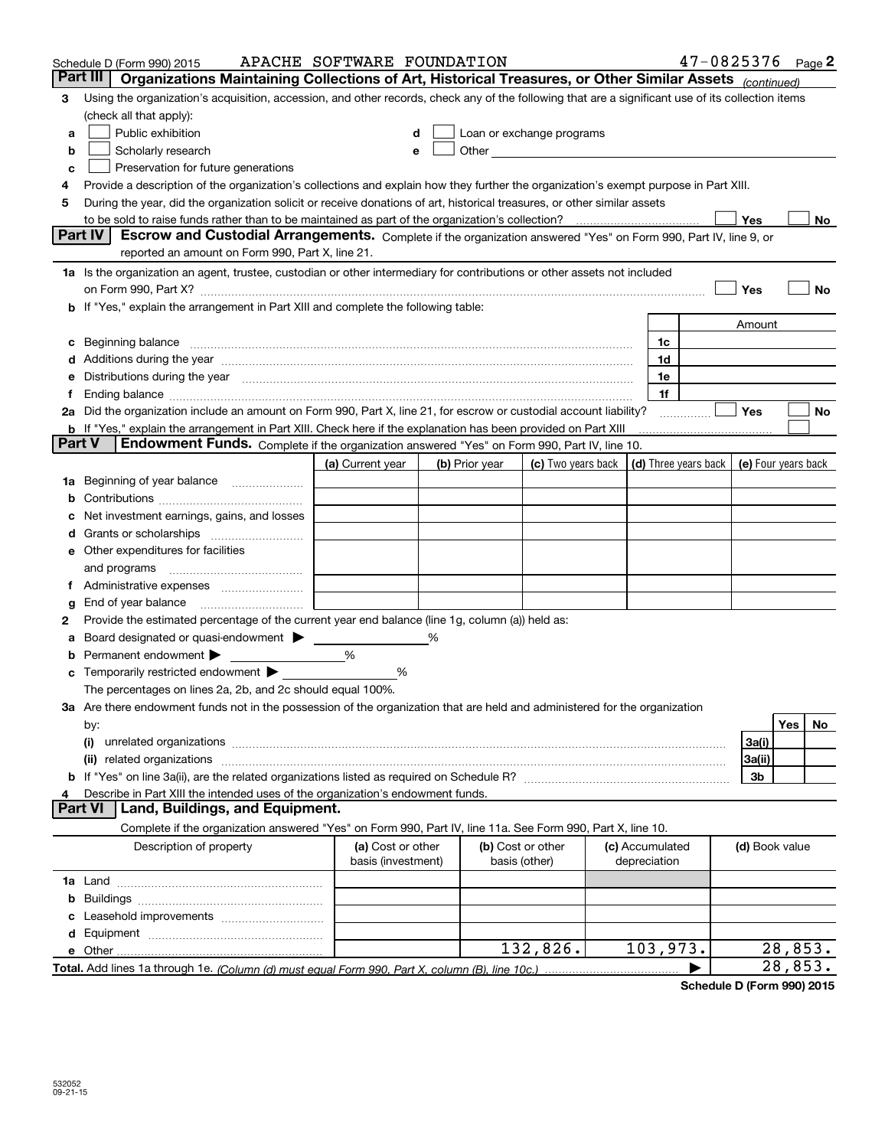|        | Schedule D (Form 990) 2015                                                                                                                                                                                                     | APACHE SOFTWARE FOUNDATION              |   |                |                                                      |                                 | $47 - 0825376$ Page 2                      |                |         |         |
|--------|--------------------------------------------------------------------------------------------------------------------------------------------------------------------------------------------------------------------------------|-----------------------------------------|---|----------------|------------------------------------------------------|---------------------------------|--------------------------------------------|----------------|---------|---------|
|        | Part III<br>Organizations Maintaining Collections of Art, Historical Treasures, or Other Similar Assets (continued)                                                                                                            |                                         |   |                |                                                      |                                 |                                            |                |         |         |
| 3      | Using the organization's acquisition, accession, and other records, check any of the following that are a significant use of its collection items                                                                              |                                         |   |                |                                                      |                                 |                                            |                |         |         |
|        | (check all that apply):                                                                                                                                                                                                        |                                         |   |                |                                                      |                                 |                                            |                |         |         |
| a      | Public exhibition                                                                                                                                                                                                              |                                         |   |                | Loan or exchange programs                            |                                 |                                            |                |         |         |
| b      | Scholarly research                                                                                                                                                                                                             |                                         |   |                | Other <b>Committee Committee Committee Committee</b> |                                 |                                            |                |         |         |
| с      | Preservation for future generations                                                                                                                                                                                            |                                         |   |                |                                                      |                                 |                                            |                |         |         |
| 4      | Provide a description of the organization's collections and explain how they further the organization's exempt purpose in Part XIII.                                                                                           |                                         |   |                |                                                      |                                 |                                            |                |         |         |
| 5      | During the year, did the organization solicit or receive donations of art, historical treasures, or other similar assets                                                                                                       |                                         |   |                |                                                      |                                 |                                            |                |         |         |
|        |                                                                                                                                                                                                                                |                                         |   |                |                                                      |                                 |                                            | Yes            |         | No      |
|        | <b>Part IV</b><br>Escrow and Custodial Arrangements. Complete if the organization answered "Yes" on Form 990, Part IV, line 9, or                                                                                              |                                         |   |                |                                                      |                                 |                                            |                |         |         |
|        | reported an amount on Form 990, Part X, line 21.                                                                                                                                                                               |                                         |   |                |                                                      |                                 |                                            |                |         |         |
|        | 1a Is the organization an agent, trustee, custodian or other intermediary for contributions or other assets not included                                                                                                       |                                         |   |                |                                                      |                                 |                                            |                |         |         |
|        |                                                                                                                                                                                                                                |                                         |   |                |                                                      |                                 |                                            | Yes            |         | No      |
|        | <b>b</b> If "Yes," explain the arrangement in Part XIII and complete the following table:                                                                                                                                      |                                         |   |                |                                                      |                                 |                                            |                |         |         |
|        |                                                                                                                                                                                                                                |                                         |   |                |                                                      |                                 |                                            | Amount         |         |         |
| c      | Beginning balance material content contracts and content and content and content and content and content and content and content and content and content and content and content and content and content and content and conte |                                         |   |                |                                                      | 1c                              |                                            |                |         |         |
|        | Additions during the year manufactured and an account of the state of the state of the state of the state of the state of the state of the state of the state of the state of the state of the state of the state of the state |                                         |   |                |                                                      | 1d                              |                                            |                |         |         |
|        | Distributions during the year manufactured and continuum and contained and contained and contained and contained and contained and contained and contained and contained and contained and contained and contained and contain |                                         |   |                |                                                      | 1e                              |                                            |                |         |         |
| Ť.     | Ending balance measurements are all the contract of the contract of the contract of the contract of the contract of the contract of the contract of the contract of the contract of the contract of the contract of the contra |                                         |   |                |                                                      | 1f                              |                                            |                |         |         |
|        | 2a Did the organization include an amount on Form 990, Part X, line 21, for escrow or custodial account liability?                                                                                                             |                                         |   |                |                                                      |                                 |                                            | Yes            |         | No      |
| Part V | <b>b</b> If "Yes," explain the arrangement in Part XIII. Check here if the explanation has been provided on Part XIII                                                                                                          |                                         |   |                |                                                      |                                 |                                            |                |         |         |
|        | Endowment Funds. Complete if the organization answered "Yes" on Form 990, Part IV, line 10.                                                                                                                                    |                                         |   |                |                                                      |                                 |                                            |                |         |         |
|        |                                                                                                                                                                                                                                | (a) Current year                        |   | (b) Prior year | (c) Two years back                                   |                                 | (d) Three years back   (e) Four years back |                |         |         |
| 1a     | Beginning of year balance                                                                                                                                                                                                      |                                         |   |                |                                                      |                                 |                                            |                |         |         |
|        |                                                                                                                                                                                                                                |                                         |   |                |                                                      |                                 |                                            |                |         |         |
|        | Net investment earnings, gains, and losses                                                                                                                                                                                     |                                         |   |                |                                                      |                                 |                                            |                |         |         |
| a      |                                                                                                                                                                                                                                |                                         |   |                |                                                      |                                 |                                            |                |         |         |
|        | e Other expenditures for facilities                                                                                                                                                                                            |                                         |   |                |                                                      |                                 |                                            |                |         |         |
|        | and programs                                                                                                                                                                                                                   |                                         |   |                |                                                      |                                 |                                            |                |         |         |
|        | End of year balance                                                                                                                                                                                                            |                                         |   |                |                                                      |                                 |                                            |                |         |         |
| g<br>2 | Provide the estimated percentage of the current year end balance (line 1g, column (a)) held as:                                                                                                                                |                                         |   |                |                                                      |                                 |                                            |                |         |         |
| а      | Board designated or quasi-endowment                                                                                                                                                                                            |                                         | % |                |                                                      |                                 |                                            |                |         |         |
|        | Permanent endowment >                                                                                                                                                                                                          | %                                       |   |                |                                                      |                                 |                                            |                |         |         |
|        | Temporarily restricted endowment $\blacktriangleright$                                                                                                                                                                         | %                                       |   |                |                                                      |                                 |                                            |                |         |         |
|        | The percentages on lines 2a, 2b, and 2c should equal 100%.                                                                                                                                                                     |                                         |   |                |                                                      |                                 |                                            |                |         |         |
|        | 3a Are there endowment funds not in the possession of the organization that are held and administered for the organization                                                                                                     |                                         |   |                |                                                      |                                 |                                            |                |         |         |
|        | by:                                                                                                                                                                                                                            |                                         |   |                |                                                      |                                 |                                            |                | Yes     | No.     |
|        | (i)                                                                                                                                                                                                                            |                                         |   |                |                                                      |                                 |                                            | 3a(i)          |         |         |
|        | (ii) related organizations                                                                                                                                                                                                     |                                         |   |                |                                                      |                                 |                                            | 3a(ii)         |         |         |
|        |                                                                                                                                                                                                                                |                                         |   |                |                                                      |                                 |                                            | 3b             |         |         |
|        | Describe in Part XIII the intended uses of the organization's endowment funds.                                                                                                                                                 |                                         |   |                |                                                      |                                 |                                            |                |         |         |
|        | Land, Buildings, and Equipment.<br>Part VI                                                                                                                                                                                     |                                         |   |                |                                                      |                                 |                                            |                |         |         |
|        | Complete if the organization answered "Yes" on Form 990, Part IV, line 11a. See Form 990, Part X, line 10.                                                                                                                     |                                         |   |                |                                                      |                                 |                                            |                |         |         |
|        | Description of property                                                                                                                                                                                                        | (a) Cost or other<br>basis (investment) |   |                | (b) Cost or other<br>basis (other)                   | (c) Accumulated<br>depreciation |                                            | (d) Book value |         |         |
|        |                                                                                                                                                                                                                                |                                         |   |                |                                                      |                                 |                                            |                |         |         |
| b      |                                                                                                                                                                                                                                |                                         |   |                |                                                      |                                 |                                            |                |         |         |
|        |                                                                                                                                                                                                                                |                                         |   |                |                                                      |                                 |                                            |                |         |         |
|        |                                                                                                                                                                                                                                |                                         |   |                |                                                      |                                 |                                            |                |         |         |
|        |                                                                                                                                                                                                                                |                                         |   |                | 132,826.                                             | 103,973.                        |                                            |                |         | 28,853. |
|        |                                                                                                                                                                                                                                |                                         |   |                |                                                      |                                 |                                            |                | 28,853. |         |

**Schedule D (Form 990) 2015**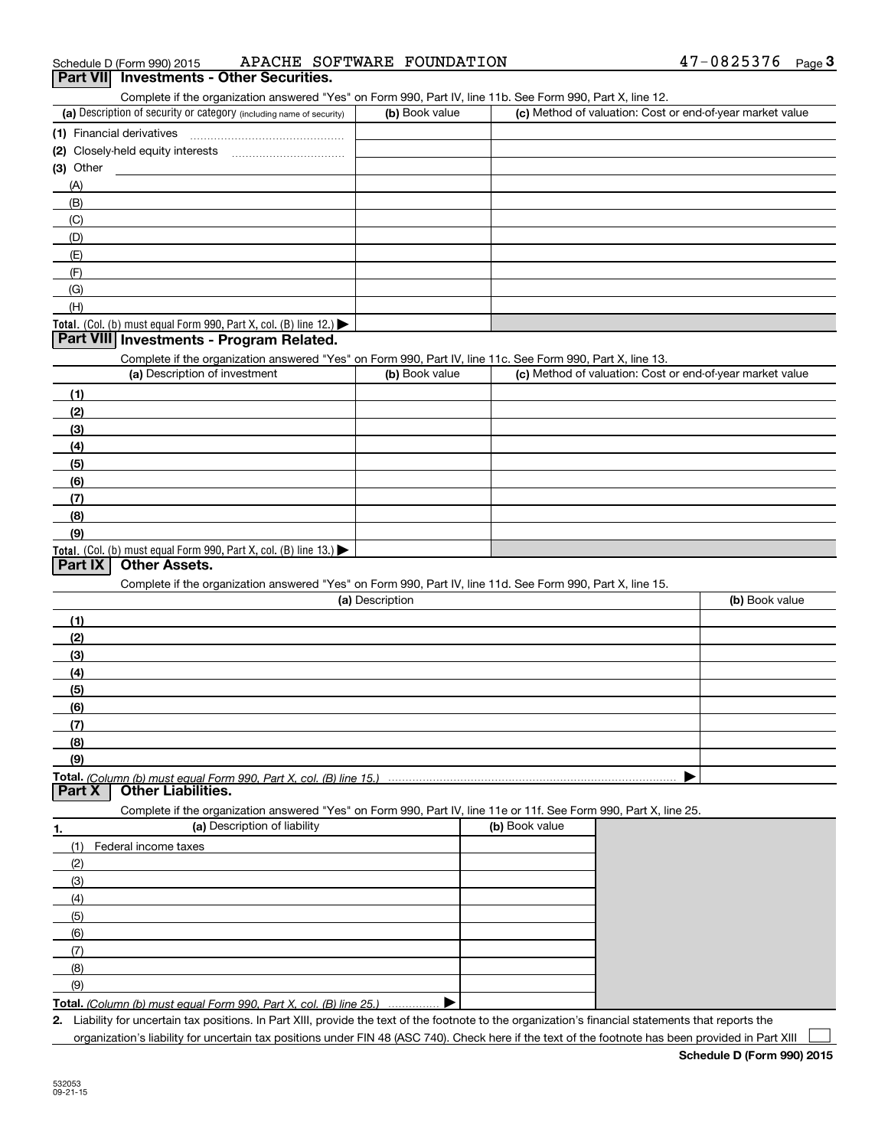| 47-0825376<br>APACHE SOFTWARE FOUNDATION<br>Schedule D (Form 990) 2015 | Page |  |
|------------------------------------------------------------------------|------|--|
|------------------------------------------------------------------------|------|--|

### **3Part VII Investments - Other Securities.**

Complete if the organization answered "Yes" on Form 990, Part IV, line 11b. See Form 990, Part X, line 12.

| (a) Description of security or category (including name of security)                   | (b) Book value | (c) Method of valuation: Cost or end-of-year market value |
|----------------------------------------------------------------------------------------|----------------|-----------------------------------------------------------|
| (1) Financial derivatives                                                              |                |                                                           |
| (2) Closely-held equity interests                                                      |                |                                                           |
| $(3)$ Other                                                                            |                |                                                           |
| (A)                                                                                    |                |                                                           |
| (B)                                                                                    |                |                                                           |
| (C)                                                                                    |                |                                                           |
| (D)                                                                                    |                |                                                           |
| (E)                                                                                    |                |                                                           |
| (F)                                                                                    |                |                                                           |
| (G)                                                                                    |                |                                                           |
| (H)                                                                                    |                |                                                           |
| Total. (Col. (b) must equal Form 990, Part X, col. (B) line 12.) $\blacktriangleright$ |                |                                                           |

#### **Part VIII Investments - Program Related.**

Complete if the organization answered "Yes" on Form 990, Part IV, line 11c. See Form 990, Part X, line 13.

| (a) Description of investment                                       | (b) Book value | (c) Method of valuation: Cost or end-of-year market value |
|---------------------------------------------------------------------|----------------|-----------------------------------------------------------|
| (1)                                                                 |                |                                                           |
| (2)                                                                 |                |                                                           |
| $\frac{1}{2}$                                                       |                |                                                           |
| (4)                                                                 |                |                                                           |
| $\frac{1}{2}$                                                       |                |                                                           |
| (6)                                                                 |                |                                                           |
| $\sqrt{(7)}$                                                        |                |                                                           |
| (8)                                                                 |                |                                                           |
| (9)                                                                 |                |                                                           |
| Total. (Col. (b) must equal Form 990, Part X, col. (B) line $13.$ ) |                |                                                           |

### **Part IX Other Assets.**

Complete if the organization answered "Yes" on Form 990, Part IV, line 11d. See Form 990, Part X, line 15.

| (a) Description | (b) Book value |
|-----------------|----------------|
| (1)             |                |
| (2)             |                |
| $\frac{1}{2}$   |                |
| (4)             |                |
| $\frac{1}{2}$   |                |
| (6)             |                |
| (7)             |                |
| (8)             |                |
| (9)             |                |
|                 |                |

**Part X Other Liabilities.**

Complete if the organization answered "Yes" on Form 990, Part IV, line 11e or 11f. See Form 990, Part X, line 25.

| 1.            | (a) Description of liability                                       | (b) Book value |
|---------------|--------------------------------------------------------------------|----------------|
| (1)           | Federal income taxes                                               |                |
| (2)           |                                                                    |                |
| (3)           |                                                                    |                |
| (4)           |                                                                    |                |
| (5)           |                                                                    |                |
| (6)           |                                                                    |                |
| $\mathcal{L}$ |                                                                    |                |
| (8)           |                                                                    |                |
| (9)           |                                                                    |                |
|               | Total. (Column (b) must equal Form 990. Part X, col. (B) line 25.) |                |

*(Column (b) must equal Form 990, Part X, col. (B) line 25.)* . . . . . . . . . . . . . . .

**2.**Liability for uncertain tax positions. In Part XIII, provide the text of the footnote to the organization's financial statements that reports the organization's liability for uncertain tax positions under FIN 48 (ASC 740). Check here if the text of the footnote has been provided in Part XIII  $\mathcal{L}^{\text{max}}$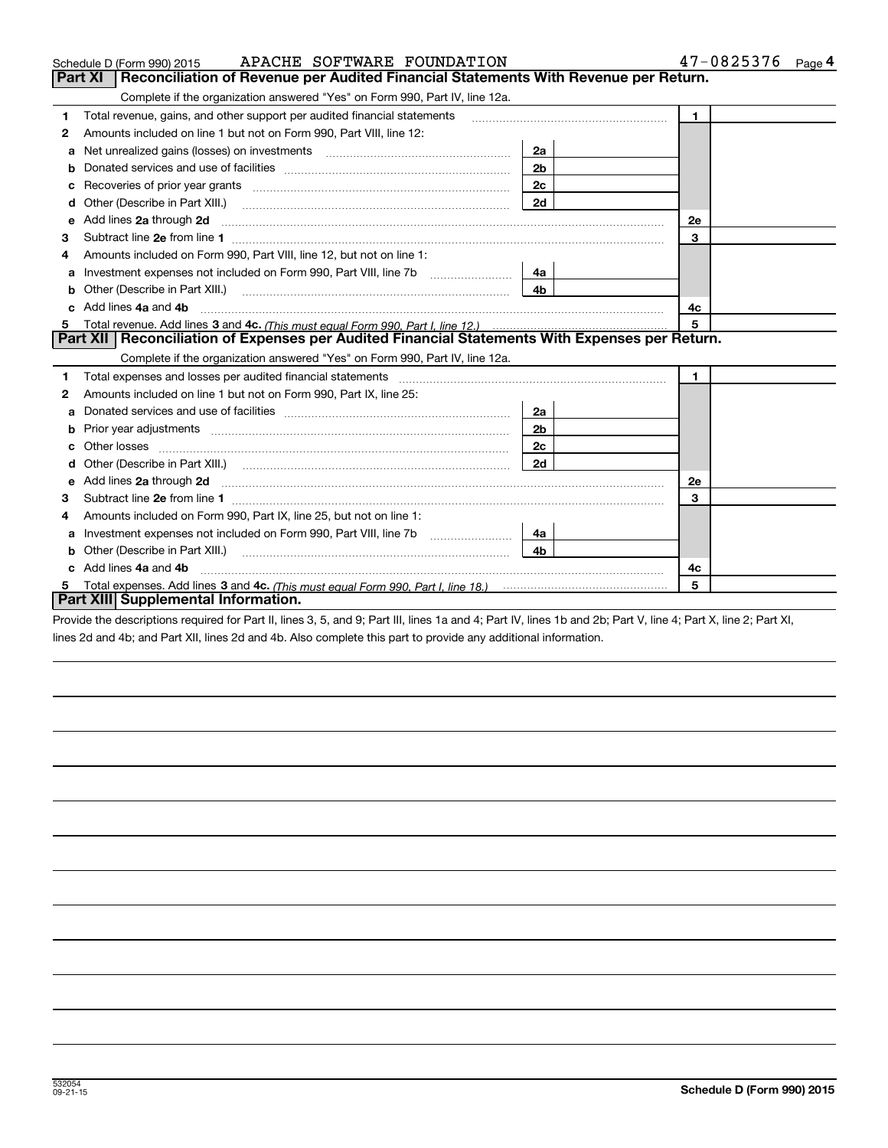|   | APACHE SOFTWARE FOUNDATION<br>Schedule D (Form 990) 2015                                                                                                                                                                           |                | 47-0825376<br>Page 4 |
|---|------------------------------------------------------------------------------------------------------------------------------------------------------------------------------------------------------------------------------------|----------------|----------------------|
|   | Part XI<br>Reconciliation of Revenue per Audited Financial Statements With Revenue per Return.                                                                                                                                     |                |                      |
|   | Complete if the organization answered "Yes" on Form 990, Part IV, line 12a.                                                                                                                                                        |                |                      |
| 1 | Total revenue, gains, and other support per audited financial statements                                                                                                                                                           |                | $\mathbf{1}$         |
| 2 | Amounts included on line 1 but not on Form 990, Part VIII, line 12:                                                                                                                                                                |                |                      |
| a | Net unrealized gains (losses) on investments [11] matter contracts and the unrealized gains (losses) on investments                                                                                                                | 2a             |                      |
|   |                                                                                                                                                                                                                                    | 2 <sub>b</sub> |                      |
| с |                                                                                                                                                                                                                                    | 2с             |                      |
| d |                                                                                                                                                                                                                                    | 2d             |                      |
| е | Add lines 2a through 2d                                                                                                                                                                                                            |                | <b>2e</b>            |
| 3 |                                                                                                                                                                                                                                    |                | 3                    |
| 4 | Amounts included on Form 990, Part VIII, line 12, but not on line 1:                                                                                                                                                               |                |                      |
|   |                                                                                                                                                                                                                                    | 4a             |                      |
| b |                                                                                                                                                                                                                                    | 4 <sub>b</sub> |                      |
| c | Add lines 4a and 4b                                                                                                                                                                                                                |                | 4с                   |
| 5 |                                                                                                                                                                                                                                    |                | 5                    |
|   | Part XII   Reconciliation of Expenses per Audited Financial Statements With Expenses per Return.                                                                                                                                   |                |                      |
|   | Complete if the organization answered "Yes" on Form 990, Part IV, line 12a.                                                                                                                                                        |                |                      |
| 1 | Total expenses and losses per audited financial statements [11] [12] manuscription control expenses and losses per audited financial statements [11] [12] manuscription of the statements [12] manuscription of the statements     |                | $\blacksquare$       |
| 2 | Amounts included on line 1 but not on Form 990, Part IX, line 25:                                                                                                                                                                  |                |                      |
| a |                                                                                                                                                                                                                                    | 2a             |                      |
| b |                                                                                                                                                                                                                                    | 2 <sub>b</sub> |                      |
| c |                                                                                                                                                                                                                                    | 2c             |                      |
|   |                                                                                                                                                                                                                                    | 2d             |                      |
| е | Add lines 2a through 2d <b>must be a constructed as the constant of the construction</b> and the state of the state of the state of the state of the state of the state of the state of the state of the state of the state of the |                | 2e                   |
| З |                                                                                                                                                                                                                                    |                | 3                    |
| 4 | Amounts included on Form 990, Part IX, line 25, but not on line 1:                                                                                                                                                                 |                |                      |
| a |                                                                                                                                                                                                                                    | 4a             |                      |
| b | Other (Describe in Part XIII.) <b>Construction Contract Construction</b> Chemistry Chemistry Chemistry Chemistry Chemistry                                                                                                         | 4 <sub>b</sub> |                      |
|   | Add lines 4a and 4b                                                                                                                                                                                                                |                | 4c                   |
| 5 |                                                                                                                                                                                                                                    |                | 5                    |
|   | Part XIII Supplemental Information.                                                                                                                                                                                                |                |                      |

Provide the descriptions required for Part II, lines 3, 5, and 9; Part III, lines 1a and 4; Part IV, lines 1b and 2b; Part V, line 4; Part X, line 2; Part XI, lines 2d and 4b; and Part XII, lines 2d and 4b. Also complete this part to provide any additional information.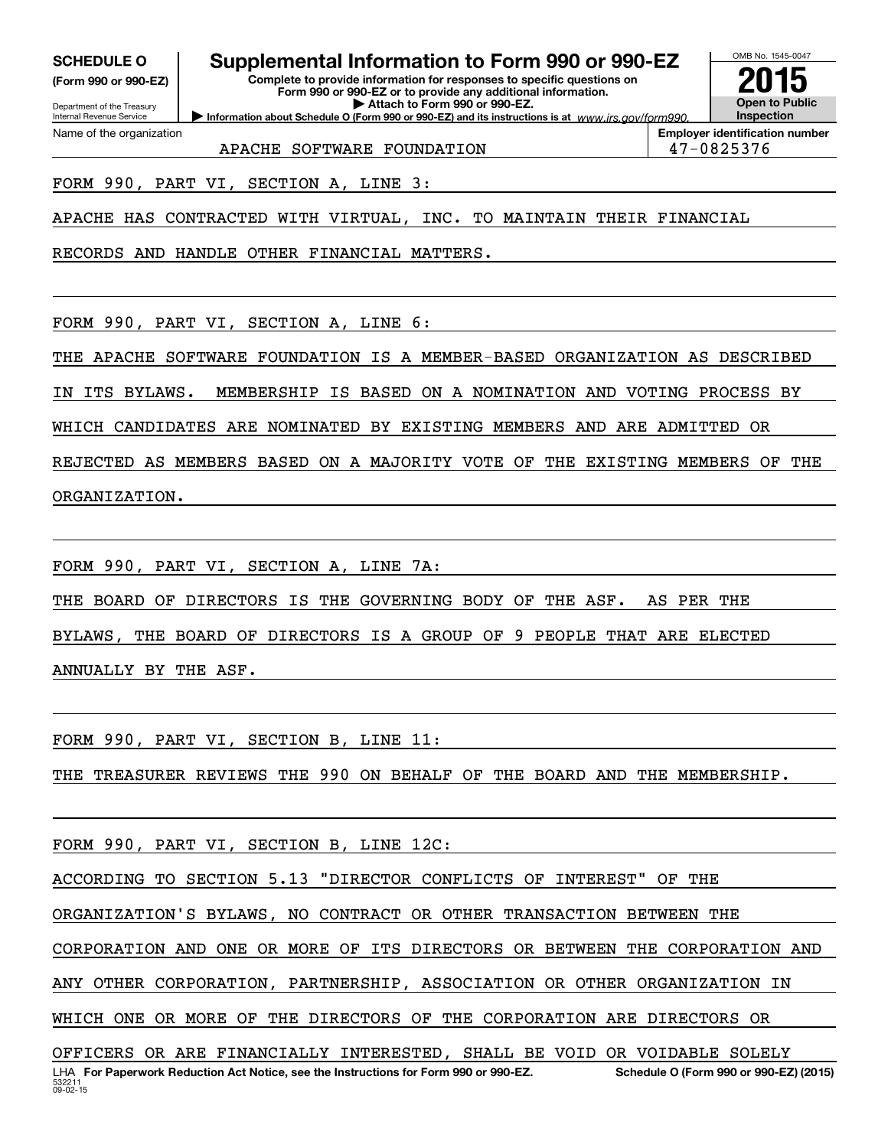**(Form 990 or 990-EZ)**

Department of the Treasury

Name of the organization

Internal Revenue Service

## **SCHEDULE O Supplemental Information to Form 990 or 990-EZ**

**Information about Schedule O (Form 990 or 990-EZ) and its instructions is at**  $www.irs.gov/form990.$ **Complete to provide information for responses to specific questions on Form 990 or 990-EZ or to provide any additional information. | Attach to Form 990 or 990-EZ.**



**Employer identification number**

APACHE SOFTWARE FOUNDATION 147-0825376

FORM 990, PART VI, SECTION A, LINE 3:

APACHE HAS CONTRACTED WITH VIRTUAL, INC. TO MAINTAIN THEIR FINANCIAL

RECORDS AND HANDLE OTHER FINANCIAL MATTERS.

FORM 990, PART VI, SECTION A, LINE 6:

THE APACHE SOFTWARE FOUNDATION IS A MEMBER-BASED ORGANIZATION AS DESCRIBED

IN ITS BYLAWS. MEMBERSHIP IS BASED ON A NOMINATION AND VOTING PROCESS BY

WHICH CANDIDATES ARE NOMINATED BY EXISTING MEMBERS AND ARE ADMITTED OR

REJECTED AS MEMBERS BASED ON A MAJORITY VOTE OF THE EXISTING MEMBERS OF THE ORGANIZATION.

FORM 990, PART VI, SECTION A, LINE 7A:

THE BOARD OF DIRECTORS IS THE GOVERNING BODY OF THE ASF. AS PER THE

BYLAWS, THE BOARD OF DIRECTORS IS A GROUP OF 9 PEOPLE THAT ARE ELECTED

ANNUALLY BY THE ASF.

FORM 990, PART VI, SECTION B, LINE 11:

THE TREASURER REVIEWS THE 990 ON BEHALF OF THE BOARD AND THE MEMBERSHIP.

FORM 990, PART VI, SECTION B, LINE 12C:

ACCORDING TO SECTION 5.13 "DIRECTOR CONFLICTS OF INTEREST" OF THE

ORGANIZATION'S BYLAWS, NO CONTRACT OR OTHER TRANSACTION BETWEEN THE

CORPORATION AND ONE OR MORE OF ITS DIRECTORS OR BETWEEN THE CORPORATION AND

ANY OTHER CORPORATION, PARTNERSHIP, ASSOCIATION OR OTHER ORGANIZATION IN

WHICH ONE OR MORE OF THE DIRECTORS OF THE CORPORATION ARE DIRECTORS OR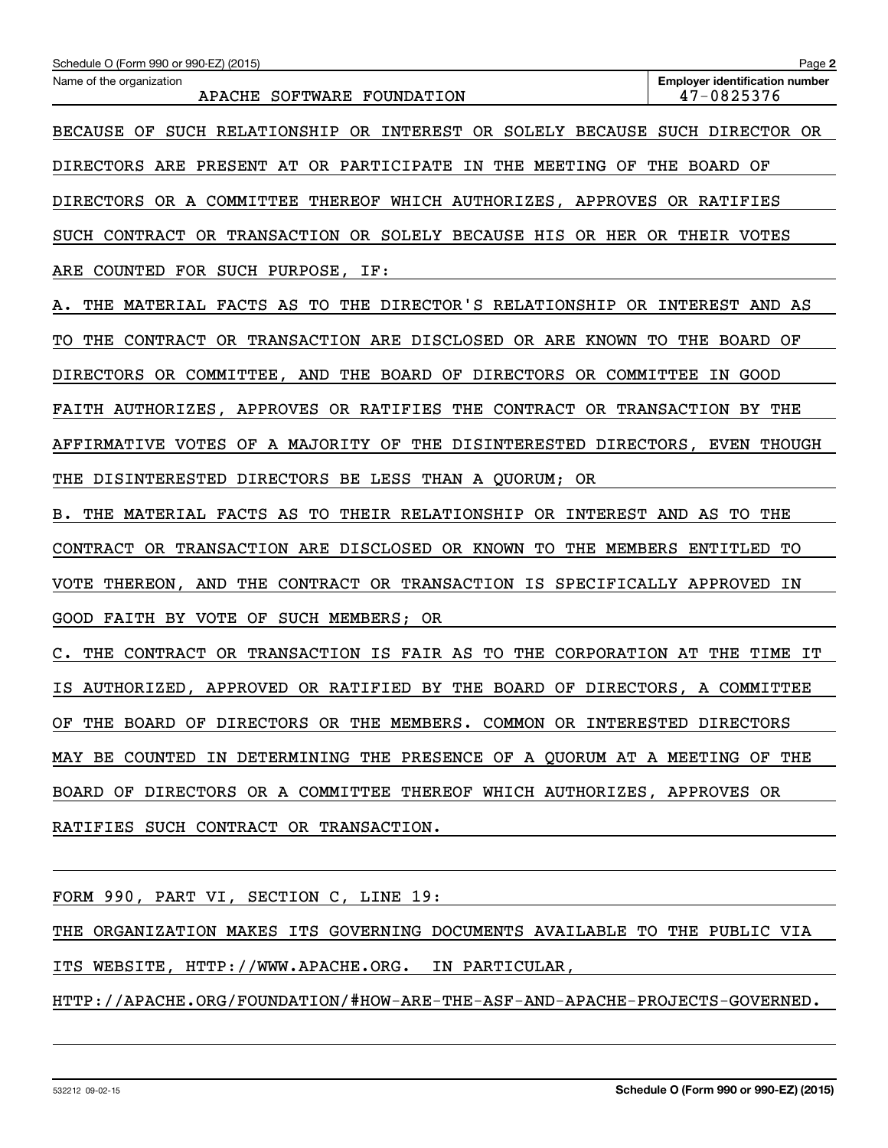| Schedule O (Form 990 or 990-EZ) (2015)                                         | Page 2                                              |  |  |  |  |
|--------------------------------------------------------------------------------|-----------------------------------------------------|--|--|--|--|
| Name of the organization<br>APACHE SOFTWARE FOUNDATION                         | <b>Emplover identification number</b><br>47-0825376 |  |  |  |  |
| SUCH RELATIONSHIP OR INTEREST OR SOLELY BECAUSE SUCH DIRECTOR OR<br>BECAUSE OF |                                                     |  |  |  |  |
| DIRECTORS ARE PRESENT AT OR PARTICIPATE IN THE MEETING OF                      | THE BOARD OF                                        |  |  |  |  |
| DIRECTORS OR A COMMITTEE THEREOF WHICH AUTHORIZES, APPROVES OR RATIFIES        |                                                     |  |  |  |  |
| SUCH CONTRACT OR TRANSACTION OR SOLELY BECAUSE HIS OR HER OR THEIR VOTES       |                                                     |  |  |  |  |
| COUNTED FOR SUCH PURPOSE, IF:<br>ARE                                           |                                                     |  |  |  |  |
| THE MATERIAL FACTS AS TO THE DIRECTOR'S RELATIONSHIP OR INTEREST AND AS<br>Α.  |                                                     |  |  |  |  |
| THE CONTRACT OR TRANSACTION ARE DISCLOSED OR ARE KNOWN TO THE BOARD OF<br>TO.  |                                                     |  |  |  |  |
| DIRECTORS OR COMMITTEE, AND THE BOARD OF DIRECTORS OR COMMITTEE                | IN GOOD                                             |  |  |  |  |
| FAITH AUTHORIZES, APPROVES OR RATIFIES THE CONTRACT OR TRANSACTION BY THE      |                                                     |  |  |  |  |
| AFFIRMATIVE VOTES OF A MAJORITY OF THE DISINTERESTED DIRECTORS, EVEN THOUGH    |                                                     |  |  |  |  |
| THE DISINTERESTED DIRECTORS BE LESS THAN A QUORUM; OR                          |                                                     |  |  |  |  |
| THE MATERIAL FACTS AS TO THEIR RELATIONSHIP OR INTEREST AND AS TO THE<br>в.    |                                                     |  |  |  |  |
| CONTRACT OR TRANSACTION ARE DISCLOSED OR KNOWN TO                              | THE MEMBERS ENTITLED<br>TО                          |  |  |  |  |
| THEREON, AND THE CONTRACT OR TRANSACTION IS SPECIFICALLY APPROVED<br>VOTE      | ΙN                                                  |  |  |  |  |
| GOOD FAITH BY VOTE OF SUCH MEMBERS; OR                                         |                                                     |  |  |  |  |
| THE CONTRACT OR TRANSACTION IS FAIR AS TO THE CORPORATION AT<br>$\mathbf{C}$ . | THE TIME<br>IT                                      |  |  |  |  |
| AUTHORIZED, APPROVED OR RATIFIED BY THE BOARD OF DIRECTORS, A COMMITTEE<br>IS. |                                                     |  |  |  |  |
| OF THE BOARD OF DIRECTORS OR THE MEMBERS. COMMON OR INTERESTED DIRECTORS       |                                                     |  |  |  |  |
| MAY BE COUNTED IN DETERMINING THE PRESENCE OF A QUORUM AT A MEETING OF THE     |                                                     |  |  |  |  |
| BOARD OF DIRECTORS OR A COMMITTEE THEREOF WHICH AUTHORIZES, APPROVES OR        |                                                     |  |  |  |  |
| RATIFIES SUCH CONTRACT OR TRANSACTION.                                         |                                                     |  |  |  |  |
|                                                                                |                                                     |  |  |  |  |
| FORM 990, PART VI, SECTION C, LINE 19:                                         |                                                     |  |  |  |  |
| THE ORGANIZATION MAKES ITS GOVERNING DOCUMENTS AVAILABLE TO THE PUBLIC VIA     |                                                     |  |  |  |  |
| ITS WEBSITE, HTTP://WWW.APACHE.ORG. IN PARTICULAR,                             |                                                     |  |  |  |  |
| HTTP://APACHE.ORG/FOUNDATION/#HOW-ARE-THE-ASF-AND-APACHE-PROJECTS-GOVERNED.    |                                                     |  |  |  |  |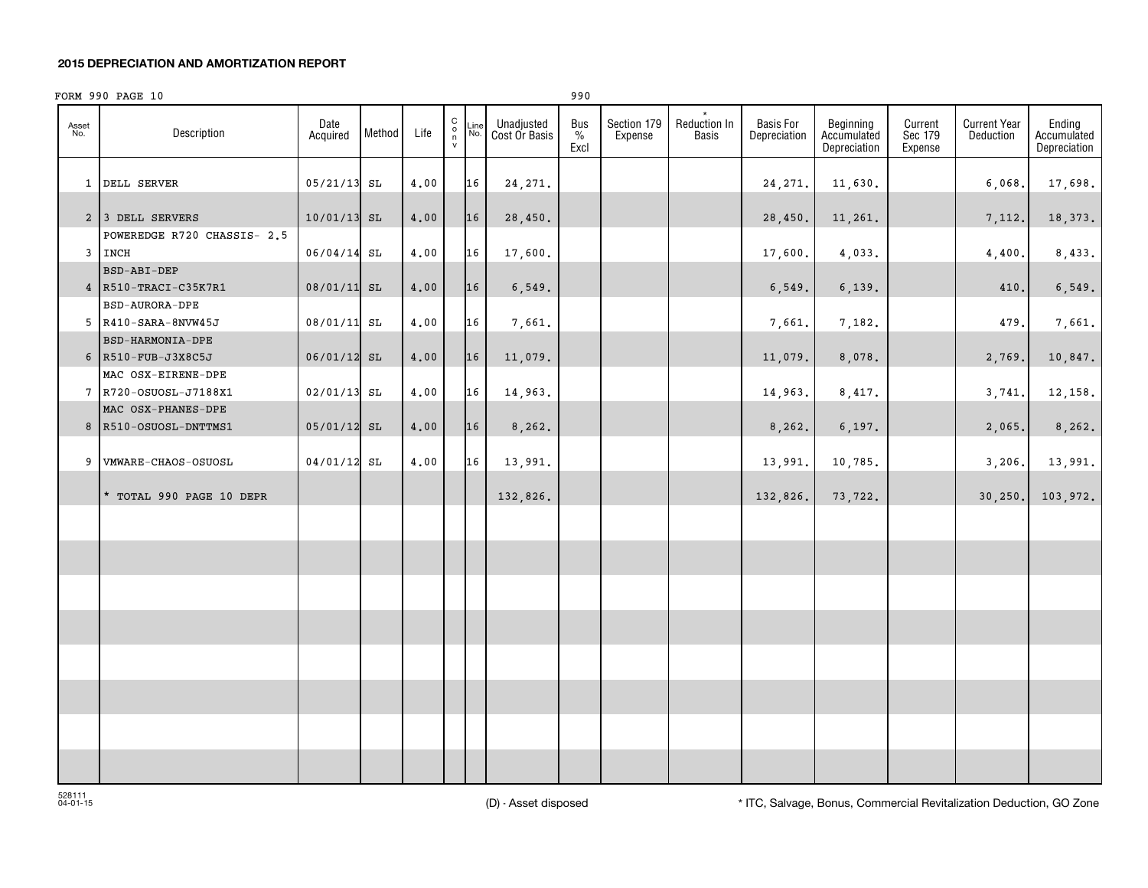#### **2015 DEPRECIATION AND AMORTIZATION REPORT**

|              | FORM 990 PAGE 10                            |                  |        |      |                                                           |             |                             | 990                          |                        |                              |                                  |                                          |                               |                                  |                                       |
|--------------|---------------------------------------------|------------------|--------|------|-----------------------------------------------------------|-------------|-----------------------------|------------------------------|------------------------|------------------------------|----------------------------------|------------------------------------------|-------------------------------|----------------------------------|---------------------------------------|
| Asset<br>No. | Description                                 | Date<br>Acquired | Method | Life | $\begin{matrix} 0 \\ 0 \\ n \end{matrix}$<br>$\mathsf{v}$ | Line<br>No. | Unadjusted<br>Cost Or Basis | Bus<br>$\frac{0}{0}$<br>Excl | Section 179<br>Expense | Reduction In<br><b>Basis</b> | <b>Basis For</b><br>Depreciation | Beginning<br>Accumulated<br>Depreciation | Current<br>Sec 179<br>Expense | <b>Current Year</b><br>Deduction | Ending<br>Accumulated<br>Depreciation |
|              | 1 DELL SERVER                               | $05/21/13$ SL    |        | 4,00 |                                                           | 16          | 24, 271.                    |                              |                        |                              | 24, 271.                         | 11,630.                                  |                               | 6,068                            | 17,698.                               |
|              | 2 3 DELL SERVERS                            | $10/01/13$ SL    |        | 4.00 |                                                           | 16          | 28,450.                     |                              |                        |                              | 28,450.                          | 11,261.                                  |                               | 7,112.                           | 18,373.                               |
|              | POWEREDGE R720 CHASSIS- 2.5                 |                  |        |      |                                                           |             |                             |                              |                        |                              |                                  |                                          |                               |                                  |                                       |
|              | 3 INCH<br><b>BSD-ABI-DEP</b>                | 06/04/14 SL      |        | 4.00 |                                                           | 16          | 17,600.                     |                              |                        |                              | 17,600.                          | 4,033.                                   |                               | 4,400                            | 8,433.                                |
|              | 4 R510-TRACI-C35K7R1                        | 08/01/11 SL      |        | 4.00 |                                                           | 16          | 6, 549.                     |                              |                        |                              | 6, 549.                          | 6,139.                                   |                               | 410                              | 6, 549.                               |
|              | <b>BSD-AURORA-DPE</b>                       |                  |        |      |                                                           |             |                             |                              |                        |                              |                                  |                                          |                               |                                  |                                       |
|              | 5 R410-SARA-8NVW45J                         | 08/01/11 SL      |        | 4,00 |                                                           | 16          | 7,661.                      |                              |                        |                              | 7,661.                           | 7,182.                                   |                               | 479                              | 7,661.                                |
|              | <b>BSD-HARMONIA-DPE</b>                     |                  |        |      |                                                           |             |                             |                              |                        |                              |                                  |                                          |                               |                                  |                                       |
|              | 6 R510-FUB-J3X8C5J                          | $06/01/12$ SL    |        | 4,00 |                                                           | 16          | 11,079.                     |                              |                        |                              | 11,079.                          | 8,078.                                   |                               | 2,769.                           | 10,847.                               |
|              | MAC OSX-EIRENE-DPE                          |                  |        |      |                                                           |             |                             |                              |                        |                              |                                  |                                          |                               |                                  |                                       |
|              | 7 R720-OSUOSL-J7188X1<br>MAC OSX-PHANES-DPE | 02/01/13 SL      |        | 4,00 |                                                           | 16          | 14,963.                     |                              |                        |                              | 14,963.                          | 8,417.                                   |                               | 3,741                            | 12,158.                               |
|              | 8 R510-OSUOSL-DNTTMS1                       | 05/01/12 SL      |        | 4,00 |                                                           | 16          | 8,262.                      |                              |                        |                              | 8, 262.                          | 6, 197.                                  |                               | 2,065.                           | 8, 262.                               |
|              |                                             |                  |        |      |                                                           |             |                             |                              |                        |                              |                                  |                                          |                               |                                  |                                       |
|              | 9 VMWARE-CHAOS-OSUOSL                       | 04/01/12 SL      |        | 4.00 |                                                           | 16          | 13,991.                     |                              |                        |                              | 13,991.                          | 10,785.                                  |                               | 3,206.                           | 13,991.                               |
|              | * TOTAL 990 PAGE 10 DEPR                    |                  |        |      |                                                           |             | 132,826.                    |                              |                        |                              | 132,826.                         | 73,722.                                  |                               | 30, 250.                         | 103,972.                              |
|              |                                             |                  |        |      |                                                           |             |                             |                              |                        |                              |                                  |                                          |                               |                                  |                                       |
|              |                                             |                  |        |      |                                                           |             |                             |                              |                        |                              |                                  |                                          |                               |                                  |                                       |
|              |                                             |                  |        |      |                                                           |             |                             |                              |                        |                              |                                  |                                          |                               |                                  |                                       |
|              |                                             |                  |        |      |                                                           |             |                             |                              |                        |                              |                                  |                                          |                               |                                  |                                       |
|              |                                             |                  |        |      |                                                           |             |                             |                              |                        |                              |                                  |                                          |                               |                                  |                                       |
|              |                                             |                  |        |      |                                                           |             |                             |                              |                        |                              |                                  |                                          |                               |                                  |                                       |
|              |                                             |                  |        |      |                                                           |             |                             |                              |                        |                              |                                  |                                          |                               |                                  |                                       |
|              |                                             |                  |        |      |                                                           |             |                             |                              |                        |                              |                                  |                                          |                               |                                  |                                       |
|              |                                             |                  |        |      |                                                           |             |                             |                              |                        |                              |                                  |                                          |                               |                                  |                                       |
|              |                                             |                  |        |      |                                                           |             |                             |                              |                        |                              |                                  |                                          |                               |                                  |                                       |
|              |                                             |                  |        |      |                                                           |             |                             |                              |                        |                              |                                  |                                          |                               |                                  |                                       |
|              |                                             |                  |        |      |                                                           |             |                             |                              |                        |                              |                                  |                                          |                               |                                  |                                       |

(D) - Asset disposed \* ITC, Salvage, Bonus, Commercial Revitalization Deduction, GO Zone